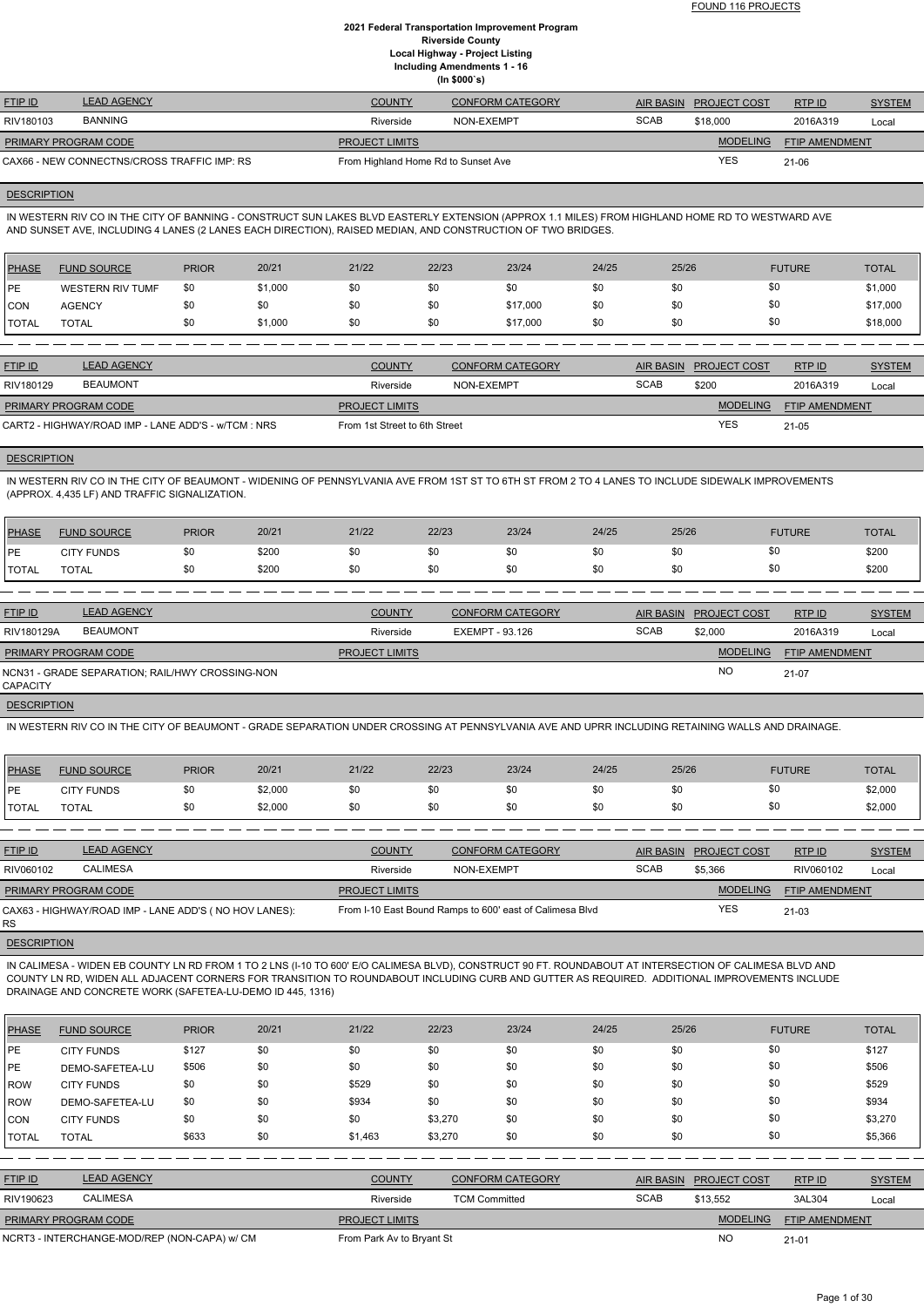| <b>FTIP ID</b>       | <b>LEAD AGENCY</b>                          | <b>COUNTY</b>                       | <b>CONFORM CATEGORY</b> |             | AIR BASIN PROJECT COST | RTPID                 | <b>SYSTEM</b> |
|----------------------|---------------------------------------------|-------------------------------------|-------------------------|-------------|------------------------|-----------------------|---------------|
| RIV180103            | <b>BANNING</b>                              | Riverside                           | NON-EXEMPT              | <b>SCAB</b> | \$18,000               | 2016A319              | Local         |
| PRIMARY PROGRAM CODE |                                             | <b>PROJECT LIMITS</b>               |                         |             | <b>MODELING</b>        | <b>FTIP AMENDMENT</b> |               |
|                      | CAX66 - NEW CONNECTNS/CROSS TRAFFIC IMP: RS | From Highland Home Rd to Sunset Ave |                         |             | YES                    | $21 - 06$             |               |

# **DESCRIPTION**

IN WESTERN RIV CO IN THE CITY OF BANNING - CONSTRUCT SUN LAKES BLVD EASTERLY EXTENSION (APPROX 1.1 MILES) FROM HIGHLAND HOME RD TO WESTWARD AVE AND SUNSET AVE, INCLUDING 4 LANES (2 LANES EACH DIRECTION), RAISED MEDIAN, AND CONSTRUCTION OF TWO BRIDGES.

| <b>PHASE</b>  | <b>FUND SOURCE</b>      | <b>PRIOR</b> | 20/21   | 21/22 | 22/23 | 23/24    | 24/25 | 25/26 | <b>FUTURE</b> | <b>TOTAL</b> |
|---------------|-------------------------|--------------|---------|-------|-------|----------|-------|-------|---------------|--------------|
| <b>IPE</b>    | <b>WESTERN RIV TUMF</b> | \$0          | \$1,000 | \$0   | \$0   | \$0      | \$0   | \$0   |               | \$1,000      |
| <b>CON</b>    | <b>AGENCY</b>           | \$0          | \$0     | \$0   | \$0   | \$17,000 | \$0   | \$0   |               | \$17,000     |
| <b>'TOTAL</b> | <b>TOTAL</b>            | \$0          | \$1,000 | \$0   | \$0   | \$17,000 | \$0   | \$0   |               | \$18,000     |

| <b>FTIP ID</b>                                      | <b>LEAD AGENCY</b> | <b>COUNTY</b>                 | <b>CONFORM CATEGORY</b> |             | AIR BASIN PROJECT COST | RTPID                 | <b>SYSTEM</b> |
|-----------------------------------------------------|--------------------|-------------------------------|-------------------------|-------------|------------------------|-----------------------|---------------|
| RIV180129                                           | <b>BEAUMONT</b>    | Riverside                     | NON-EXEMPT              | <b>SCAB</b> | \$200                  | 2016A319              | Local         |
| <b>PRIMARY PROGRAM CODE</b>                         |                    | <b>PROJECT LIMITS</b>         |                         |             | <b>MODELING</b>        | <b>FTIP AMENDMENT</b> |               |
| CART2 - HIGHWAY/ROAD IMP - LANE ADD'S - w/TCM : NRS |                    | From 1st Street to 6th Street |                         |             | <b>YES</b>             | $21 - 05$             |               |

# **DESCRIPTION**

IN WESTERN RIV CO IN THE CITY OF BEAUMONT - WIDENING OF PENNSYLVANIA AVE FROM 1ST ST TO 6TH ST FROM 2 TO 4 LANES TO INCLUDE SIDEWALK IMPROVEMENTS (APPROX. 4,435 LF) AND TRAFFIC SIGNALIZATION.

| PHASE        | <b>FUND SOURCE</b> | <b>PRIOR</b> | 20/21 | 21/22 | 22/23 | 23/24 | 24/25 | 25/26 | <b>FUTURE</b> | <b>TOTAL</b> |
|--------------|--------------------|--------------|-------|-------|-------|-------|-------|-------|---------------|--------------|
| <b>IPE</b>   | <b>CITY FUNDS</b>  |              | \$200 |       |       | \$0   | \$0   | \$0   |               | \$200        |
| <b>TOTAL</b> | <b>TOTAL</b>       |              | \$200 |       | \$0   | \$0   | \$0   | \$0   | $\sim$        | \$200        |

| <b>FTIP ID</b>              | <b>LEAD AGENCY</b>                              | <b>COUNTY</b>         | <b>CONFORM CATEGORY</b> |             | AIR BASIN PROJECT COST | RTP ID         | <b>SYSTEM</b> |
|-----------------------------|-------------------------------------------------|-----------------------|-------------------------|-------------|------------------------|----------------|---------------|
| RIV180129A                  | <b>BEAUMONT</b>                                 | Riverside             | EXEMPT - 93.126         | <b>SCAB</b> | \$2,000                | 2016A319       | Local         |
| <b>PRIMARY PROGRAM CODE</b> |                                                 | <b>PROJECT LIMITS</b> |                         |             | <b>MODELING</b>        | FTIP AMENDMENT |               |
| <b>CAPACITY</b>             | NCN31 - GRADE SEPARATION; RAIL/HWY CROSSING-NON |                       |                         |             | <b>NC</b>              | $21-07$        |               |

**DESCRIPTION** 

IN WESTERN RIV CO IN THE CITY OF BEAUMONT - GRADE SEPARATION UNDER CROSSING AT PENNSYLVANIA AVE AND UPRR INCLUDING RETAINING WALLS AND DRAINAGE.

| PHASE        | <b>FUND SOURCE</b> | <b>PRIOR</b> | 20/21   | 21/22 | 22/23 | 23/24 | 24/25 | 25/26              | <b>FUTURE</b> | <b>TOTAL</b> |
|--------------|--------------------|--------------|---------|-------|-------|-------|-------|--------------------|---------------|--------------|
| <b>IPE</b>   | <b>CITY FUNDS</b>  |              | \$2,000 | \$0   | \$0   | \$0   | \$0   | งบ                 | \$0           | \$2,000      |
| <b>TOTAL</b> | TOTAL              |              | \$2,000 | \$0   | \$0   | \$0   | \$0   | $\mathbf{A}$<br>งบ | \$0           | \$2,000      |

| <b>FTIP ID</b>       | <b>LEAD AGENCY</b>                                     | <b>COUNTY</b>         | <b>CONFORM CATEGORY</b>                                  |             | AIR BASIN PROJECT COST | RTPID                 | <b>SYSTEM</b> |
|----------------------|--------------------------------------------------------|-----------------------|----------------------------------------------------------|-------------|------------------------|-----------------------|---------------|
| RIV060102            | <b>CALIMESA</b>                                        | Riverside             | NON-EXEMPT                                               | <b>SCAB</b> | \$5,366                | RIV060102             | Local         |
| PRIMARY PROGRAM CODE |                                                        | <b>PROJECT LIMITS</b> |                                                          |             | <b>MODELING</b>        | <b>FTIP AMENDMENT</b> |               |
| RS.                  | CAX63 - HIGHWAY/ROAD IMP - LANE ADD'S ( NO HOV LANES): |                       | From I-10 East Bound Ramps to 600' east of Calimesa Blvd |             | <b>YES</b>             | $21 - 03$             |               |

**DESCRIPTION** 

IN CALIMESA - WIDEN EB COUNTY LN RD FROM 1 TO 2 LNS (I-10 TO 600' E/O CALIMESA BLVD), CONSTRUCT 90 FT. ROUNDABOUT AT INTERSECTION OF CALIMESA BLVD AND COUNTY LN RD, WIDEN ALL ADJACENT CORNERS FOR TRANSITION TO ROUNDABOUT INCLUDING CURB AND GUTTER AS REQUIRED. ADDITIONAL IMPROVEMENTS INCLUDE

# DRAINAGE AND CONCRETE WORK (SAFETEA-LU-DEMO ID 445, 1316)

| <b>PHASE</b>   | <b>FUND SOURCE</b>                           | <b>PRIOR</b> | 20/21 | 21/22                     | 22/23                | 23/24                   | 24/25 | 25/26            |                 | <b>FUTURE</b>         | <b>TOTAL</b>  |
|----------------|----------------------------------------------|--------------|-------|---------------------------|----------------------|-------------------------|-------|------------------|-----------------|-----------------------|---------------|
| <b>IPE</b>     | <b>CITY FUNDS</b>                            | \$127        | \$0   | \$0                       | \$0                  | \$0                     | \$0   | \$0              |                 | \$0                   | \$127         |
| PE             | DEMO-SAFETEA-LU                              | \$506        | \$0   | \$0                       | \$0                  | \$0                     | \$0   | \$0              |                 | \$0                   | \$506         |
| <b>IROW</b>    | <b>CITY FUNDS</b>                            | \$0          | \$0   | \$529                     | \$0                  | \$0                     | \$0   | \$0              |                 | \$0                   | \$529         |
| ROW            | DEMO-SAFETEA-LU                              | \$0          | \$0   | \$934                     | \$0                  | \$0                     | \$0   | \$0              |                 | \$0                   | \$934         |
| <b>CON</b>     | <b>CITY FUNDS</b>                            | \$0          | \$0   | \$0                       | \$3,270              | \$0                     | \$0   | \$0              |                 | \$0                   | \$3,270       |
| <b>TOTAL</b>   | <b>TOTAL</b>                                 | \$633        | \$0   | \$1,463                   | \$3,270              | \$0                     | \$0   | \$0              |                 | \$0                   | \$5,366       |
|                |                                              |              |       |                           |                      |                         |       |                  |                 |                       |               |
| <b>FTIP ID</b> | <b>LEAD AGENCY</b>                           |              |       | <b>COUNTY</b>             |                      | <b>CONFORM CATEGORY</b> |       | <b>AIR BASIN</b> | PROJECT COST    | RTP ID                | <b>SYSTEM</b> |
| RIV190623      | <b>CALIMESA</b>                              |              |       | Riverside                 | <b>TCM Committed</b> |                         |       | <b>SCAB</b>      | \$13,552        | 3AL304                | Local         |
|                | PRIMARY PROGRAM CODE                         |              |       | <b>PROJECT LIMITS</b>     |                      |                         |       |                  | <b>MODELING</b> | <b>FTIP AMENDMENT</b> |               |
|                | NCRT3 - INTERCHANGE-MOD/REP (NON-CAPA) w/ CM |              |       | From Park Av to Bryant St |                      |                         |       |                  | N <sub>O</sub>  | $21 - 01$             |               |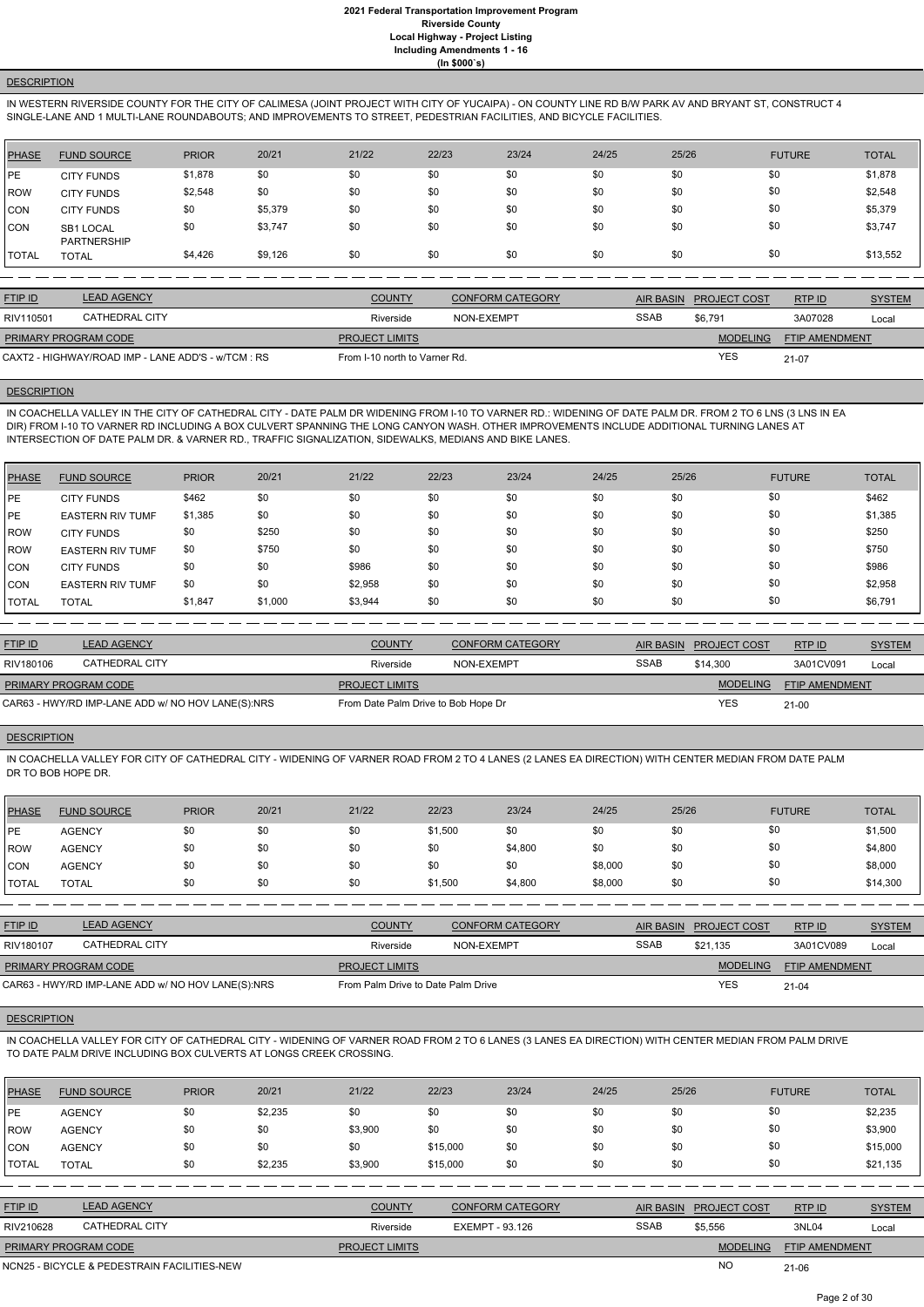# **DESCRIPTION**

IN WESTERN RIVERSIDE COUNTY FOR THE CITY OF CALIMESA (JOINT PROJECT WITH CITY OF YUCAIPA) - ON COUNTY LINE RD B/W PARK AV AND BRYANT ST, CONSTRUCT 4 SINGLE-LANE AND 1 MULTI-LANE ROUNDABOUTS; AND IMPROVEMENTS TO STREET, PEDESTRIAN FACILITIES, AND BICYCLE FACILITIES.

| <b>PHASE</b> | <b>FUND SOURCE</b>              | <b>PRIOR</b> | 20/21   | 21/22 | 22/23 | 23/24 | 24/25 | 25/26 | <b>FUTURE</b> | <b>TOTAL</b> |
|--------------|---------------------------------|--------------|---------|-------|-------|-------|-------|-------|---------------|--------------|
| PE           | <b>CITY FUNDS</b>               | \$1,878      | \$0     | \$0   | \$0   | \$0   | \$0   | \$0   | \$0           | \$1,878      |
| <b>ROW</b>   | <b>CITY FUNDS</b>               | \$2,548      | \$0     | \$0   | \$0   | \$0   | \$0   | \$0   | \$0           | \$2,548      |
| <b>CON</b>   | <b>CITY FUNDS</b>               | \$0          | \$5,379 | \$0   | \$0   | \$0   | \$0   | \$0   | \$0           | \$5,379      |
| <b>CON</b>   | SB1 LOCAL<br><b>PARTNERSHIP</b> | \$0          | \$3,747 | \$0   | \$0   | \$0   | \$0   | \$0   | \$0           | \$3,747      |
| <b>TOTAL</b> | <b>TOTAL</b>                    | \$4,426      | \$9,126 | \$0   | \$0   | \$0   | \$0   | \$0   | \$0           | \$13,552     |

| <b>FTIP ID</b>                                     | <b>LEAD AGENCY</b> | <b>COUNTY</b>                 | <b>CONFORM CATEGORY</b> | <b>AIR BASIN</b> | <b>PROJECT COST</b> | RTP ID         | <b>SYSTEM</b> |
|----------------------------------------------------|--------------------|-------------------------------|-------------------------|------------------|---------------------|----------------|---------------|
| RIV110501                                          | CATHEDRAL CITY     | Riverside                     | NON-EXEMPT              | <b>SSAB</b>      | \$6,791             | 3A07028        | Local         |
| PRIMARY PROGRAM CODE                               |                    | <b>PROJECT LIMITS</b>         |                         |                  | <b>MODELING</b>     | FTIP AMENDMENT |               |
| CAXT2 - HIGHWAY/ROAD IMP - LANE ADD'S - w/TCM : RS |                    | From I-10 north to Varner Rd. |                         |                  | <b>YES</b>          | 21-07          |               |

### **DESCRIPTION**

IN COACHELLA VALLEY IN THE CITY OF CATHEDRAL CITY - DATE PALM DR WIDENING FROM I-10 TO VARNER RD.: WIDENING OF DATE PALM DR. FROM 2 TO 6 LNS (3 LNS IN EA DIR) FROM I-10 TO VARNER RD INCLUDING A BOX CULVERT SPANNING THE LONG CANYON WASH. OTHER IMPROVEMENTS INCLUDE ADDITIONAL TURNING LANES AT INTERSECTION OF DATE PALM DR. & VARNER RD., TRAFFIC SIGNALIZATION, SIDEWALKS, MEDIANS AND BIKE LANES.

| PHASE       | <b>FUND SOURCE</b>      | <b>PRIOR</b> | 20/21   | 21/22   | 22/23 | 23/24 | 24/25 | 25/26 | <b>FUTURE</b> | <b>TOTAL</b> |
|-------------|-------------------------|--------------|---------|---------|-------|-------|-------|-------|---------------|--------------|
| PE          | <b>CITY FUNDS</b>       | \$462        | \$0     | \$0     | \$0   | \$0   | \$0   | \$0   | \$0           | \$462        |
| PE          | <b>EASTERN RIV TUMF</b> | \$1,385      | \$0     | \$0     | \$0   | \$0   | \$0   | \$0   | \$0           | \$1,385      |
| <b>IROW</b> | <b>CITY FUNDS</b>       | \$0          | \$250   | \$0     | \$0   | \$0   | \$0   | \$0   | \$0           | \$250        |
| ROW         | <b>EASTERN RIV TUMF</b> | \$0          | \$750   | \$0     | \$0   | \$0   | \$0   | \$0   | \$0           | \$750        |
| <b>CON</b>  | <b>CITY FUNDS</b>       | \$0          | \$0     | \$986   | \$0   | \$0   | \$0   | \$0   | \$0           | \$986        |
| ICON        | <b>EASTERN RIV TUMF</b> | \$0          | \$0     | \$2,958 | \$0   | \$0   | \$0   | \$0   | \$0           | \$2,958      |
| I TOTAL     | <b>TOTAL</b>            | \$1,847      | \$1,000 | \$3,944 | \$0   | \$0   | \$0   | \$0   | \$0           | \$6,791      |

| <b>FTIP ID</b>              | <b>LEAD AGENCY</b>                                | <b>COUNTY</b>                       | CONFORM CATEGORY | AIR BASIN   | <b>PROJECT COST</b> | RTPID                 | <b>SYSTEM</b> |
|-----------------------------|---------------------------------------------------|-------------------------------------|------------------|-------------|---------------------|-----------------------|---------------|
| RIV180106                   | CATHEDRAL CITY                                    | Riverside                           | NON-EXEMPT       | <b>SSAB</b> | \$14,300            | 3A01CV091             | Local         |
| <b>PRIMARY PROGRAM CODE</b> |                                                   | <b>PROJECT LIMITS</b>               |                  |             | <b>MODELING</b>     | <b>FTIP AMENDMENT</b> |               |
|                             | CAR63 - HWY/RD IMP-LANE ADD w/ NO HOV LANE(S):NRS | From Date Palm Drive to Bob Hope Dr |                  |             | <b>YES</b>          | $21 - 00$             |               |

#### **DESCRIPTION**

IN COACHELLA VALLEY FOR CITY OF CATHEDRAL CITY - WIDENING OF VARNER ROAD FROM 2 TO 4 LANES (2 LANES EA DIRECTION) WITH CENTER MEDIAN FROM DATE PALM DR TO BOB HOPE DR.

| PHASE        | <b>FUND SOURCE</b> | <b>PRIOR</b> | 20/21 | 21/22 | 22/23   | 23/24   | 24/25   | 25/26 | <b>FUTURE</b> | <b>TOTAL</b> |
|--------------|--------------------|--------------|-------|-------|---------|---------|---------|-------|---------------|--------------|
| <b>IPE</b>   | <b>AGENCY</b>      | \$0          | \$0   | \$0   | \$1,500 | \$0     | \$0     | \$0   | \$0           | \$1,500      |
| ROW          | <b>AGENCY</b>      | \$0          | \$0   | \$0   | \$0     | \$4,800 | \$0     | \$0   | \$0           | \$4,800      |
| <b>CON</b>   | <b>AGENCY</b>      | \$0          | \$0   | \$0   | \$0     | \$0     | \$8,000 | \$0   | \$0           | \$8,000      |
| <b>TOTAL</b> | TOTAL              | \$0          | \$0   | \$0   | \$1,500 | \$4,800 | \$8,000 | \$0   | \$0           | \$14,300     |

| <b>FTIP ID</b>                                    | <b>LEAD AGENCY</b> | <b>COUNTY</b>                      | <b>CONFORM CATEGORY</b> |             | AIR BASIN PROJECT COST | RTP ID                | <b>SYSTEM</b> |
|---------------------------------------------------|--------------------|------------------------------------|-------------------------|-------------|------------------------|-----------------------|---------------|
| RIV180107                                         | CATHEDRAL CITY     | Riverside                          | NON-EXEMPT              | <b>SSAB</b> | \$21.135               | 3A01CV089             | Local         |
| <b>PRIMARY PROGRAM CODE</b>                       |                    | <b>PROJECT LIMITS</b>              |                         |             | <b>MODELING</b>        | <b>FTIP AMENDMENT</b> |               |
| CAR63 - HWY/RD IMP-LANE ADD w/ NO HOV LANE(S):NRS |                    | From Palm Drive to Date Palm Drive |                         |             | YES                    | $21 - 04$             |               |

### **DESCRIPTION**

IN COACHELLA VALLEY FOR CITY OF CATHEDRAL CITY - WIDENING OF VARNER ROAD FROM 2 TO 6 LANES (3 LANES EA DIRECTION) WITH CENTER MEDIAN FROM PALM DRIVE TO DATE PALM DRIVE INCLUDING BOX CULVERTS AT LONGS CREEK CROSSING.

| <b>PHASE</b>   | <b>FUND SOURCE</b> | <b>PRIOR</b> | 20/21   | 21/22   | 22/23    | 23/24 | 24/25 | 25/26 | <b>FUTURE</b> | <b>TOTAL</b> |
|----------------|--------------------|--------------|---------|---------|----------|-------|-------|-------|---------------|--------------|
| PE             | <b>AGENCY</b>      | \$0          | \$2,235 | \$0     | \$0      | \$0   | \$0   | \$0   |               | \$2,235      |
| <b>IROW</b>    | <b>AGENCY</b>      | \$0          | \$0     | \$3,900 | \$0      | \$0   | \$0   | \$0   |               | \$3,900      |
| CON            | <b>AGENCY</b>      | \$0          | \$0     | \$0     | \$15,000 | \$0   | \$0   | \$0   |               | \$15,000     |
| <b>I</b> TOTAL | TOTAL              | \$0          | \$2,235 | \$3,900 | \$15,000 | \$0   | \$0   | \$0   | \$0           | \$21,135     |

| <b>FTIP ID</b>              | <b>LEAD AGENCY</b>                          | <b>COUNTY</b>         | <b>CONFORM CATEGORY</b> |             | AIR BASIN PROJECT COST | RTP ID                | <b>SYSTEM</b> |
|-----------------------------|---------------------------------------------|-----------------------|-------------------------|-------------|------------------------|-----------------------|---------------|
| RIV210628                   | CATHEDRAL CITY                              | Riverside             | EXEMPT - 93.126         | <b>SSAB</b> | \$5,556                | 3NL04                 | Local         |
| <b>PRIMARY PROGRAM CODE</b> |                                             | <b>PROJECT LIMITS</b> |                         |             | <b>MODELING</b>        | <b>FTIP AMENDMENT</b> |               |
|                             | NCN25 - BICYCLE & PEDESTRAIN FACILITIES-NEW |                       |                         |             | <b>NO</b>              | $21 - 06$             |               |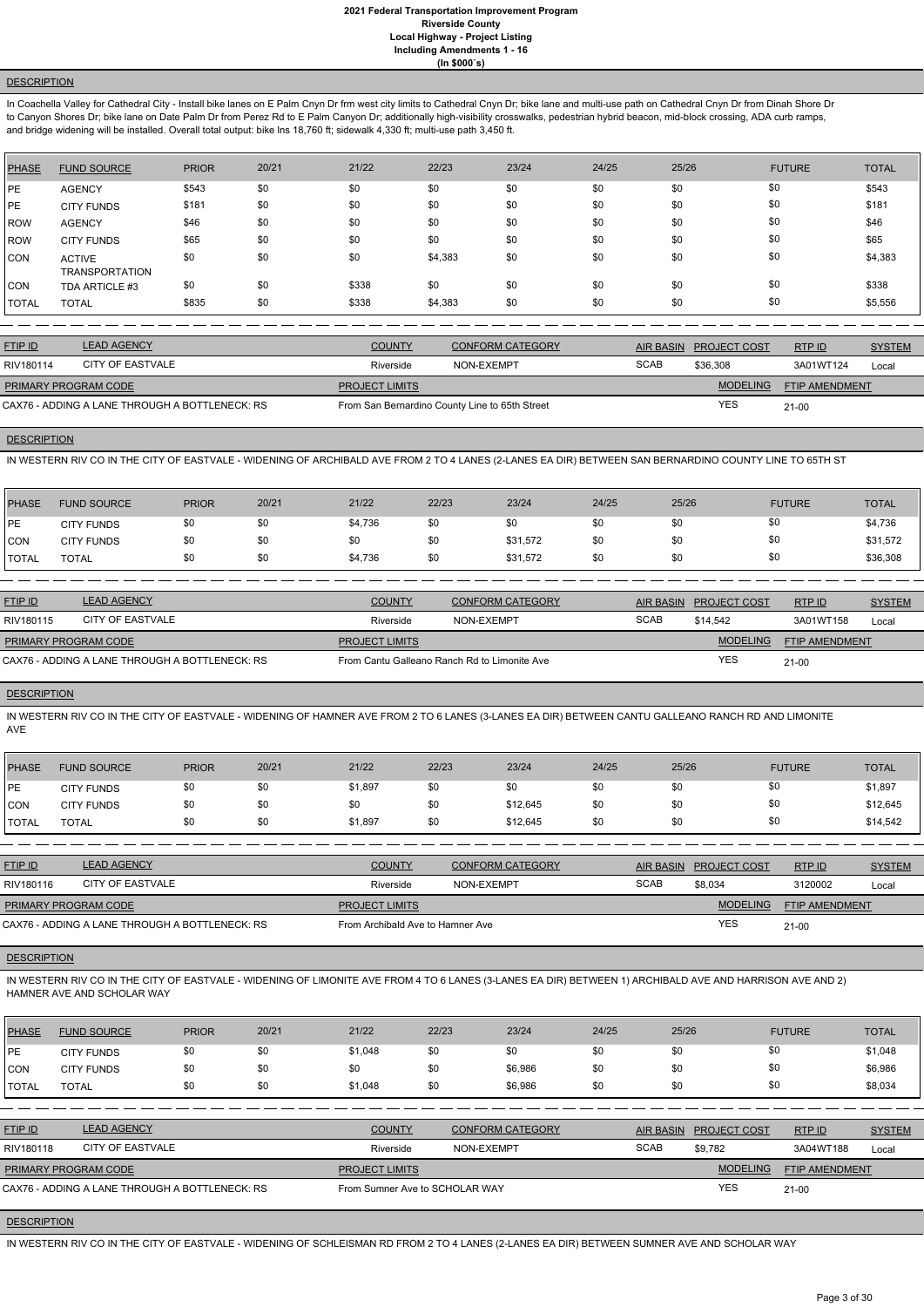# **DESCRIPTION**

In Coachella Valley for Cathedral City - Install bike lanes on E Palm Cnyn Dr frm west city limits to Cathedral Cnyn Dr; bike lane and multi-use path on Cathedral Cnyn Dr from Dinah Shore Dr to Canyon Shores Dr; bike lane on Date Palm Dr from Perez Rd to E Palm Canyon Dr; additionally high-visibility crosswalks, pedestrian hybrid beacon, mid-block crossing, ADA curb ramps, and bridge widening will be installed. Overall total output: bike lns 18,760 ft; sidewalk 4,330 ft; multi-use path 3,450 ft.

| <b>PHASE</b> | <b>FUND SOURCE</b>                     | <b>PRIOR</b> | 20/21 | 21/22 | 22/23   | 23/24 | 24/25 | 25/26 | <b>FUTURE</b> | <b>TOTAL</b> |
|--------------|----------------------------------------|--------------|-------|-------|---------|-------|-------|-------|---------------|--------------|
| <b>IPE</b>   | <b>AGENCY</b>                          | \$543        | \$0   | \$0   | \$0     | \$0   | \$0   | \$0   | \$0           | \$543        |
| <b>IPE</b>   | <b>CITY FUNDS</b>                      | \$181        | \$0   | \$0   | \$0     | \$0   | \$0   | \$0   | \$0           | \$181        |
| <b>IROW</b>  | <b>AGENCY</b>                          | \$46         | \$0   | \$0   | \$0     | \$0   | \$0   | \$0   | \$0           | \$46         |
| ROW          | <b>CITY FUNDS</b>                      | \$65         | \$0   | \$0   | \$0     | \$0   | \$0   | \$0   | \$0           | \$65         |
| ICON         | <b>ACTIVE</b><br><b>TRANSPORTATION</b> | \$0          | \$0   | \$0   | \$4,383 | \$0   | \$0   | \$0   | \$0           | \$4,383      |
| <b>CON</b>   | TDA ARTICLE #3                         | \$0          | \$0   | \$338 | \$0     | \$0   | \$0   | \$0   | \$0           | \$338        |
| <b>TOTAL</b> | <b>TOTAL</b>                           | \$835        | \$0   | \$338 | \$4,383 | \$0   | \$0   | \$0   | \$0           | \$5,556      |

| <b>FTIP ID</b>                                 | <b>LEAD AGENCY</b> | <b>COUNTY</b>                                  | CONFORM CATEGORY |             | AIR BASIN PROJECT COST | RTPID                 | <b>SYSTEM</b> |
|------------------------------------------------|--------------------|------------------------------------------------|------------------|-------------|------------------------|-----------------------|---------------|
| RIV180114                                      | CITY OF EASTVALE   | Riverside                                      | NON-EXEMPT       | <b>SCAB</b> | \$36,308               | 3A01WT124             | Local         |
| <b>PRIMARY PROGRAM CODE</b>                    |                    | <b>PROJECT LIMITS</b>                          |                  |             | <b>MODELING</b>        | <b>FTIP AMENDMENT</b> |               |
| CAX76 - ADDING A LANE THROUGH A BOTTLENECK: RS |                    | From San Bernardino County Line to 65th Street |                  |             | YES                    | $21-00$               |               |

# **DESCRIPTION**

IN WESTERN RIV CO IN THE CITY OF EASTVALE - WIDENING OF ARCHIBALD AVE FROM 2 TO 4 LANES (2-LANES EA DIR) BETWEEN SAN BERNARDINO COUNTY LINE TO 65TH ST

| PHASE        | <b>FUND SOURCE</b> | <b>PRIOR</b> | 20/21 | 21/22   | 22/23 | 23/24    | 24/25 | 25/26 | <b>FUTURE</b> | <b>TOTAL</b> |
|--------------|--------------------|--------------|-------|---------|-------|----------|-------|-------|---------------|--------------|
| <b>IPE</b>   | <b>CITY FUNDS</b>  |              | \$0   | \$4,736 |       | \$0      | \$0   | \$0   | \$0           | \$4,736      |
| <b>CON</b>   | <b>CITY FUNDS</b>  |              | \$0   | \$0     |       | \$31,572 | \$0   | \$0   | \$0           | \$31,572     |
| <b>TOTAL</b> | TOTAL              |              | \$0   | \$4,736 | \$0   | \$31,572 | \$0   | \$0   | \$0           | \$36,308     |

| <b>FTIP ID</b>                                 | <b>LEAD AGENCY</b> | <b>COUNTY</b>                                | <b>CONFORM CATEGORY</b> | AIR BASIN   | <b>PROJECT COST</b> | RTPID                 | <b>SYSTEM</b> |
|------------------------------------------------|--------------------|----------------------------------------------|-------------------------|-------------|---------------------|-----------------------|---------------|
| RIV180115                                      | CITY OF EASTVALE   | Riverside                                    | NON-EXEMPT              | <b>SCAB</b> | \$14,542            | 3A01WT158             | Local         |
| <b>PRIMARY PROGRAM CODE</b>                    |                    | <b>PROJECT LIMITS</b>                        |                         |             | <b>MODELING</b>     | <b>FTIP AMENDMENT</b> |               |
| CAX76 - ADDING A LANE THROUGH A BOTTLENECK: RS |                    | From Cantu Galleano Ranch Rd to Limonite Ave |                         |             | <b>YES</b>          | $21 - 00$             |               |

# **DESCRIPTION**

IN WESTERN RIV CO IN THE CITY OF EASTVALE - WIDENING OF HAMNER AVE FROM 2 TO 6 LANES (3-LANES EA DIR) BETWEEN CANTU GALLEANO RANCH RD AND LIMONITE AVE

| <b>PHASE</b> | <b>FUND SOURCE</b> | <b>PRIOR</b> | 20/21 | 21/22   | 22/23 | 23/24    | 24/25 | 25/26 | <b>FUTURE</b> | <b>TOTAL</b> |
|--------------|--------------------|--------------|-------|---------|-------|----------|-------|-------|---------------|--------------|
| <b>IPE</b>   | <b>CITY FUNDS</b>  |              |       | \$1,897 | \$0   | \$0      | \$0   | \$0   | \$0           | \$1,897      |
| <b>CON</b>   | <b>CITY FUNDS</b>  | \$0          |       | \$0     | \$0   | \$12,645 | \$0   | \$0   | \$0           | \$12,645     |
| <b>TOTAL</b> | <b>TOTAL</b>       |              | \$0   | \$1,897 | \$0   | \$12,645 | \$0   | \$0   | \$0           | \$14,542     |

| <b>FTIP ID</b>                                 | <b>LEAD AGENCY</b> | <b>COUNTY</b>                    | <b>CONFORM CATEGORY</b> |             | AIR BASIN PROJECT COST | RTPID                 | <b>SYSTEM</b> |
|------------------------------------------------|--------------------|----------------------------------|-------------------------|-------------|------------------------|-----------------------|---------------|
| RIV180116                                      | CITY OF EASTVALE   | Riverside                        | NON-EXEMPT              | <b>SCAB</b> | \$8,034                | 3120002               | Local         |
| <b>PRIMARY PROGRAM CODE</b>                    |                    | <b>PROJECT LIMITS</b>            |                         |             | <b>MODELING</b>        | <b>FTIP AMENDMENT</b> |               |
| CAX76 - ADDING A LANE THROUGH A BOTTLENECK: RS |                    | From Archibald Ave to Hamner Ave |                         |             | <b>YES</b>             | $21 - 00$             |               |

**DESCRIPTION** 

IN WESTERN RIV CO IN THE CITY OF EASTVALE - WIDENING OF LIMONITE AVE FROM 4 TO 6 LANES (3-LANES EA DIR) BETWEEN 1) ARCHIBALD AVE AND HARRISON AVE AND 2)

#### HAMNER AVE AND SCHOLAR WAY

| PHASE          | <b>FUND SOURCE</b>                             | <b>PRIOR</b> | 20/21                          | 21/22         | 22/23      | 23/24                   | 24/25       | 25/26            |                       | <b>FUTURE</b> | <b>TOTAL</b>  |
|----------------|------------------------------------------------|--------------|--------------------------------|---------------|------------|-------------------------|-------------|------------------|-----------------------|---------------|---------------|
| <b>IPE</b>     | <b>CITY FUNDS</b>                              | \$0          | \$0                            | \$1,048       | \$0        | \$0                     | \$0         | \$0              | \$0                   |               | \$1,048       |
| ICON           | <b>CITY FUNDS</b>                              | \$0          | \$0                            | \$0           | \$0        | \$6,986                 | \$0         | \$0              | \$0                   |               | \$6,986       |
| <b>I</b> TOTAL | <b>TOTAL</b>                                   | \$0          | \$0                            | \$1,048       | \$0        | \$6,986                 | \$0         | \$0              | \$0                   |               | \$8,034       |
|                |                                                |              |                                |               |            |                         |             |                  |                       |               |               |
| FTIP ID        | <b>LEAD AGENCY</b>                             |              |                                | <b>COUNTY</b> |            | <b>CONFORM CATEGORY</b> |             | <b>AIR BASIN</b> | <b>PROJECT COST</b>   | RTP ID        | <b>SYSTEM</b> |
| RIV180118      | CITY OF EASTVALE                               |              |                                | Riverside     | NON-EXEMPT |                         | <b>SCAB</b> |                  | \$9,782               | 3A04WT188     | Local         |
|                | PRIMARY PROGRAM CODE                           |              | <b>PROJECT LIMITS</b>          |               |            |                         |             | <b>MODELING</b>  | <b>FTIP AMENDMENT</b> |               |               |
|                | CAX76 - ADDING A LANE THROUGH A BOTTLENECK: RS |              | From Sumner Ave to SCHOLAR WAY |               |            |                         |             | <b>YES</b>       | $21 - 00$             |               |               |

### **DESCRIPTION**

IN WESTERN RIV CO IN THE CITY OF EASTVALE - WIDENING OF SCHLEISMAN RD FROM 2 TO 4 LANES (2-LANES EA DIR) BETWEEN SUMNER AVE AND SCHOLAR WAY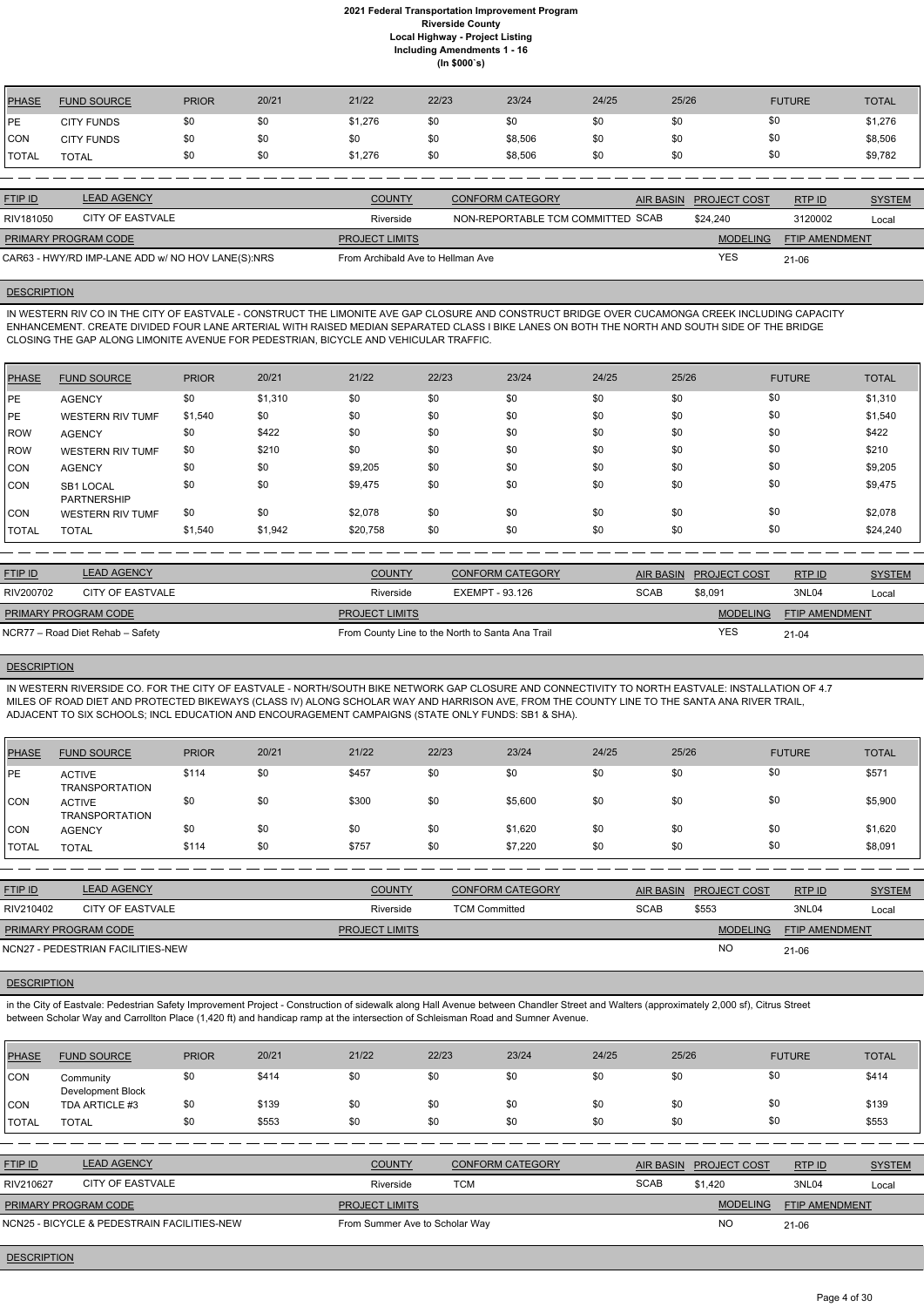| <b>PHASE</b>   | <b>FUND SOURCE</b>                                | <b>PRIOR</b> | 20/21 | 21/22                             | 22/23 | 23/24                             | 24/25            | 25/26               | <b>FUTURE</b> |                       | <b>TOTAL</b>  |
|----------------|---------------------------------------------------|--------------|-------|-----------------------------------|-------|-----------------------------------|------------------|---------------------|---------------|-----------------------|---------------|
| IPE.           | <b>CITY FUNDS</b>                                 | \$0          | \$0   | \$1,276                           | \$0   | \$0                               | \$0              | \$0                 | \$0           |                       | \$1,276       |
| <b>CON</b>     | <b>CITY FUNDS</b>                                 | \$0          | \$0   | \$0                               | \$0   | \$8,506                           | \$0              | \$0                 | \$0           |                       | \$8,506       |
| <b>TOTAL</b>   | <b>TOTAL</b>                                      | \$0          | \$0   | \$1,276                           | \$0   | \$8,506                           | \$0              | \$0                 | \$0           |                       | \$9,782       |
|                |                                                   |              |       |                                   |       |                                   |                  |                     |               |                       |               |
| <b>FTIP ID</b> | <b>LEAD AGENCY</b>                                |              |       | <b>COUNTY</b>                     |       | <b>CONFORM CATEGORY</b>           | <b>AIR BASIN</b> | <b>PROJECT COST</b> |               | RTPID                 | <b>SYSTEM</b> |
| RIV181050      | <b>CITY OF EASTVALE</b>                           |              |       | Riverside                         |       | NON-REPORTABLE TCM COMMITTED SCAB |                  | \$24,240            |               | 3120002               | Local         |
|                | PRIMARY PROGRAM CODE                              |              |       | <b>PROJECT LIMITS</b>             |       |                                   |                  | <b>MODELING</b>     |               | <b>FTIP AMENDMENT</b> |               |
|                | CAR63 - HWY/RD IMP-LANE ADD w/ NO HOV LANE(S):NRS |              |       | From Archibald Ave to Hellman Ave |       |                                   |                  | <b>YES</b>          | $21 - 06$     |                       |               |

### **DESCRIPTION**

IN WESTERN RIV CO IN THE CITY OF EASTVALE - CONSTRUCT THE LIMONITE AVE GAP CLOSURE AND CONSTRUCT BRIDGE OVER CUCAMONGA CREEK INCLUDING CAPACITY ENHANCEMENT. CREATE DIVIDED FOUR LANE ARTERIAL WITH RAISED MEDIAN SEPARATED CLASS I BIKE LANES ON BOTH THE NORTH AND SOUTH SIDE OF THE BRIDGE CLOSING THE GAP ALONG LIMONITE AVENUE FOR PEDESTRIAN, BICYCLE AND VEHICULAR TRAFFIC.

| <b>PHASE</b> | <b>FUND SOURCE</b>              | <b>PRIOR</b> | 20/21   | 21/22    | 22/23 | 23/24 | 24/25 | 25/26 | <b>FUTURE</b> | <b>TOTAL</b> |
|--------------|---------------------------------|--------------|---------|----------|-------|-------|-------|-------|---------------|--------------|
| <b>IPE</b>   | <b>AGENCY</b>                   | \$0          | \$1,310 | \$0      | \$0   | \$0   | \$0   | \$0   | \$0           | \$1,310      |
| <b>IPE</b>   | <b>WESTERN RIV TUMF</b>         | \$1,540      | \$0     | \$0      | \$0   | \$0   | \$0   | \$0   | \$0           | \$1,540      |
| ROW          | <b>AGENCY</b>                   | \$0          | \$422   | \$0      | \$0   | \$0   | \$0   | \$0   | \$0           | \$422        |
| <b>IROW</b>  | <b>WESTERN RIV TUMF</b>         | \$0          | \$210   | \$0      | \$0   | \$0   | \$0   | \$0   | \$0           | \$210        |
| CON          | <b>AGENCY</b>                   | \$0          | \$0     | \$9,205  | \$0   | \$0   | \$0   | \$0   | \$0           | \$9,205      |
| <b>CON</b>   | SB1 LOCAL<br><b>PARTNERSHIP</b> | \$0          | \$0     | \$9,475  | \$0   | \$0   | \$0   | \$0   | \$0           | \$9,475      |
| CON          | <b>WESTERN RIV TUMF</b>         | \$0          | \$0     | \$2,078  | \$0   | \$0   | \$0   | \$0   | \$0           | \$2,078      |
| <b>TOTAL</b> | <b>TOTAL</b>                    | \$1,540      | \$1,942 | \$20,758 | \$0   | \$0   | \$0   | \$0   | \$0           | \$24,240     |

| <b>FTIP ID</b>              | <b>LEAD AGENCY</b>               | <b>COUNTY</b>         | CONFORM CATEGORY                                 | <b>AIR BASIN</b> | <b>PROJECT COST</b> | RTP ID                | <b>SYSTEM</b> |
|-----------------------------|----------------------------------|-----------------------|--------------------------------------------------|------------------|---------------------|-----------------------|---------------|
| RIV200702                   | CITY OF EASTVALE                 | Riverside             | EXEMPT - 93.126                                  | <b>SCAB</b>      | \$8,091             | 3NL04                 | Local         |
| <b>PRIMARY PROGRAM CODE</b> |                                  | <b>PROJECT LIMITS</b> |                                                  |                  | <b>MODELING</b>     | <b>FTIP AMENDMENT</b> |               |
|                             | NCR77 – Road Diet Rehab – Safety |                       | From County Line to the North to Santa Ana Trail |                  | <b>YES</b>          | $21 - 04$             |               |

### **DESCRIPTION**

IN WESTERN RIVERSIDE CO. FOR THE CITY OF EASTVALE - NORTH/SOUTH BIKE NETWORK GAP CLOSURE AND CONNECTIVITY TO NORTH EASTVALE: INSTALLATION OF 4.7 MILES OF ROAD DIET AND PROTECTED BIKEWAYS (CLASS IV) ALONG SCHOLAR WAY AND HARRISON AVE, FROM THE COUNTY LINE TO THE SANTA ANA RIVER TRAIL, ADJACENT TO SIX SCHOOLS; INCL EDUCATION AND ENCOURAGEMENT CAMPAIGNS (STATE ONLY FUNDS: SB1 & SHA).

| <b>PHASE</b> | <b>FUND SOURCE</b>                     | <b>PRIOR</b> | 20/21 | 21/22 | 22/23 | 23/24   | 24/25 | 25/26 | <b>FUTURE</b> | <b>TOTAL</b> |
|--------------|----------------------------------------|--------------|-------|-------|-------|---------|-------|-------|---------------|--------------|
| PE           | <b>ACTIVE</b><br><b>TRANSPORTATION</b> | \$114        | \$0   | \$457 | \$0   | \$0     | \$0   | \$0   | \$0           | \$571        |
| <b>CON</b>   | <b>ACTIVE</b><br><b>TRANSPORTATION</b> | \$0          | \$0   | \$300 | \$0   | \$5,600 | \$0   | \$0   | \$0           | \$5,900      |
| CON          | <b>AGENCY</b>                          | \$0          | \$0   | \$0   | \$0   | \$1,620 | \$0   | \$0   | \$0           | \$1,620      |
| <b>TOTAL</b> | <b>TOTAL</b>                           | \$114        | \$0   | \$757 | \$0   | \$7,220 | \$0   | \$0   | \$0           | \$8,091      |
|              |                                        |              |       |       |       |         |       |       |               |              |

| <b>FTIP ID</b>       | <b>LEAD AGENCY</b>                | <b>COUNTY</b>         | <b>CONFORM CATEGORY</b> | <b>AIR BASIN</b> | <b>PROJECT COST</b> | RTPID                 | <b>SYSTEM</b> |
|----------------------|-----------------------------------|-----------------------|-------------------------|------------------|---------------------|-----------------------|---------------|
| RIV210402            | CITY OF EASTVALE                  | Riverside             | <b>TCM Committed</b>    | <b>SCAB</b>      | \$553               | 3NL04                 | Local         |
| PRIMARY PROGRAM CODE |                                   | <b>PROJECT LIMITS</b> |                         |                  | <b>MODELING</b>     | <b>FTIP AMENDMENT</b> |               |
|                      | NCN27 - PEDESTRIAN FACILITIES-NEW |                       |                         |                  | <b>NC</b>           | $21 - 06$             |               |

in the City of Eastvale: Pedestrian Safety Improvement Project - Construction of sidewalk along Hall Avenue between Chandler Street and Walters (approximately 2,000 sf), Citrus Street between Scholar Way and Carrollton Place (1,420 ft) and handicap ramp at the intersection of Schleisman Road and Sumner Avenue.

| <b>PHASE</b>   | <b>FUND SOURCE</b>                          | <b>PRIOR</b> | 20/21 | 21/22                          | 22/23      | 23/24                   | 24/25       | 25/26            |                 | <b>FUTURE</b>         | <b>TOTAL</b>  |
|----------------|---------------------------------------------|--------------|-------|--------------------------------|------------|-------------------------|-------------|------------------|-----------------|-----------------------|---------------|
| <b>CON</b>     | Community<br>Development Block              | \$0          | \$414 | \$0                            | \$0        | \$0                     | \$0         | \$0              | \$0             |                       | \$414         |
| ICON           | TDA ARTICLE #3                              | \$0          | \$139 | \$0                            | \$0        | \$0                     | \$0         | \$0              | \$0             |                       | \$139         |
| <b>I</b> TOTAL | <b>TOTAL</b>                                | \$0          | \$553 | \$0                            | \$0        | \$0                     | \$0         | \$0              | \$0             |                       | \$553         |
|                |                                             |              |       |                                |            |                         |             |                  |                 |                       |               |
| <b>FTIP ID</b> | <b>LEAD AGENCY</b>                          |              |       | <b>COUNTY</b>                  |            | <b>CONFORM CATEGORY</b> |             | <b>AIR BASIN</b> | PROJECT COST    | RTP ID                | <b>SYSTEM</b> |
| RIV210627      | <b>CITY OF EASTVALE</b>                     |              |       | Riverside                      | <b>TCM</b> |                         | <b>SCAB</b> |                  | \$1.420         | 3NL04                 | Local         |
|                | PRIMARY PROGRAM CODE                        |              |       | <b>PROJECT LIMITS</b>          |            |                         |             |                  | <b>MODELING</b> | <b>FTIP AMENDMENT</b> |               |
|                | NCN25 - BICYCLE & PEDESTRAIN FACILITIES-NEW |              |       | From Summer Ave to Scholar Way |            |                         |             |                  | <b>NO</b>       | $21 - 06$             |               |

# **DESCRIPTION**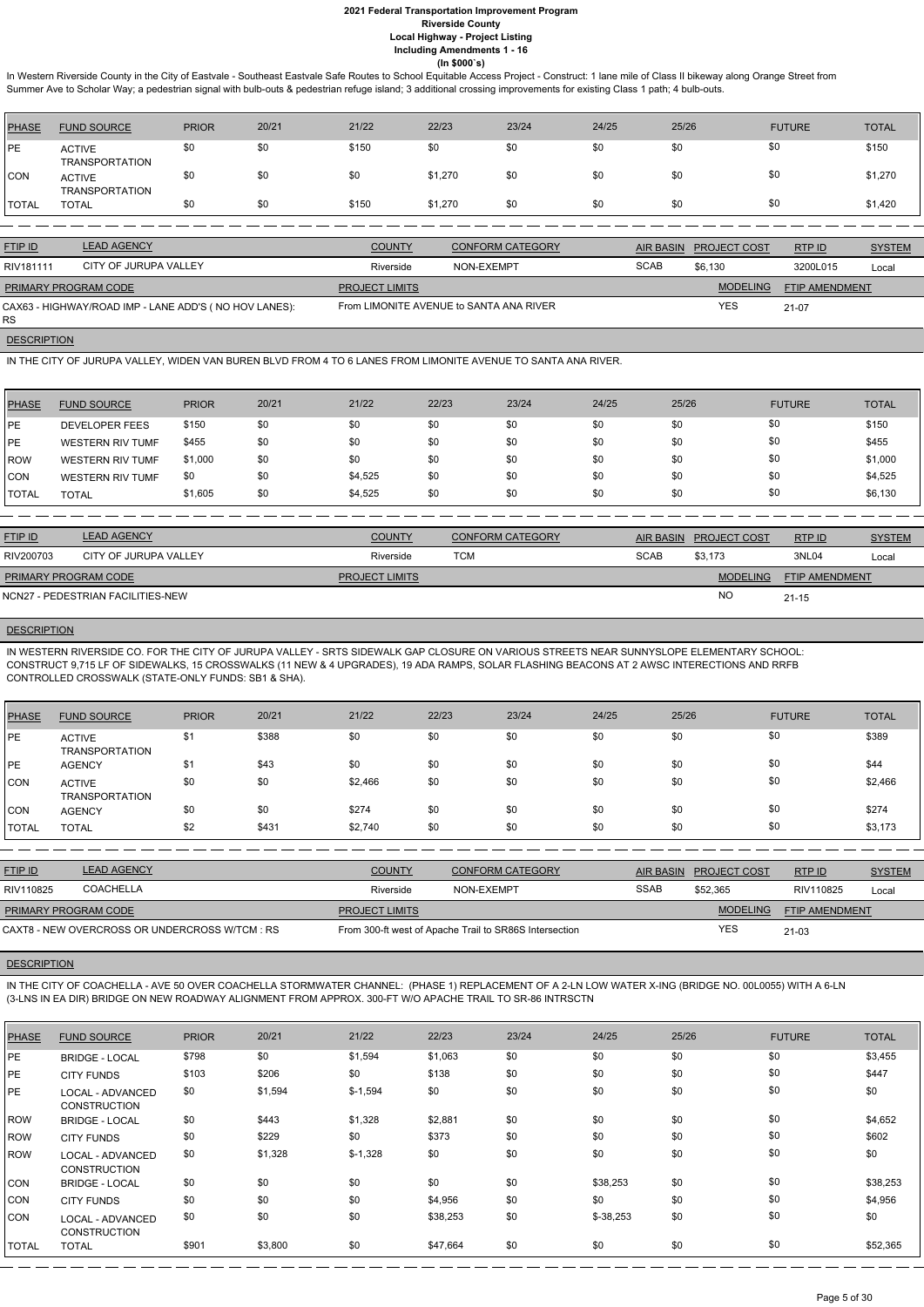In Western Riverside County in the City of Eastvale - Southeast Eastvale Safe Routes to School Equitable Access Project - Construct: 1 lane mile of Class II bikeway along Orange Street from Summer Ave to Scholar Way; a pedestrian signal with bulb-outs & pedestrian refuge island; 3 additional crossing improvements for existing Class 1 path; 4 bulb-outs.

| <b>PHASE</b> | <b>FUND SOURCE</b>                     | <b>PRIOR</b> | 20/21 | 21/22 | 22/23   | 23/24 | 24/25 | 25/26 | <b>FUTURE</b> | <b>TOTAL</b> |
|--------------|----------------------------------------|--------------|-------|-------|---------|-------|-------|-------|---------------|--------------|
| PE           | <b>ACTIVE</b><br><b>TRANSPORTATION</b> | \$0          | \$0   | \$150 | \$0     | \$0   | \$0   | \$0   | \$0           | \$150        |
| CON          | <b>ACTIVE</b><br><b>TRANSPORTATION</b> | \$0          | \$0   | \$0   | \$1,270 | \$0   | \$0   | \$0   | \$0           | \$1,270      |
| TOTAL        | <b>TOTAL</b>                           | \$0          | \$0   | \$150 | \$1,270 | \$0   | \$0   | \$0   | \$0           | \$1,420      |

| <b>FTIP ID</b>              | <b>LEAD AGENCY</b>                                    | <b>COUNTY</b>         | <b>CONFORM CATEGORY</b>                 |             | AIR BASIN PROJECT COST | <b>RTPID</b>          | <b>SYSTEM</b> |
|-----------------------------|-------------------------------------------------------|-----------------------|-----------------------------------------|-------------|------------------------|-----------------------|---------------|
| RIV181111                   | CITY OF JURUPA VALLEY                                 | Riverside             | NON-EXEMPT                              | <b>SCAB</b> | \$6.130                | 3200L015              | Local         |
| <u>PRIMARY PROGRAM CODE</u> |                                                       | <b>PROJECT LIMITS</b> |                                         |             | <b>MODELING</b>        | <b>FTIP AMENDMENT</b> |               |
| <b>RS</b>                   | CAX63 - HIGHWAY/ROAD IMP - LANE ADD'S (NO HOV LANES): |                       | From LIMONITE AVENUE to SANTA ANA RIVER |             | <b>YES</b>             | $21-07$               |               |

# **DESCRIPTION**

IN THE CITY OF JURUPA VALLEY, WIDEN VAN BUREN BLVD FROM 4 TO 6 LANES FROM LIMONITE AVENUE TO SANTA ANA RIVER.

| <b>PHASE</b>  | <b>FUND SOURCE</b>      | <b>PRIOR</b> | 20/21 | 21/22   | 22/23 | 23/24 | 24/25 | 25/26 | <b>FUTURE</b> | <b>TOTAL</b> |
|---------------|-------------------------|--------------|-------|---------|-------|-------|-------|-------|---------------|--------------|
| <b>IPE</b>    | <b>DEVELOPER FEES</b>   | \$150        | \$0   | \$0     | \$0   | \$0   | \$0   | \$0   | \$0           | \$150        |
| <b>IPE</b>    | <b>WESTERN RIV TUMF</b> | \$455        | \$0   | \$0     | \$0   | \$0   | \$0   | \$0   | \$0           | \$455        |
| <b>IROW</b>   | <b>WESTERN RIV TUMF</b> | \$1,000      | \$0   | \$0     | \$0   | \$0   | \$0   | \$0   | \$0           | \$1,000      |
| <b>CON</b>    | <b>WESTERN RIV TUMF</b> | \$0          | \$0   | \$4,525 | \$0   | \$0   | \$0   | \$0   | \$0           | \$4,525      |
| <b>ITOTAL</b> | <b>TOTAL</b>            | \$1,605      | \$0   | \$4,525 | \$0   | \$0   | \$0   | \$0   | \$0           | \$6,130      |

| <b>FTIP ID</b>              | <b>LEAD AGENCY</b>                | <b>COUNTY</b>         | <b>CONFORM CATEGORY</b> |             | AIR BASIN PROJECT COST | RTPID                 | <b>SYSTEM</b> |
|-----------------------------|-----------------------------------|-----------------------|-------------------------|-------------|------------------------|-----------------------|---------------|
| RIV200703                   | CITY OF JURUPA VALLEY             | Riverside             | TCM                     | <b>SCAB</b> | \$3.173                | 3NL04                 | Local         |
| <b>PRIMARY PROGRAM CODE</b> |                                   | <b>PROJECT LIMITS</b> |                         |             | MODELING               | <b>FTIP AMENDMENT</b> |               |
|                             | NCN27 - PEDESTRIAN FACILITIES-NEW |                       |                         |             | <b>NO</b>              | $21 - 15$             |               |

# **DESCRIPTION**

IN WESTERN RIVERSIDE CO. FOR THE CITY OF JURUPA VALLEY - SRTS SIDEWALK GAP CLOSURE ON VARIOUS STREETS NEAR SUNNYSLOPE ELEMENTARY SCHOOL: CONSTRUCT 9,715 LF OF SIDEWALKS, 15 CROSSWALKS (11 NEW & 4 UPGRADES), 19 ADA RAMPS, SOLAR FLASHING BEACONS AT 2 AWSC INTERECTIONS AND RRFB CONTROLLED CROSSWALK (STATE-ONLY FUNDS: SB1 & SHA).

| PHASE        | <b>FUND SOURCE</b>                     | <b>PRIOR</b> | 20/21 | 21/22   | 22/23 | 23/24 | 24/25 | 25/26 | <b>FUTURE</b> | <b>TOTAL</b> |
|--------------|----------------------------------------|--------------|-------|---------|-------|-------|-------|-------|---------------|--------------|
| PE           | <b>ACTIVE</b><br>TRANSPORTATION        | \$1          | \$388 | \$0     | \$0   | \$0   | \$0   | \$0   | \$0           | \$389        |
| l PE         | <b>AGENCY</b>                          | \$1          | \$43  | \$0     | \$0   | \$0   | \$0   | \$0   | \$0           | \$44         |
| <b>CON</b>   | <b>ACTIVE</b><br><b>TRANSPORTATION</b> | \$0          | \$0   | \$2,466 | \$0   | \$0   | \$0   | \$0   | \$0           | \$2,466      |
| <b>CON</b>   | <b>AGENCY</b>                          | \$0          | \$0   | \$274   | \$0   | \$0   | \$0   | \$0   | \$0           | \$274        |
| <b>TOTAL</b> | <b>TOTAL</b>                           | \$2          | \$431 | \$2,740 | \$0   | \$0   | \$0   | \$0   | \$0           | \$3,173      |

| <b>FTIP ID</b>              | <b>LEAD AGENCY</b>                             | <b>COUNTY</b>         | CONFORM CATEGORY                                       | <b>AIR BASIN</b> | <b>PROJECT COST</b> | RTPID                 | <b>SYSTEM</b> |
|-----------------------------|------------------------------------------------|-----------------------|--------------------------------------------------------|------------------|---------------------|-----------------------|---------------|
| RIV110825                   | <b>COACHELLA</b>                               | Riverside             | NON-EXEMPT                                             | <b>SSAB</b>      | \$52.365            | RIV110825             | Local         |
| <b>PRIMARY PROGRAM CODE</b> |                                                | <b>PROJECT LIMITS</b> |                                                        |                  | <b>MODELING</b>     | <b>FTIP AMENDMENT</b> |               |
|                             | CAXT8 - NEW OVERCROSS OR UNDERCROSS W/TCM : RS |                       | From 300-ft west of Apache Trail to SR86S Intersection |                  | <b>YES</b>          | $21 - 03$             |               |

**DESCRIPTION** 

IN THE CITY OF COACHELLA - AVE 50 OVER COACHELLA STORMWATER CHANNEL: (PHASE 1) REPLACEMENT OF A 2-LN LOW WATER X-ING (BRIDGE NO. 00L0055) WITH A 6-LN

# (3-LNS IN EA DIR) BRIDGE ON NEW ROADWAY ALIGNMENT FROM APPROX. 300-FT W/O APACHE TRAIL TO SR-86 INTRSCTN

| PHASE        | <b>FUND SOURCE</b>                      | <b>PRIOR</b> | 20/21   | 21/22     | 22/23    | 23/24 | 24/25      | 25/26 | <b>FUTURE</b> | <b>TOTAL</b> |
|--------------|-----------------------------------------|--------------|---------|-----------|----------|-------|------------|-------|---------------|--------------|
| <b>IPE</b>   | <b>BRIDGE - LOCAL</b>                   | \$798        | \$0     | \$1,594   | \$1,063  | \$0   | \$0        | \$0   | \$0           | \$3,455      |
| <b>IPE</b>   | <b>CITY FUNDS</b>                       | \$103        | \$206   | \$0       | \$138    | \$0   | \$0        | \$0   | \$0           | \$447        |
| <b>IPE</b>   | LOCAL - ADVANCED<br><b>CONSTRUCTION</b> | \$0          | \$1,594 | $$-1,594$ | \$0      | \$0   | \$0        | \$0   | \$0           | \$0          |
| ROW          | <b>BRIDGE - LOCAL</b>                   | \$0          | \$443   | \$1,328   | \$2,881  | \$0   | \$0        | \$0   | \$0           | \$4,652      |
| ROW          | <b>CITY FUNDS</b>                       | \$0          | \$229   | \$0       | \$373    | \$0   | \$0        | \$0   | \$0           | \$602        |
| ROW          | LOCAL - ADVANCED<br><b>CONSTRUCTION</b> | \$0          | \$1,328 | $$-1,328$ | \$0      | \$0   | \$0        | \$0   | \$0           | \$0          |
| <b>CON</b>   | <b>BRIDGE - LOCAL</b>                   | \$0          | \$0     | \$0       | \$0      | \$0   | \$38,253   | \$0   | \$0           | \$38,253     |
| CON          | <b>CITY FUNDS</b>                       | \$0          | \$0     | \$0       | \$4,956  | \$0   | \$0        | \$0   | \$0           | \$4,956      |
| CON          | LOCAL - ADVANCED<br><b>CONSTRUCTION</b> | \$0          | \$0     | \$0       | \$38,253 | \$0   | $$-38,253$ | \$0   | \$0           | \$0          |
| <b>TOTAL</b> | <b>TOTAL</b>                            | \$901        | \$3,800 | \$0       | \$47,664 | \$0   | \$0        | \$0   | \$0           | \$52,365     |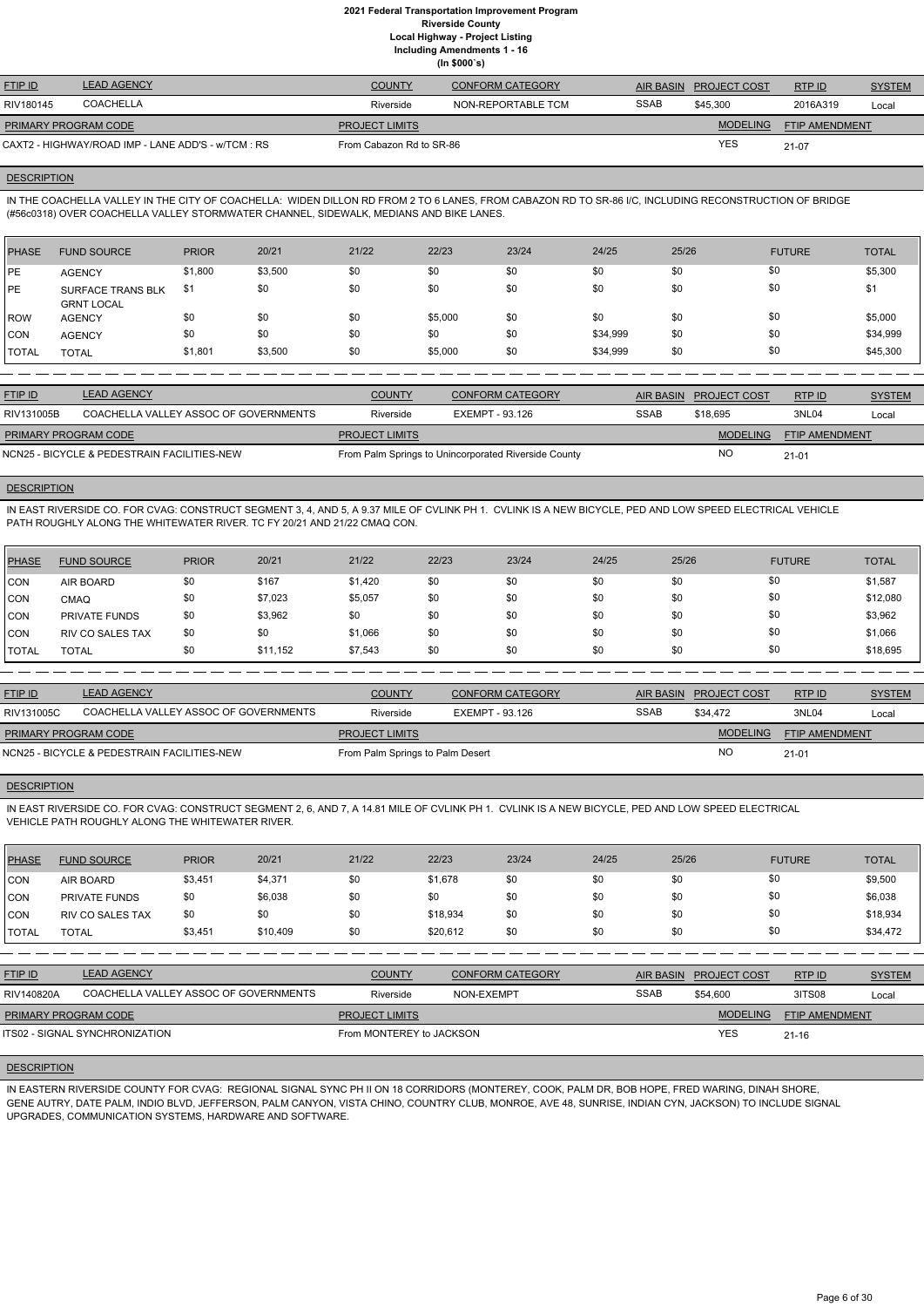**Including Amendments 1 - 16**

|  | (ln \$000's) |  |  |  |
|--|--------------|--|--|--|

| <b>FTIP ID</b>              | <b>LEAD AGENCY</b>                                 | <b>COUNTY</b>            | <b>CONFORM CATEGORY</b> |             | AIR BASIN PROJECT COST | RTPID                 | <b>SYSTEM</b> |
|-----------------------------|----------------------------------------------------|--------------------------|-------------------------|-------------|------------------------|-----------------------|---------------|
| RIV180145                   | <b>COACHELLA</b>                                   | Riverside                | NON-REPORTABLE TCM      | <b>SSAB</b> | \$45,300               | 2016A319              | Local         |
| <b>PRIMARY PROGRAM CODE</b> |                                                    | <b>PROJECT LIMITS</b>    |                         |             | <b>MODELING</b>        | <b>FTIP AMENDMENT</b> |               |
|                             | CAXT2 - HIGHWAY/ROAD IMP - LANE ADD'S - w/TCM : RS | From Cabazon Rd to SR-86 |                         |             | YES                    | $21-07$               |               |

### **DESCRIPTION**

IN THE COACHELLA VALLEY IN THE CITY OF COACHELLA: WIDEN DILLON RD FROM 2 TO 6 LANES, FROM CABAZON RD TO SR-86 I/C, INCLUDING RECONSTRUCTION OF BRIDGE (#56c0318) OVER COACHELLA VALLEY STORMWATER CHANNEL, SIDEWALK, MEDIANS AND BIKE LANES.

| PHASE        | <b>FUND SOURCE</b>                            | <b>PRIOR</b> | 20/21   | 21/22 | 22/23   | 23/24 | 24/25    | 25/26 | <b>FUTURE</b> | <b>TOTAL</b> |
|--------------|-----------------------------------------------|--------------|---------|-------|---------|-------|----------|-------|---------------|--------------|
| <b>IPE</b>   | <b>AGENCY</b>                                 | \$1,800      | \$3,500 | \$0   | \$0     | \$0   | \$0      | \$0   | \$0           | \$5,300      |
| <b>IPE</b>   | <b>SURFACE TRANS BLK</b><br><b>GRNT LOCAL</b> | \$1          | \$0     | \$0   | \$0     | \$0   | \$0      | \$0   | \$0           | \$1          |
| ROW          | <b>AGENCY</b>                                 | \$0          | \$0     | \$0   | \$5,000 | \$0   | \$0      | \$0   | \$0           | \$5,000      |
| <b>CON</b>   | <b>AGENCY</b>                                 | \$0          | \$0     | \$0   | \$0     | \$0   | \$34,999 | \$0   | \$0           | \$34,999     |
| <b>TOTAL</b> | <b>TOTAL</b>                                  | \$1,801      | \$3,500 | \$0   | \$5,000 | \$0   | \$34,999 | \$0   | \$0           | \$45,300     |

| <b>FTIP ID</b>                              | <b>LEAD AGENCY</b>                    | <b>COUNTY</b>         | <b>CONFORM CATEGORY</b>                              |             | AIR BASIN PROJECT COST | RTP ID                | <b>SYSTEM</b> |
|---------------------------------------------|---------------------------------------|-----------------------|------------------------------------------------------|-------------|------------------------|-----------------------|---------------|
| RIV131005B                                  | COACHELLA VALLEY ASSOC OF GOVERNMENTS | Riverside             | EXEMPT - 93.126                                      | <b>SSAB</b> | \$18,695               | 3NL04                 | Local         |
| <b>PRIMARY PROGRAM CODE</b>                 |                                       | <b>PROJECT LIMITS</b> |                                                      |             | <b>MODELING</b>        | <b>FTIP AMENDMENT</b> |               |
| NCN25 - BICYCLE & PEDESTRAIN FACILITIES-NEW |                                       |                       | From Palm Springs to Unincorporated Riverside County |             | <b>NC</b>              | $21 - 01$             |               |

### **DESCRIPTION**

IN EAST RIVERSIDE CO. FOR CVAG: CONSTRUCT SEGMENT 3, 4, AND 5, A 9.37 MILE OF CVLINK PH 1. CVLINK IS A NEW BICYCLE, PED AND LOW SPEED ELECTRICAL VEHICLE PATH ROUGHLY ALONG THE WHITEWATER RIVER. TC FY 20/21 AND 21/22 CMAQ CON.

| PHASE      | <b>FUND SOURCE</b>      | <b>PRIOR</b> | 20/21    | 21/22   | 22/23 | 23/24 | 24/25 | 25/26 | <b>FUTURE</b> | <b>TOTAL</b> |
|------------|-------------------------|--------------|----------|---------|-------|-------|-------|-------|---------------|--------------|
| <b>CON</b> | AIR BOARD               | \$0          | \$167    | \$1,420 | \$0   | \$0   | \$0   | \$0   | \$0           | \$1,587      |
| CON        | <b>CMAQ</b>             | \$0          | \$7,023  | \$5,057 | \$0   | \$0   | \$0   | \$0   | \$0           | \$12,080     |
| <b>CON</b> | <b>PRIVATE FUNDS</b>    | \$0          | \$3,962  | \$0     | \$0   | \$0   | \$0   | \$0   | \$0           | \$3,962      |
| <b>CON</b> | <b>RIV CO SALES TAX</b> | \$0          | \$0      | \$1,066 | \$0   | \$0   | \$0   | \$0   | \$0           | \$1,066      |
| I TOTAL    | <b>TOTAL</b>            | \$0          | \$11,152 | \$7,543 | \$0   | \$0   | \$0   | \$0   | \$0           | \$18,695     |

| <b>FTIP ID</b>              | <b>LEAD AGENCY</b>                          | <b>COUNTY</b>                    | <b>CONFORM CATEGORY</b> | AIR BASIN   | <b>PROJECT COST</b> | RTP ID                | <b>SYSTEM</b> |
|-----------------------------|---------------------------------------------|----------------------------------|-------------------------|-------------|---------------------|-----------------------|---------------|
| RIV131005C                  | COACHELLA VALLEY ASSOC OF GOVERNMENTS       | Riverside                        | EXEMPT - 93.126         | <b>SSAB</b> | \$34,472            | 3NL04                 | Local         |
| <b>PRIMARY PROGRAM CODE</b> |                                             | <b>PROJECT LIMITS</b>            |                         |             | <b>MODELING</b>     | <b>FTIP AMENDMENT</b> |               |
|                             | NCN25 - BICYCLE & PEDESTRAIN FACILITIES-NEW | From Palm Springs to Palm Desert |                         |             | <b>NO</b>           | $21 - 01$             |               |

### **DESCRIPTION**

IN EAST RIVERSIDE CO. FOR CVAG: CONSTRUCT SEGMENT 2, 6, AND 7, A 14.81 MILE OF CVLINK PH 1. CVLINK IS A NEW BICYCLE, PED AND LOW SPEED ELECTRICAL VEHICLE PATH ROUGHLY ALONG THE WHITEWATER RIVER.

| <b>PHASE</b> | <b>FUND SOURCE</b>      | <b>PRIOR</b> | 20/21    | 21/22 | 22/23    | 23/24 | 24/25 | 25/26 | <b>FUTURE</b> | <b>TOTAL</b> |
|--------------|-------------------------|--------------|----------|-------|----------|-------|-------|-------|---------------|--------------|
| CON          | AIR BOARD               | \$3,451      | \$4,371  | \$0   | \$1,678  | \$0   | \$0   | \$0   | \$0           | \$9,500      |
| CON          | <b>PRIVATE FUNDS</b>    | \$0          | \$6,038  | \$0   | \$0      | \$0   | \$0   | \$0   | \$0           | \$6,038      |
| <b>ICON</b>  | <b>RIV CO SALES TAX</b> | \$0          | \$0      | \$0   | \$18,934 | \$0   | \$0   | \$0   | \$0           | \$18,934     |
| <b>TOTAL</b> | <b>TOTAL</b>            | \$3,451      | \$10,409 | \$0   | \$20,612 | \$0   | \$0   | \$0   | \$0           | \$34,472     |

| RIV140820A                  | COACHELLA VALLEY ASSOC OF GOVERNMENTS | Riverside                | NON-EXEMPT | SSAB | \$54,600        | 3ITS08                | Local |
|-----------------------------|---------------------------------------|--------------------------|------------|------|-----------------|-----------------------|-------|
| <b>PRIMARY PROGRAM CODE</b> |                                       | <b>PROJECT LIMITS</b>    |            |      | <b>MODELING</b> | <b>FTIP AMENDMENT</b> |       |
|                             | <b>ITS02 - SIGNAL SYNCHRONIZATION</b> | From MONTEREY to JACKSON |            |      | <b>YES</b>      | $21 - 16$             |       |

### **DESCRIPTION**

IN EASTERN RIVERSIDE COUNTY FOR CVAG: REGIONAL SIGNAL SYNC PH II ON 18 CORRIDORS (MONTEREY, COOK, PALM DR, BOB HOPE, FRED WARING, DINAH SHORE, GENE AUTRY, DATE PALM, INDIO BLVD, JEFFERSON, PALM CANYON, VISTA CHINO, COUNTRY CLUB, MONROE, AVE 48, SUNRISE, INDIAN CYN, JACKSON) TO INCLUDE SIGNAL UPGRADES, COMMUNICATION SYSTEMS, HARDWARE AND SOFTWARE.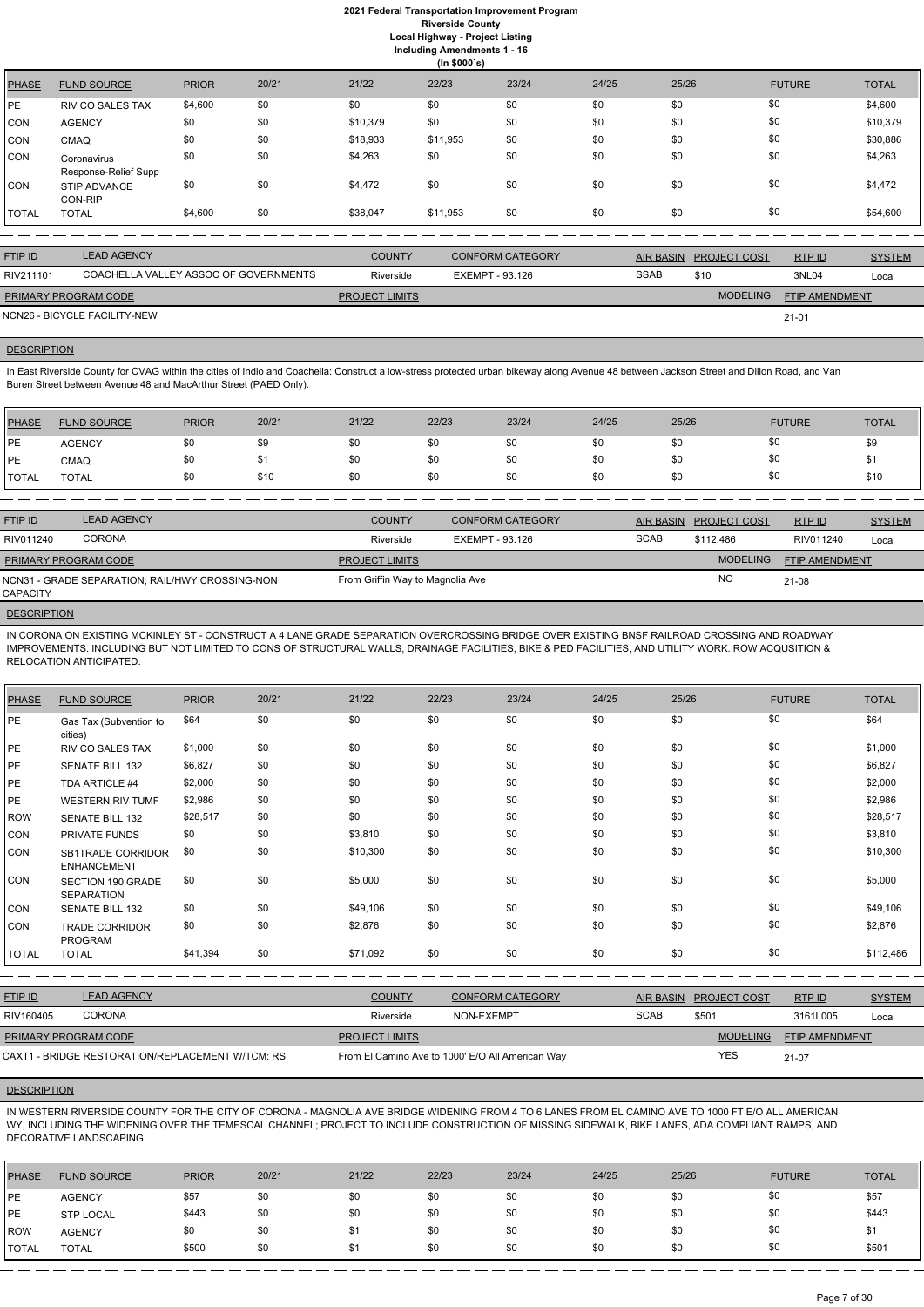|              | (ln \$000's)                        |              |       |          |          |       |       |       |               |              |  |
|--------------|-------------------------------------|--------------|-------|----------|----------|-------|-------|-------|---------------|--------------|--|
| <b>PHASE</b> | <b>FUND SOURCE</b>                  | <b>PRIOR</b> | 20/21 | 21/22    | 22/23    | 23/24 | 24/25 | 25/26 | <b>FUTURE</b> | <b>TOTAL</b> |  |
| PE           | <b>RIV CO SALES TAX</b>             | \$4,600      | \$0   | \$0      | \$0      | \$0   | \$0   | \$0   | \$0           | \$4,600      |  |
| CON          | <b>AGENCY</b>                       | \$0          | \$0   | \$10,379 | \$0      | \$0   | \$0   | \$0   | \$0           | \$10,379     |  |
| CON          | <b>CMAQ</b>                         | \$0          | \$0   | \$18,933 | \$11,953 | \$0   | \$0   | \$0   | \$0           | \$30,886     |  |
| CON          | Coronavirus<br>Response-Relief Supp | \$0          | \$0   | \$4,263  | \$0      | \$0   | \$0   | \$0   | \$0           | \$4,263      |  |
| <b>CON</b>   | <b>STIP ADVANCE</b><br>CON-RIP      | \$0          | \$0   | \$4,472  | \$0      | \$0   | \$0   | \$0   | \$0           | \$4,472      |  |
| <b>TOTAL</b> | <b>TOTAL</b>                        | \$4,600      | \$0   | \$38,047 | \$11,953 | \$0   | \$0   | \$0   | \$0           | \$54,600     |  |

In East Riverside County for CVAG within the cities of Indio and Coachella: Construct a low-stress protected urban bikeway along Avenue 48 between Jackson Street and Dillon Road, and Van Buren Street between Avenue 48 and MacArthur Street (PAED Only).

| <b>FTIP ID</b>              | <b>LEAD AGENCY</b>                    | <b>COUNTY</b>         | CONFORM CATEGORY |             | AIR BASIN PROJECT COST | RTPID                 | <b>SYSTEM</b> |
|-----------------------------|---------------------------------------|-----------------------|------------------|-------------|------------------------|-----------------------|---------------|
| RIV211101                   | COACHELLA VALLEY ASSOC OF GOVERNMENTS | Riverside             | EXEMPT - 93.126  | <b>SSAB</b> | \$10                   | 3NL04                 | Local         |
| <b>PRIMARY PROGRAM CODE</b> |                                       | <b>PROJECT LIMITS</b> |                  |             | <b>MODELING</b>        | <b>FTIP AMENDMENT</b> |               |
|                             | NCN26 - BICYCLE FACILITY-NEW          |                       |                  |             |                        | $21 - 01$             |               |

# **DESCRIPTION**

| <b>PHASE</b> | <b>FUND SOURCE</b> | <b>PRIOR</b> | 20/21 | 21/22 | 22/23 | 23/24 | 24/25 | 25/26 | <b>FUTURE</b> | <b>TOTAL</b> |
|--------------|--------------------|--------------|-------|-------|-------|-------|-------|-------|---------------|--------------|
| <b>PE</b>    | <b>AGENCY</b>      | \$0          | \$9   | \$0   | \$0   | \$0   | \$0   | \$0   | \$0           | \$9          |
| <b>IPE</b>   | <b>CMAQ</b>        | \$0          |       | \$0   | \$0   | \$0   | \$0   | \$0   | \$0           | ъ            |
| <b>TOTAL</b> | TOTAL              | \$0          | \$10  | \$0   | \$0   | \$0   | \$0   | \$0   | \$0           | \$10         |

| <b>FTIP ID</b>              | <b>LEAD AGENCY</b>                              | <b>COUNTY</b>                    | <b>CONFORM CATEGORY</b> | <b>AIR BASIN</b> | <b>PROJECT COST</b> | RTPID                 | <b>SYSTEM</b> |
|-----------------------------|-------------------------------------------------|----------------------------------|-------------------------|------------------|---------------------|-----------------------|---------------|
| RIV011240                   | <b>CORONA</b>                                   | Riverside                        | EXEMPT - 93.126         | <b>SCAB</b>      | \$112,486           | RIV011240             | Local         |
| <b>PRIMARY PROGRAM CODE</b> |                                                 | <b>PROJECT LIMITS</b>            |                         |                  | <b>MODELING</b>     | <b>FTIP AMENDMENT</b> |               |
| <b>CAPACITY</b>             | NCN31 - GRADE SEPARATION; RAIL/HWY CROSSING-NON | From Griffin Way to Magnolia Ave |                         |                  | NO                  | 21-08                 |               |
|                             |                                                 |                                  |                         |                  |                     |                       |               |

**DESCRIPTION** 

IN CORONA ON EXISTING MCKINLEY ST - CONSTRUCT A 4 LANE GRADE SEPARATION OVERCROSSING BRIDGE OVER EXISTING BNSF RAILROAD CROSSING AND ROADWAY IMPROVEMENTS. INCLUDING BUT NOT LIMITED TO CONS OF STRUCTURAL WALLS, DRAINAGE FACILITIES, BIKE & PED FACILITIES, AND UTILITY WORK. ROW ACQUSITION & RELOCATION ANTICIPATED.

| PHASE        | <b>FUND SOURCE</b>                      | <b>PRIOR</b> | 20/21 | 21/22    | 22/23 | 23/24 | 24/25 | 25/26 | <b>FUTURE</b> | <b>TOTAL</b> |
|--------------|-----------------------------------------|--------------|-------|----------|-------|-------|-------|-------|---------------|--------------|
| PE           | Gas Tax (Subvention to<br>cities)       | \$64         | \$0   | \$0      | \$0   | \$0   | \$0   | \$0   | \$0           | \$64         |
| PE           | <b>RIV CO SALES TAX</b>                 | \$1,000      | \$0   | \$0      | \$0   | \$0   | \$0   | \$0   | \$0           | \$1,000      |
| PE           | <b>SENATE BILL 132</b>                  | \$6,827      | \$0   | \$0      | \$0   | \$0   | \$0   | \$0   | \$0           | \$6,827      |
| PE           | TDA ARTICLE #4                          | \$2,000      | \$0   | \$0      | \$0   | \$0   | \$0   | \$0   | \$0           | \$2,000      |
| PE           | <b>WESTERN RIV TUMF</b>                 | \$2,986      | \$0   | \$0      | \$0   | \$0   | \$0   | \$0   | \$0           | \$2,986      |
| ROW          | <b>SENATE BILL 132</b>                  | \$28,517     | \$0   | \$0      | \$0   | \$0   | \$0   | \$0   | \$0           | \$28,517     |
| <b>CON</b>   | PRIVATE FUNDS                           | \$0          | \$0   | \$3,810  | \$0   | \$0   | \$0   | \$0   | \$0           | \$3,810      |
| <b>CON</b>   | SB1TRADE CORRIDOR<br><b>ENHANCEMENT</b> | \$0          | \$0   | \$10,300 | \$0   | \$0   | \$0   | \$0   | \$0           | \$10,300     |
| CON          | SECTION 190 GRADE<br><b>SEPARATION</b>  | \$0          | \$0   | \$5,000  | \$0   | \$0   | \$0   | \$0   | \$0           | \$5,000      |
| CON          | <b>SENATE BILL 132</b>                  | \$0          | \$0   | \$49,106 | \$0   | \$0   | \$0   | \$0   | \$0           | \$49,106     |
| <b>CON</b>   | <b>TRADE CORRIDOR</b><br><b>PROGRAM</b> | \$0          | \$0   | \$2,876  | \$0   | \$0   | \$0   | \$0   | \$0           | \$2,876      |
| <b>TOTAL</b> | <b>TOTAL</b>                            | \$41,394     | \$0   | \$71,092 | \$0   | \$0   | \$0   | \$0   | \$0           | \$112,486    |

| <b>FTIP ID</b>              | <b>LEAD AGENCY</b>                               | <b>COUNTY</b>         | <b>CONFORM CATEGORY</b>                          |             | AIR BASIN PROJECT COST | RTPID                 | <b>SYSTEM</b> |
|-----------------------------|--------------------------------------------------|-----------------------|--------------------------------------------------|-------------|------------------------|-----------------------|---------------|
| RIV160405                   | <b>CORONA</b>                                    | Riverside             | NON-EXEMPT                                       | <b>SCAB</b> | \$501                  | 3161L005              | Local         |
| <b>PRIMARY PROGRAM CODE</b> |                                                  | <b>PROJECT LIMITS</b> |                                                  |             | <b>MODELING</b>        | <b>FTIP AMENDMENT</b> |               |
|                             | CAXT1 - BRIDGE RESTORATION/REPLACEMENT W/TCM: RS |                       | From El Camino Ave to 1000' E/O All American Way |             | YES                    | 21-07                 |               |

### **DESCRIPTION**

IN WESTERN RIVERSIDE COUNTY FOR THE CITY OF CORONA - MAGNOLIA AVE BRIDGE WIDENING FROM 4 TO 6 LANES FROM EL CAMINO AVE TO 1000 FT E/O ALL AMERICAN WY, INCLUDING THE WIDENING OVER THE TEMESCAL CHANNEL; PROJECT TO INCLUDE CONSTRUCTION OF MISSING SIDEWALK, BIKE LANES, ADA COMPLIANT RAMPS, AND DECORATIVE LANDSCAPING.

| <b>PHASE</b> | <b>FUND SOURCE</b> | <b>PRIOR</b> | 20/21 | 21/22 | 22/23 | 23/24 | 24/25 | 25/26 | <b>FUTURE</b> | <b>TOTAL</b> |
|--------------|--------------------|--------------|-------|-------|-------|-------|-------|-------|---------------|--------------|
| <b>IPE</b>   | <b>AGENCY</b>      | \$57         | \$0   | \$0   | \$0   | \$0   | \$0   | \$0   | \$0           | \$57         |
| <b>IPE</b>   | <b>STP LOCAL</b>   | \$443        | \$0   | \$0   | \$0   | \$0   | \$0   | \$0   | \$0           | \$443        |
| ROW          | <b>AGENCY</b>      | \$0          | \$0   |       | \$0   | \$0   | \$0   | \$0   | \$0           |              |
| <b>TOTAL</b> | <b>TOTAL</b>       | \$500        | \$0   |       | \$0   | \$0   | \$0   | \$0   | \$0           | \$501        |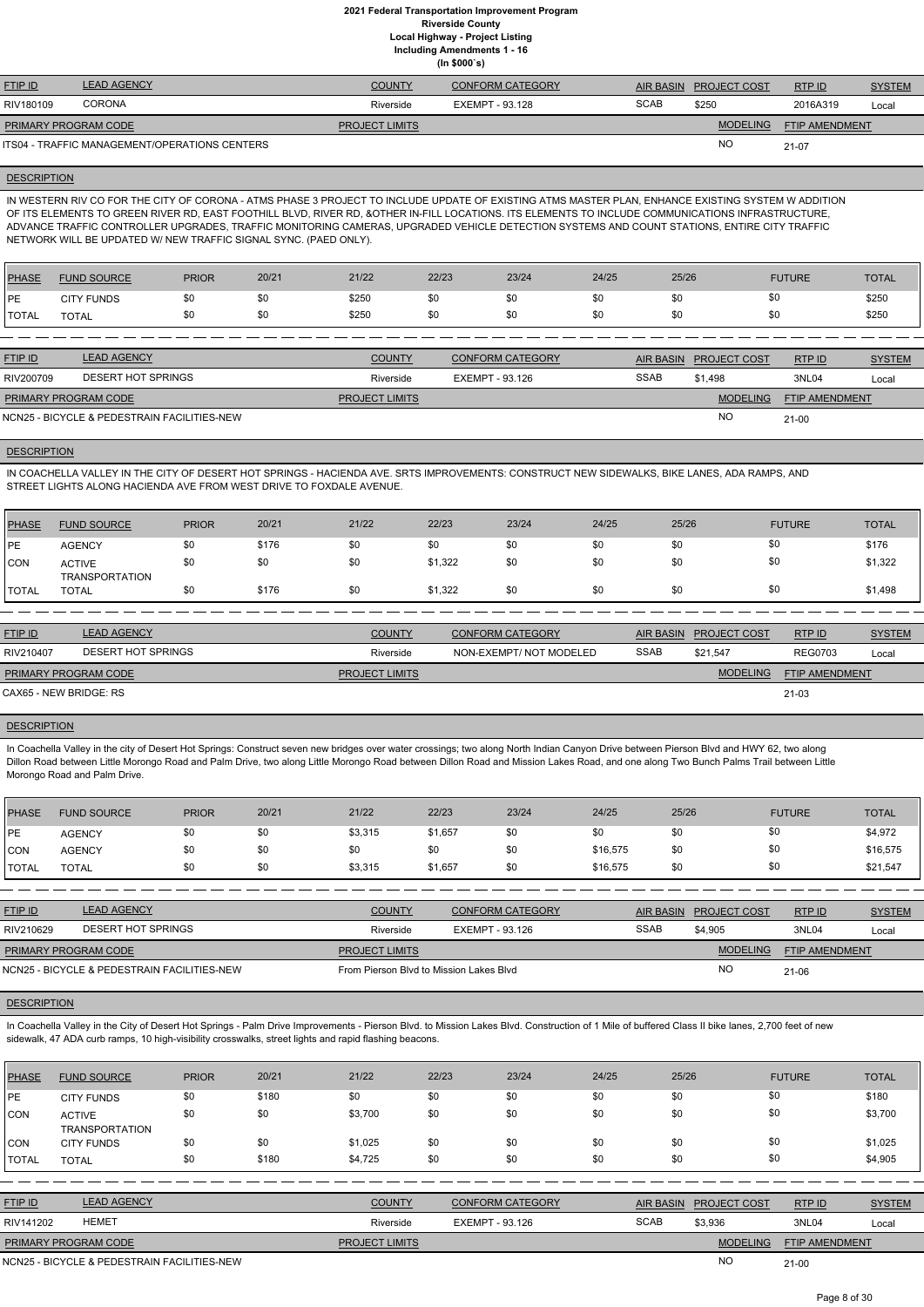**(In \$000`s)** FTIP ID LEAD AGENCY COUNTY CONFORM CATEGORY AIR BASIN PROJECT COST RTP ID SYSTEM AND STREM **MODELING** FTIP AMENDMENT RTP ID RIV180109 CORONA Riverside EXEMPT - 93.128 Local NO SCAB \$250 2016A319 21-07 **PROJECT LIMITS** ITS04 - TRAFFIC MANAGEMENT/OPERATIONS CENTERS PRIMARY PROGRAM CODE

# **DESCRIPTION**

IN WESTERN RIV CO FOR THE CITY OF CORONA - ATMS PHASE 3 PROJECT TO INCLUDE UPDATE OF EXISTING ATMS MASTER PLAN, ENHANCE EXISTING SYSTEM W ADDITION OF ITS ELEMENTS TO GREEN RIVER RD, EAST FOOTHILL BLVD, RIVER RD, &OTHER IN-FILL LOCATIONS. ITS ELEMENTS TO INCLUDE COMMUNICATIONS INFRASTRUCTURE, ADVANCE TRAFFIC CONTROLLER UPGRADES, TRAFFIC MONITORING CAMERAS, UPGRADED VEHICLE DETECTION SYSTEMS AND COUNT STATIONS, ENTIRE CITY TRAFFIC NETWORK WILL BE UPDATED W/ NEW TRAFFIC SIGNAL SYNC. (PAED ONLY).

| <b>PHASE</b> | <b>FUND SOURCE</b> | <b>PRIOR</b> | 20/21 | 21/22 | 22/23 | 23/24 | 24/25 | 25/26 | <b>FUTURE</b> | <b>TOTAL</b> |
|--------------|--------------------|--------------|-------|-------|-------|-------|-------|-------|---------------|--------------|
| <b>IPE</b>   | <b>CITY FUNDS</b>  | \$0          | \$0   | \$250 |       | \$0   | \$0   | \$0   | งเ            | \$250        |
| <b>TOTAL</b> | <b>TOTAL</b>       | \$0          | \$0   | \$250 |       | \$0   | \$0   | \$0   |               | \$250        |
|              |                    |              |       |       |       |       |       |       |               |              |

| <b>FTIP ID</b>              | <b>LEAD AGENCY</b>                          | <b>COUNTY</b>         | <b>CONFORM CATEGORY</b> |             | AIR BASIN PROJECT COST | RTP ID                | <b>SYSTEM</b> |
|-----------------------------|---------------------------------------------|-----------------------|-------------------------|-------------|------------------------|-----------------------|---------------|
| RIV200709                   | DESERT HOT SPRINGS                          | Riverside             | EXEMPT - 93.126         | <b>SSAB</b> | \$1.498                | 3NL04                 | Local         |
| <b>PRIMARY PROGRAM CODE</b> |                                             | <b>PROJECT LIMITS</b> |                         |             | <b>MODELING</b>        | <b>FTIP AMENDMENT</b> |               |
|                             | NCN25 - BICYCLE & PEDESTRAIN FACILITIES-NEW |                       |                         |             | <b>NC</b>              | $21 - 00$             |               |

### **DESCRIPTION**

In Coachella Valley in the city of Desert Hot Springs: Construct seven new bridges over water crossings; two along North Indian Canyon Drive between Pierson Blvd and HWY 62, two along Dillon Road between Little Morongo Road and Palm Drive, two along Little Morongo Road between Dillon Road and Mission Lakes Road, and one along Two Bunch Palms Trail between Little Morongo Road and Palm Drive.

IN COACHELLA VALLEY IN THE CITY OF DESERT HOT SPRINGS - HACIENDA AVE. SRTS IMPROVEMENTS: CONSTRUCT NEW SIDEWALKS, BIKE LANES, ADA RAMPS, AND STREET LIGHTS ALONG HACIENDA AVE FROM WEST DRIVE TO FOXDALE AVENUE.

| <b>PHASE</b>   | <b>FUND SOURCE</b>                     | <b>PRIOR</b> | 20/21 | 21/22 | 22/23   | 23/24 | 24/25 | 25/26 | <b>FUTURE</b> | <b>TOTAL</b> |
|----------------|----------------------------------------|--------------|-------|-------|---------|-------|-------|-------|---------------|--------------|
| <b>IPE</b>     | <b>AGENCY</b>                          |              | \$176 | \$0   |         | \$0   | \$0   | \$0   | \$0           | \$176        |
| <b>CON</b>     | <b>ACTIVE</b><br><b>TRANSPORTATION</b> |              | \$0   | \$0   | \$1,322 | \$0   | \$0   | \$0   | \$0           | \$1,322      |
| <b>I</b> TOTAL | <b>TOTAL</b>                           | \$0          | \$176 | \$0   | \$1,322 | \$0   | \$0   | \$0   | \$0           | \$1,498      |

| <b>FTIP ID</b>              | <b>LEAD AGENCY</b> | <b>COUNTY</b>         | <b>CONFORM CATEGORY</b> | <b>AIR BASIN</b> | <b>PROJECT COST</b> | RTPID                 | <b>SYSTEM</b> |
|-----------------------------|--------------------|-----------------------|-------------------------|------------------|---------------------|-----------------------|---------------|
| RIV210407                   | DESERT HOT SPRINGS | Riverside             | NON-EXEMPT/NOT MODELED  | <b>SSAB</b>      | \$21.547            | <b>REG0703</b>        | Local         |
| <b>PRIMARY PROGRAM CODE</b> |                    | <b>PROJECT LIMITS</b> |                         |                  | <b>MODELING</b>     | <b>FTIP AMENDMENT</b> |               |
| CAX65 - NEW BRIDGE: RS      |                    |                       |                         |                  |                     | 21-03                 |               |

### **DESCRIPTION**

| <b>PHASE</b> | <b>FUND SOURCE</b> | <b>PRIOR</b> | 20/21 | 21/22   | 22/23   | 23/24 | 24/25    | 25/26 | <b>FUTURE</b> | <b>TOTAL</b> |
|--------------|--------------------|--------------|-------|---------|---------|-------|----------|-------|---------------|--------------|
| <b>IPE</b>   | <b>AGENCY</b>      |              | \$0   | \$3,315 | \$1,657 | \$0   | \$0      | \$0   | \$0           | \$4,972      |
| <b>CON</b>   | <b>AGENCY</b>      |              | \$0   | \$0     |         | \$0   | \$16,575 | \$0   | \$0           | \$16,575     |
| <b>TOTAL</b> | <b>TOTAL</b>       |              | \$0   | \$3,315 | \$1,657 | \$0   | \$16,575 | \$0   | \$0           | \$21,547     |

| <b>FTIP ID</b>                              | <b>LEAD AGENCY</b> | <b>COUNTY</b>                           | CONFORM CATEGORY |             | AIR BASIN PROJECT COST | RTP ID                | <b>SYSTEM</b> |
|---------------------------------------------|--------------------|-----------------------------------------|------------------|-------------|------------------------|-----------------------|---------------|
| RIV210629                                   | DESERT HOT SPRINGS | Riverside                               | EXEMPT - 93.126  | <b>SSAB</b> | \$4,905                | 3NL04                 | Local         |
| <b>PRIMARY PROGRAM CODE</b>                 |                    | <b>PROJECT LIMITS</b>                   |                  |             | <b>MODELING</b>        | <b>FTIP AMENDMENT</b> |               |
| NCN25 - BICYCLE & PEDESTRAIN FACILITIES-NEW |                    | From Pierson Blyd to Mission Lakes Blyd |                  |             | NC                     | $21 - 06$             |               |

### **DESCRIPTION**

In Coachella Valley in the City of Desert Hot Springs - Palm Drive Improvements - Pierson Blvd. to Mission Lakes Blvd. Construction of 1 Mile of buffered Class II bike lanes, 2,700 feet of new sidewalk, 47 ADA curb ramps, 10 high-visibility crosswalks, street lights and rapid flashing beacons.

| <b>PHASE</b> | <b>FUND SOURCE</b>                          | <b>PRIOR</b> | 20/21 | 21/22                 | 22/23           | 23/24                   | 24/25 | 25/26            |                     | <b>FUTURE</b>  | <b>TOTAL</b>  |
|--------------|---------------------------------------------|--------------|-------|-----------------------|-----------------|-------------------------|-------|------------------|---------------------|----------------|---------------|
| <b>IPE</b>   | <b>CITY FUNDS</b>                           | \$0          | \$180 | \$0                   | \$0             | \$0                     | \$0   | \$0              | \$0                 |                | \$180         |
| CON          | <b>ACTIVE</b><br><b>TRANSPORTATION</b>      | \$0          | \$0   | \$3,700               | \$0             | \$0                     | \$0   | \$0              | \$0                 |                | \$3,700       |
| CON          | <b>CITY FUNDS</b>                           | \$0          | \$0   | \$1,025               | \$0             | \$0                     | \$0   | \$0              | \$0                 |                | \$1,025       |
| <b>TOTAL</b> | <b>TOTAL</b>                                | \$0          | \$180 | \$4,725               | \$0             | \$0                     | \$0   | \$0              | \$0                 |                | \$4,905       |
|              |                                             |              |       |                       |                 |                         |       |                  |                     |                |               |
| FTIP ID      | <b>LEAD AGENCY</b>                          |              |       | <b>COUNTY</b>         |                 | <b>CONFORM CATEGORY</b> |       | <b>AIR BASIN</b> | <b>PROJECT COST</b> | RTP ID         | <b>SYSTEM</b> |
| RIV141202    | <b>HEMET</b>                                |              |       | Riverside             | EXEMPT - 93.126 |                         |       | <b>SCAB</b>      | \$3,936             | 3NL04          | Local         |
|              | PRIMARY PROGRAM CODE                        |              |       | <b>PROJECT LIMITS</b> |                 |                         |       |                  | <b>MODELING</b>     | FTIP AMENDMENT |               |
|              | NCN25 - BICYCLE & PEDESTRAIN FACILITIES-NEW |              |       |                       |                 |                         |       |                  | <b>NO</b>           | $21 - 00$      |               |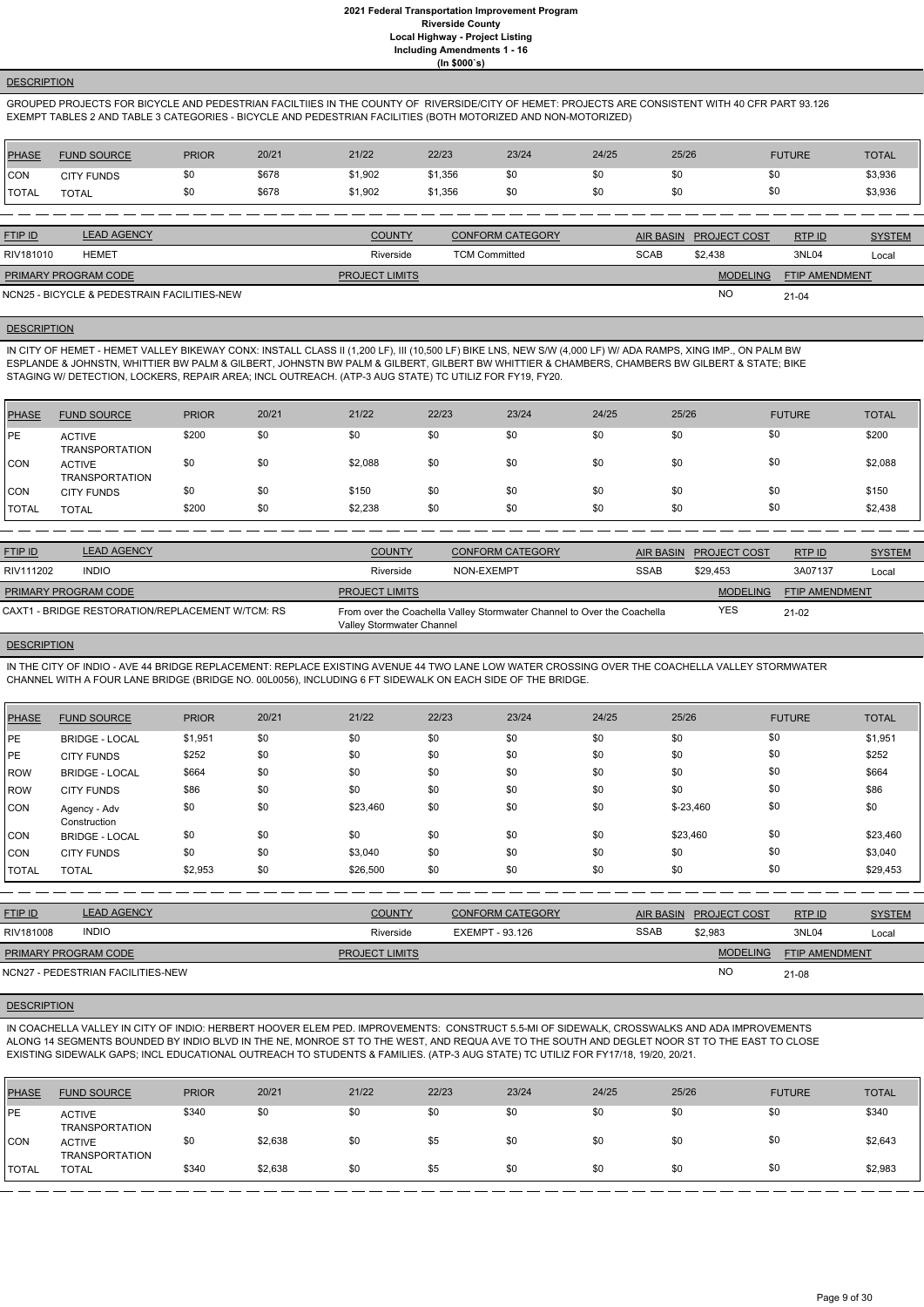### **DESCRIPTION**

GROUPED PROJECTS FOR BICYCLE AND PEDESTRIAN FACILTIIES IN THE COUNTY OF RIVERSIDE/CITY OF HEMET: PROJECTS ARE CONSISTENT WITH 40 CFR PART 93.126 EXEMPT TABLES 2 AND TABLE 3 CATEGORIES - BICYCLE AND PEDESTRIAN FACILITIES (BOTH MOTORIZED AND NON-MOTORIZED)

| <b>PHASE</b> | <b>FUND SOURCE</b> | <b>PRIOR</b> | 20/21 | 21/22   | 22/23   | 23/24 | 24/25 | 25/26 | <b>FUTURE</b> | <b>TOTAL</b> |
|--------------|--------------------|--------------|-------|---------|---------|-------|-------|-------|---------------|--------------|
| <b>CON</b>   | <b>CITY FUNDS</b>  | \$0          | \$678 | \$1,902 | \$1,356 | \$0   | \$0   |       | \$0           | \$3,936      |
| <b>TOTAL</b> | TOTAL              | \$0          | \$678 | \$1,902 | \$1,356 | \$0   | \$0   |       | \$0           | \$3,936      |

IN CITY OF HEMET - HEMET VALLEY BIKEWAY CONX: INSTALL CLASS II (1,200 LF), III (10,500 LF) BIKE LNS, NEW S/W (4,000 LF) W/ ADA RAMPS, XING IMP., ON PALM BW ESPLANDE & JOHNSTN, WHITTIER BW PALM & GILBERT, JOHNSTN BW PALM & GILBERT, GILBERT BW WHITTIER & CHAMBERS, CHAMBERS BW GILBERT & STATE; BIKE STAGING W/ DETECTION, LOCKERS, REPAIR AREA; INCL OUTREACH. (ATP-3 AUG STATE) TC UTILIZ FOR FY19, FY20.

| <b>FTIP ID</b>              | <b>LEAD AGENCY</b>                          | <b>COUNTY</b>         | <b>CONFORM CATEGORY</b> |             | AIR BASIN PROJECT COST | RTPID                 | <b>SYSTEM</b> |
|-----------------------------|---------------------------------------------|-----------------------|-------------------------|-------------|------------------------|-----------------------|---------------|
| RIV181010                   | <b>HEMET</b>                                | Riverside             | <b>TCM Committed</b>    | <b>SCAB</b> | \$2.438                | 3NL04                 | Local         |
| <b>PRIMARY PROGRAM CODE</b> |                                             | <b>PROJECT LIMITS</b> |                         |             | <b>MODELING</b>        | <b>FTIP AMENDMENT</b> |               |
|                             | NCN25 - BICYCLE & PEDESTRAIN FACILITIES-NEW |                       |                         |             | <b>NC</b>              | $21 - 04$             |               |

# **DESCRIPTION**

| PHASE        | <b>FUND SOURCE</b>                     | <b>PRIOR</b> | 20/21 | 21/22   | 22/23 | 23/24 | 24/25 | 25/26 | <b>FUTURE</b> | <b>TOTAL</b> |
|--------------|----------------------------------------|--------------|-------|---------|-------|-------|-------|-------|---------------|--------------|
| <b>IPE</b>   | <b>ACTIVE</b><br><b>TRANSPORTATION</b> | \$200        | \$0   | \$0     | \$0   | \$0   | \$0   | \$0   | \$0           | \$200        |
| <b>CON</b>   | <b>ACTIVE</b><br><b>TRANSPORTATION</b> | \$0          | \$0   | \$2,088 | \$0   | \$0   | \$0   | \$0   | \$0           | \$2,088      |
| ICON         | <b>CITY FUNDS</b>                      | \$0          | \$0   | \$150   | \$0   | \$0   | \$0   | \$0   | \$0           | \$150        |
| <b>TOTAL</b> | <b>TOTAL</b>                           | \$200        | \$0   | \$2,238 | \$0   | \$0   | \$0   | \$0   | \$0           | \$2,438      |

| <b>FTIP ID</b>              | <b>LEAD AGENCY</b>                               | <b>COUNTY</b>             | <b>CONFORM CATEGORY</b>                                                 | AIR BASIN   | <b>PROJECT COST</b> | RTPID                 | <b>SYSTEM</b> |
|-----------------------------|--------------------------------------------------|---------------------------|-------------------------------------------------------------------------|-------------|---------------------|-----------------------|---------------|
| RIV111202                   | <b>INDIO</b>                                     | Riverside                 | NON-EXEMPT                                                              | <b>SSAB</b> | \$29.453            | 3A07137               | Local         |
| <b>PRIMARY PROGRAM CODE</b> |                                                  | <b>PROJECT LIMITS</b>     |                                                                         |             | <b>MODELING</b>     | <b>FTIP AMENDMENT</b> |               |
|                             | CAXT1 - BRIDGE RESTORATION/REPLACEMENT W/TCM: RS | Valley Stormwater Channel | From over the Coachella Valley Stormwater Channel to Over the Coachella |             | YES                 | 21-02                 |               |

### **DESCRIPTION**

IN THE CITY OF INDIO - AVE 44 BRIDGE REPLACEMENT: REPLACE EXISTING AVENUE 44 TWO LANE LOW WATER CROSSING OVER THE COACHELLA VALLEY STORMWATER CHANNEL WITH A FOUR LANE BRIDGE (BRIDGE NO. 00L0056), INCLUDING 6 FT SIDEWALK ON EACH SIDE OF THE BRIDGE.

| <b>PHASE</b> | <b>FUND SOURCE</b>           | <b>PRIOR</b> | 20/21 | 21/22    | 22/23 | 23/24 | 24/25 | 25/26       | <b>FUTURE</b> | <b>TOTAL</b> |
|--------------|------------------------------|--------------|-------|----------|-------|-------|-------|-------------|---------------|--------------|
| <b>IPE</b>   | <b>BRIDGE - LOCAL</b>        | \$1,951      | \$0   | \$0      | \$0   | \$0   | \$0   | \$0         | \$0           | \$1,951      |
| <b>IPE</b>   | <b>CITY FUNDS</b>            | \$252        | \$0   | \$0      | \$0   | \$0   | \$0   | \$0         | \$0           | \$252        |
| <b>IROW</b>  | <b>BRIDGE - LOCAL</b>        | \$664        | \$0   | \$0      | \$0   | \$0   | \$0   | \$0         | \$0           | \$664        |
| <b>ROW</b>   | <b>CITY FUNDS</b>            | \$86         | \$0   | \$0      | \$0   | \$0   | \$0   | \$0         | \$0           | \$86         |
| <b>CON</b>   | Agency - Adv<br>Construction | \$0          | \$0   | \$23,460 | \$0   | \$0   | \$0   | $$ -23,460$ | \$0           | \$0          |
| CON          | <b>BRIDGE - LOCAL</b>        | \$0          | \$0   | \$0      | \$0   | \$0   | \$0   | \$23,460    | \$0           | \$23,460     |
| ICON         | <b>CITY FUNDS</b>            | \$0          | \$0   | \$3,040  | \$0   | \$0   | \$0   | \$0         | \$0           | \$3,040      |
| <b>TOTAL</b> | <b>TOTAL</b>                 | \$2,953      | \$0   | \$26,500 | \$0   | \$0   | \$0   | \$0         | \$0           | \$29,453     |

| <b>FTIP ID</b>              | <b>LEAD AGENCY</b>                | <b>COUNTY</b>         | <b>CONFORM CATEGORY</b> |             | AIR BASIN PROJECT COST | RTPID                 | <b>SYSTEM</b> |
|-----------------------------|-----------------------------------|-----------------------|-------------------------|-------------|------------------------|-----------------------|---------------|
| RIV181008                   | <b>INDIO</b>                      | Riverside             | EXEMPT - 93.126         | <b>SSAB</b> | \$2,983                | 3NL04                 | Local         |
| <b>PRIMARY PROGRAM CODE</b> |                                   | <b>PROJECT LIMITS</b> |                         |             | <b>MODELING</b>        | <b>FTIP AMENDMENT</b> |               |
|                             | NCN27 - PEDESTRIAN FACILITIES-NEW |                       |                         |             | <b>NC</b>              | 21-08                 |               |

21-08

NCN27 - PEDESTRIAN FACILITIES-NEW

IN COACHELLA VALLEY IN CITY OF INDIO: HERBERT HOOVER ELEM PED. IMPROVEMENTS: CONSTRUCT 5.5-MI OF SIDEWALK, CROSSWALKS AND ADA IMPROVEMENTS ALONG 14 SEGMENTS BOUNDED BY INDIO BLVD IN THE NE, MONROE ST TO THE WEST, AND REQUA AVE TO THE SOUTH AND DEGLET NOOR ST TO THE EAST TO CLOSE EXISTING SIDEWALK GAPS; INCL EDUCATIONAL OUTREACH TO STUDENTS & FAMILIES. (ATP-3 AUG STATE) TC UTILIZ FOR FY17/18, 19/20, 20/21.

| <b>PHASE</b> | <b>FUND SOURCE</b>                     | <b>PRIOR</b> | 20/21   | 21/22 | 22/23 | 23/24 | 24/25 | 25/26 | <b>FUTURE</b> | <b>TOTAL</b> |
|--------------|----------------------------------------|--------------|---------|-------|-------|-------|-------|-------|---------------|--------------|
| <b>IPE</b>   | <b>ACTIVE</b><br><b>TRANSPORTATION</b> | \$340        | \$0     | \$0   | \$0   | \$0   | \$0   | \$0   | \$0           | \$340        |
| CON          | <b>ACTIVE</b><br><b>TRANSPORTATION</b> | \$0          | \$2,638 | \$0   | \$5   | \$0   | \$0   | \$0   | \$0           | \$2,643      |
| <b>TOTAL</b> | <b>TOTAL</b>                           | \$340        | \$2,638 | \$0   | \$5   | \$0   | \$0   | \$0   | \$0           | \$2,983      |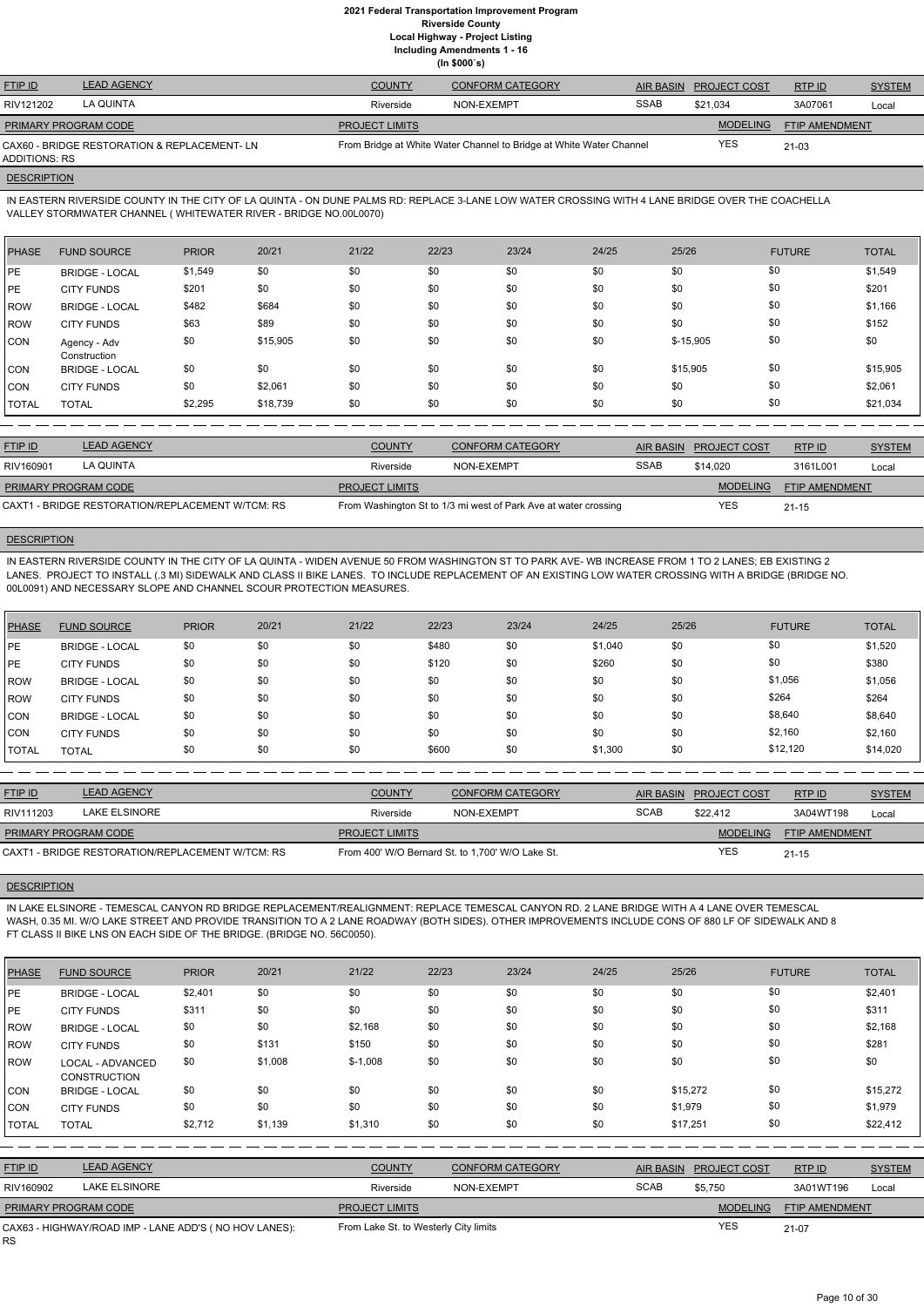**Including Amendments 1 - 16**

**(In \$000`s)**

| <b>FTIP ID</b>              | <b>LEAD AGENCY</b>                          | <b>COUNTY</b>         | <b>CONFORM CATEGORY</b>                                             | AIR BASIN   | <b>PROJECT COST</b> | RTP ID                | <b>SYSTEM</b> |
|-----------------------------|---------------------------------------------|-----------------------|---------------------------------------------------------------------|-------------|---------------------|-----------------------|---------------|
| RIV121202                   | LA QUINTA                                   | Riverside             | NON-EXEMPT                                                          | <b>SSAB</b> | \$21.034            | 3A07061               | Local         |
| <b>PRIMARY PROGRAM CODE</b> |                                             | <b>PROJECT LIMITS</b> |                                                                     |             | <b>MODELING</b>     | <b>FTIP AMENDMENT</b> |               |
| ADDITIONS: RS               | CAX60 - BRIDGE RESTORATION & REPLACEMENT-LN |                       | From Bridge at White Water Channel to Bridge at White Water Channel |             | YES                 | 21-03                 |               |

# **DESCRIPTION**

IN EASTERN RIVERSIDE COUNTY IN THE CITY OF LA QUINTA - ON DUNE PALMS RD: REPLACE 3-LANE LOW WATER CROSSING WITH 4 LANE BRIDGE OVER THE COACHELLA VALLEY STORMWATER CHANNEL ( WHITEWATER RIVER - BRIDGE NO.00L0070)

| PHASE        | <b>FUND SOURCE</b>           | <b>PRIOR</b> | 20/21    | 21/22 | 22/23 | 23/24 | 24/25 | 25/26      | <b>FUTURE</b> | <b>TOTAL</b> |
|--------------|------------------------------|--------------|----------|-------|-------|-------|-------|------------|---------------|--------------|
| PE           | <b>BRIDGE - LOCAL</b>        | \$1,549      | \$0      | \$0   | \$0   | \$0   | \$0   | \$0        | \$0           | \$1,549      |
| PE           | <b>CITY FUNDS</b>            | \$201        | \$0      | \$0   | \$0   | \$0   | \$0   | \$0        | \$0           | \$201        |
| ROW          | <b>BRIDGE - LOCAL</b>        | \$482        | \$684    | \$0   | \$0   | \$0   | \$0   | \$0        | \$0           | \$1,166      |
| l ROW        | <b>CITY FUNDS</b>            | \$63         | \$89     | \$0   | \$0   | \$0   | \$0   | \$0        | \$0           | \$152        |
| CON          | Agency - Adv<br>Construction | \$0          | \$15,905 | \$0   | \$0   | \$0   | \$0   | $$-15,905$ | \$0           | \$0          |
| CON          | <b>BRIDGE - LOCAL</b>        | \$0          | \$0      | \$0   | \$0   | \$0   | \$0   | \$15,905   | \$0           | \$15,905     |
| <b>CON</b>   | <b>CITY FUNDS</b>            | \$0          | \$2,061  | \$0   | \$0   | \$0   | \$0   | \$0        | \$0           | \$2,061      |
| <b>TOTAL</b> | <b>TOTAL</b>                 | \$2,295      | \$18,739 | \$0   | \$0   | \$0   | \$0   | \$0        | \$0           | \$21,034     |

| <b>FTIP ID</b>              | <b>LEAD AGENCY</b>                               | <b>COUNTY</b>         | CONFORM CATEGORY                                                |             | AIR BASIN PROJECT COST | <b>RTPID</b>          | <b>SYSTEM</b> |
|-----------------------------|--------------------------------------------------|-----------------------|-----------------------------------------------------------------|-------------|------------------------|-----------------------|---------------|
| RIV160901                   | LA QUINTA                                        | Riverside             | NON-EXEMPT                                                      | <b>SSAB</b> | \$14,020               | 3161L001              | Local         |
| <b>PRIMARY PROGRAM CODE</b> |                                                  | <b>PROJECT LIMITS</b> |                                                                 |             | <b>MODELING</b>        | <b>FTIP AMENDMENT</b> |               |
|                             | CAXT1 - BRIDGE RESTORATION/REPLACEMENT W/TCM: RS |                       | From Washington St to 1/3 mi west of Park Ave at water crossing |             | <b>YES</b>             | $21 - 15$             |               |

# **DESCRIPTION**

IN EASTERN RIVERSIDE COUNTY IN THE CITY OF LA QUINTA - WIDEN AVENUE 50 FROM WASHINGTON ST TO PARK AVE- WB INCREASE FROM 1 TO 2 LANES; EB EXISTING 2 LANES. PROJECT TO INSTALL (.3 MI) SIDEWALK AND CLASS II BIKE LANES. TO INCLUDE REPLACEMENT OF AN EXISTING LOW WATER CROSSING WITH A BRIDGE (BRIDGE NO. 00L0091) AND NECESSARY SLOPE AND CHANNEL SCOUR PROTECTION MEASURES.

| <b>PHASE</b> | <b>FUND SOURCE</b>    | <b>PRIOR</b> | 20/21 | 21/22 | 22/23 | 23/24 | 24/25   | 25/26 | <b>FUTURE</b> | <b>TOTAL</b> |
|--------------|-----------------------|--------------|-------|-------|-------|-------|---------|-------|---------------|--------------|
| PE           | <b>BRIDGE - LOCAL</b> | \$0          | \$0   | \$0   | \$480 | \$0   | \$1,040 | \$0   | \$0           | \$1,520      |
| PE           | <b>CITY FUNDS</b>     | \$0          | \$0   | \$0   | \$120 | \$0   | \$260   | \$0   | \$0           | \$380        |
| ROW          | <b>BRIDGE - LOCAL</b> | \$0          | \$0   | \$0   | \$0   | \$0   | \$0     | \$0   | \$1,056       | \$1,056      |
| l ROW        | <b>CITY FUNDS</b>     | \$0          | \$0   | \$0   | \$0   | \$0   | \$0     | \$0   | \$264         | \$264        |
| <b>CON</b>   | <b>BRIDGE - LOCAL</b> | \$0          | \$0   | \$0   | \$0   | \$0   | \$0     | \$0   | \$8,640       | \$8,640      |
| <b>CON</b>   | <b>CITY FUNDS</b>     | \$0          | \$0   | \$0   | \$0   | \$0   | \$0     | \$0   | \$2,160       | \$2,160      |
| I TOTAL      | <b>TOTAL</b>          | \$0          | \$0   | \$0   | \$600 | \$0   | \$1,300 | \$0   | \$12,120      | \$14,020     |

| <b>FTIP ID</b>              | <b>LEAD AGENCY</b>                               | <b>COUNTY</b>         | <b>CONFORM CATEGORY</b>                          |             | AIR BASIN PROJECT COST | RTP ID                | <b>SYSTEM</b> |
|-----------------------------|--------------------------------------------------|-----------------------|--------------------------------------------------|-------------|------------------------|-----------------------|---------------|
| RIV111203                   | LAKE ELSINORE                                    | Riverside             | NON-EXEMPT                                       | <b>SCAB</b> | \$22,412               | 3A04WT198             | Local         |
| <b>PRIMARY PROGRAM CODE</b> |                                                  | <b>PROJECT LIMITS</b> |                                                  |             | <b>MODELING</b>        | <b>FTIP AMENDMENT</b> |               |
|                             | CAXT1 - BRIDGE RESTORATION/REPLACEMENT W/TCM: RS |                       | From 400' W/O Bernard St. to 1,700' W/O Lake St. |             | <b>YES</b>             | $21 - 15$             |               |

### **DESCRIPTION**

IN LAKE ELSINORE - TEMESCAL CANYON RD BRIDGE REPLACEMENT/REALIGNMENT: REPLACE TEMESCAL CANYON RD. 2 LANE BRIDGE WITH A 4 LANE OVER TEMESCAL WASH, 0.35 MI. W/O LAKE STREET AND PROVIDE TRANSITION TO A 2 LANE ROADWAY (BOTH SIDES). OTHER IMPROVEMENTS INCLUDE CONS OF 880 LF OF SIDEWALK AND 8 FT CLASS II BIKE LNS ON EACH SIDE OF THE BRIDGE. (BRIDGE NO. 56C0050).

| <b>PHASE</b> | <b>FUND SOURCE</b> | <b>PRIOR</b> | 20/21 | 21/22 | 22/23 | 23/24 | 24/25 | 25/26 | <b>FUTURE</b> | <b>TOTAL</b> |
|--------------|--------------------|--------------|-------|-------|-------|-------|-------|-------|---------------|--------------|
|--------------|--------------------|--------------|-------|-------|-------|-------|-------|-------|---------------|--------------|

| <b>PE</b>      | <b>BRIDGE - LOCAL</b>                                 | \$2,401 | \$0     | \$0                                   | \$0 | \$0                     | \$0 | \$0              | \$0                 |                | \$2,401       |
|----------------|-------------------------------------------------------|---------|---------|---------------------------------------|-----|-------------------------|-----|------------------|---------------------|----------------|---------------|
| <b>IPE</b>     | <b>CITY FUNDS</b>                                     | \$311   | \$0     | \$0                                   | \$0 | \$0                     | \$0 | \$0              | \$0                 |                | \$311         |
| ROW            | <b>BRIDGE - LOCAL</b>                                 | \$0     | \$0     | \$2,168                               | \$0 | \$0                     | \$0 | \$0              | \$0                 |                | \$2,168       |
| ROW            | <b>CITY FUNDS</b>                                     | \$0     | \$131   | \$150                                 | \$0 | \$0                     | \$0 | \$0              | \$0                 |                | \$281         |
| ROW            | LOCAL - ADVANCED<br><b>CONSTRUCTION</b>               | \$0     | \$1,008 | $$-1,008$                             | \$0 | \$0                     | \$0 | \$0              | \$0                 |                | \$0           |
| CON            | <b>BRIDGE - LOCAL</b>                                 | \$0     | \$0     | \$0                                   | \$0 | \$0                     | \$0 |                  | \$0<br>\$15,272     |                | \$15,272      |
| CON            | <b>CITY FUNDS</b>                                     | \$0     | \$0     | \$0                                   | \$0 | \$0                     | \$0 | \$1,979          | \$0                 |                | \$1,979       |
| <b>TOTAL</b>   | <b>TOTAL</b>                                          | \$2,712 | \$1,139 | \$1,310                               | \$0 | \$0                     | \$0 | \$17,251         | \$0                 |                | \$22,412      |
|                |                                                       |         |         |                                       |     |                         |     |                  |                     |                |               |
| <b>FTIP ID</b> | <b>LEAD AGENCY</b>                                    |         |         | <b>COUNTY</b>                         |     | <b>CONFORM CATEGORY</b> |     | <b>AIR BASIN</b> | <b>PROJECT COST</b> | RTP ID         | <b>SYSTEM</b> |
| RIV160902      | <b>LAKE ELSINORE</b>                                  |         |         | Riverside                             |     | NON-EXEMPT              |     | <b>SCAB</b>      | \$5,750             | 3A01WT196      | Local         |
|                | PRIMARY PROGRAM CODE                                  |         |         | <b>PROJECT LIMITS</b>                 |     |                         |     |                  | <b>MODELING</b>     | FTIP AMENDMENT |               |
|                | CAX63 - HIGHWAY/ROAD IMP - LANE ADD'S (NO HOV LANES): |         |         | From Lake St. to Westerly City limits |     |                         |     |                  | <b>YES</b>          | $21-07$        |               |

RS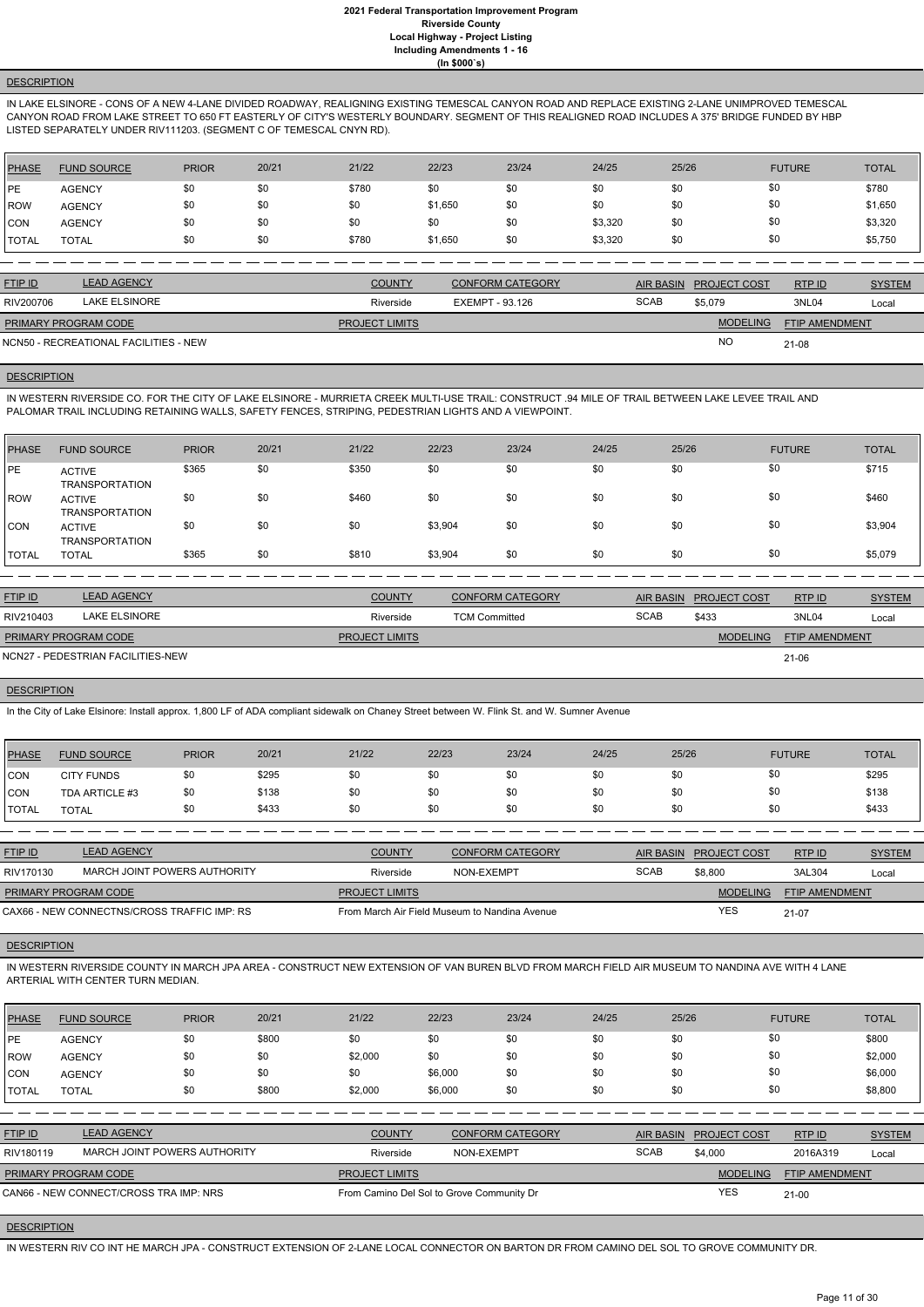# **DESCRIPTION**

IN LAKE ELSINORE - CONS OF A NEW 4-LANE DIVIDED ROADWAY, REALIGNING EXISTING TEMESCAL CANYON ROAD AND REPLACE EXISTING 2-LANE UNIMPROVED TEMESCAL CANYON ROAD FROM LAKE STREET TO 650 FT EASTERLY OF CITY'S WESTERLY BOUNDARY. SEGMENT OF THIS REALIGNED ROAD INCLUDES A 375' BRIDGE FUNDED BY HBP LISTED SEPARATELY UNDER RIV111203. (SEGMENT C OF TEMESCAL CNYN RD).

| PHASE         | <b>FUND SOURCE</b> | <b>PRIOR</b> | 20/21 | 21/22 | 22/23   | 23/24 | 24/25   | 25/26 | <b>FUTURE</b> | <b>TOTAL</b> |
|---------------|--------------------|--------------|-------|-------|---------|-------|---------|-------|---------------|--------------|
| l PE          | <b>AGENCY</b>      | \$0          | \$0   | \$780 | \$0     | \$0   | \$0     | \$0   | \$0           | \$780        |
| ROW           | <b>AGENCY</b>      | \$0          | \$0   | \$0   | \$1,650 | \$0   | \$0     | \$0   | \$0           | \$1,650      |
| <b>ICON</b>   | <b>AGENCY</b>      | \$0          | \$0   | \$0   | \$0     | \$0   | \$3,320 | \$0   | \$0           | \$3,320      |
| <b>ITOTAL</b> | <b>TOTAL</b>       | \$0          | \$0   | \$780 | \$1,650 | \$0   | \$3,320 | \$0   | \$0           | \$5,750      |

| <b>FTIP ID</b>              | <b>LEAD AGENCY</b>                    | <b>COUNTY</b>         | <b>CONFORM CATEGORY</b> |             | AIR BASIN PROJECT COST | RTPID                 | <b>SYSTEM</b> |
|-----------------------------|---------------------------------------|-----------------------|-------------------------|-------------|------------------------|-----------------------|---------------|
| RIV200706                   | LAKE ELSINORE                         | Riverside             | EXEMPT - 93.126         | <b>SCAB</b> | \$5.079                | 3NL04                 | Local         |
| <b>PRIMARY PROGRAM CODE</b> |                                       | <b>PROJECT LIMITS</b> |                         |             | <b>MODELING</b>        | <b>FTIP AMENDMENT</b> |               |
|                             | NCN50 - RECREATIONAL FACILITIES - NEW |                       |                         |             | <b>NO</b>              | 21-08                 |               |

# **DESCRIPTION**

IN WESTERN RIVERSIDE CO. FOR THE CITY OF LAKE ELSINORE - MURRIETA CREEK MULTI-USE TRAIL: CONSTRUCT .94 MILE OF TRAIL BETWEEN LAKE LEVEE TRAIL AND PALOMAR TRAIL INCLUDING RETAINING WALLS, SAFETY FENCES, STRIPING, PEDESTRIAN LIGHTS AND A VIEWPOINT.

| <b>PHASE</b> | <b>FUND SOURCE</b>                     | <b>PRIOR</b> | 20/21 | 21/22 | 22/23   | 23/24 | 24/25 | 25/26 | <b>FUTURE</b> | <b>TOTAL</b> |
|--------------|----------------------------------------|--------------|-------|-------|---------|-------|-------|-------|---------------|--------------|
| <b>IPE</b>   | <b>ACTIVE</b><br><b>TRANSPORTATION</b> | \$365        | \$0   | \$350 | \$0     | \$0   | \$0   | \$0   | \$0           | \$715        |
| ROW          | <b>ACTIVE</b><br><b>TRANSPORTATION</b> | \$0          | \$0   | \$460 | \$0     | \$0   | \$0   | \$0   | \$0           | \$460        |
| CON          | <b>ACTIVE</b><br><b>TRANSPORTATION</b> | \$0          | \$0   | \$0   | \$3,904 | \$0   | \$0   | \$0   | \$0           | \$3,904      |
| <b>TOTAL</b> | <b>TOTAL</b>                           | \$365        | \$0   | \$810 | \$3,904 | \$0   | \$0   | \$0   | \$0           | \$5,079      |

| <b>FTIP ID</b>              | <b>LEAD AGENCY</b>                | <b>COUNTY</b>         | <b>CONFORM CATEGORY</b> | <b>AIR BASIN</b> | <b>PROJECT COST</b> | RTP ID                | <b>SYSTEM</b> |
|-----------------------------|-----------------------------------|-----------------------|-------------------------|------------------|---------------------|-----------------------|---------------|
| RIV210403                   | LAKE ELSINORE                     | Riverside             | <b>TCM Committed</b>    | <b>SCAB</b>      | \$433               | 3NL04                 | Local         |
| <b>PRIMARY PROGRAM CODE</b> |                                   | <b>PROJECT LIMITS</b> |                         |                  | <b>MODELING</b>     | <b>FTIP AMENDMENT</b> |               |
|                             | NCN27 - PEDESTRIAN FACILITIES-NEW |                       |                         |                  |                     | 21-06                 |               |

### **DESCRIPTION**

In the City of Lake Elsinore: Install approx. 1,800 LF of ADA compliant sidewalk on Chaney Street between W. Flink St. and W. Sumner Avenue

| PHASE        | <b>FUND SOURCE</b> | <b>PRIOR</b> | 20/21 | 21/22 | 22/23 | 23/24 | 24/25 | 25/26 | <b>FUTURE</b> | <b>TOTAL</b> |
|--------------|--------------------|--------------|-------|-------|-------|-------|-------|-------|---------------|--------------|
| <b>CON</b>   | <b>CITY FUNDS</b>  |              | \$295 | \$0   | \$0   | \$0   | \$0   | \$0   | \$0           | \$295        |
| <b>CON</b>   | TDA ARTICLE #3     | \$0          | \$138 | \$0   | \$0   | \$0   | \$0   | \$0   | \$0           | \$138        |
| <b>TOTAL</b> | <b>TOTAL</b>       |              | \$433 | \$0   | \$0   | \$0   | \$0   | \$0   | \$0           | \$433        |

| <b>FTIP ID</b>              | <b>LEAD AGENCY</b>                          | <b>COUNTY</b>         | CONFORM CATEGORY                              |             | AIR BASIN PROJECT COST | RTP ID                | <b>SYSTEM</b> |
|-----------------------------|---------------------------------------------|-----------------------|-----------------------------------------------|-------------|------------------------|-----------------------|---------------|
| RIV170130                   | MARCH JOINT POWERS AUTHORITY                | Riverside             | NON-EXEMPT                                    | <b>SCAB</b> | \$8,800                | 3AL304                | Local         |
| <b>PRIMARY PROGRAM CODE</b> |                                             | <b>PROJECT LIMITS</b> |                                               |             | <b>MODELING</b>        | <b>FTIP AMENDMENT</b> |               |
|                             | CAX66 - NEW CONNECTNS/CROSS TRAFFIC IMP: RS |                       | From March Air Field Museum to Nandina Avenue |             | YES                    | 21-07                 |               |

### **DESCRIPTION**

IN WESTERN RIVERSIDE COUNTY IN MARCH JPA AREA - CONSTRUCT NEW EXTENSION OF VAN BUREN BLVD FROM MARCH FIELD AIR MUSEUM TO NANDINA AVE WITH 4 LANE ARTERIAL WITH CENTER TURN MEDIAN.

| <b>PHASE</b>   | <b>FUND SOURCE</b>                     | <b>PRIOR</b> | 20/21 | 21/22                                     | 22/23      | 23/24                   | 24/25       | 25/26            |                     | <b>FUTURE</b>         | <b>TOTAL</b>  |
|----------------|----------------------------------------|--------------|-------|-------------------------------------------|------------|-------------------------|-------------|------------------|---------------------|-----------------------|---------------|
| <b>IPE</b>     | <b>AGENCY</b>                          | \$0          | \$800 | \$0                                       | \$0        | \$0                     | \$0         | \$0              | \$0                 |                       | \$800         |
| <b>IROW</b>    | <b>AGENCY</b>                          | \$0          | \$0   | \$2,000                                   | \$0        | \$0                     | \$0         | \$0              | \$0                 |                       | \$2,000       |
| ICON           | <b>AGENCY</b>                          | \$0          | \$0   | \$0                                       | \$6,000    | \$0                     | \$0         | \$0              | \$0                 |                       | \$6,000       |
| <b>TOTAL</b>   | <b>TOTAL</b>                           | \$0          | \$800 | \$2,000                                   | \$6,000    | \$0                     | \$0         | \$0              | \$0                 |                       | \$8,800       |
|                |                                        |              |       |                                           |            |                         |             |                  |                     |                       |               |
| <b>FTIP ID</b> | <b>LEAD AGENCY</b>                     |              |       | <b>COUNTY</b>                             |            | <b>CONFORM CATEGORY</b> |             | <b>AIR BASIN</b> | <b>PROJECT COST</b> | RTP ID                | <b>SYSTEM</b> |
| RIV180119      | MARCH JOINT POWERS AUTHORITY           |              |       | Riverside                                 | NON-EXEMPT |                         | <b>SCAB</b> |                  | \$4,000             | 2016A319              | Local         |
|                | PRIMARY PROGRAM CODE                   |              |       | <b>PROJECT LIMITS</b>                     |            |                         |             |                  | <b>MODELING</b>     | <b>FTIP AMENDMENT</b> |               |
|                | CAN66 - NEW CONNECT/CROSS TRA IMP: NRS |              |       | From Camino Del Sol to Grove Community Dr |            |                         |             |                  | <b>YES</b>          | 21-00                 |               |
|                |                                        |              |       |                                           |            |                         |             |                  |                     |                       |               |

# **DESCRIPTION**

IN WESTERN RIV CO INT HE MARCH JPA - CONSTRUCT EXTENSION OF 2-LANE LOCAL CONNECTOR ON BARTON DR FROM CAMINO DEL SOL TO GROVE COMMUNITY DR.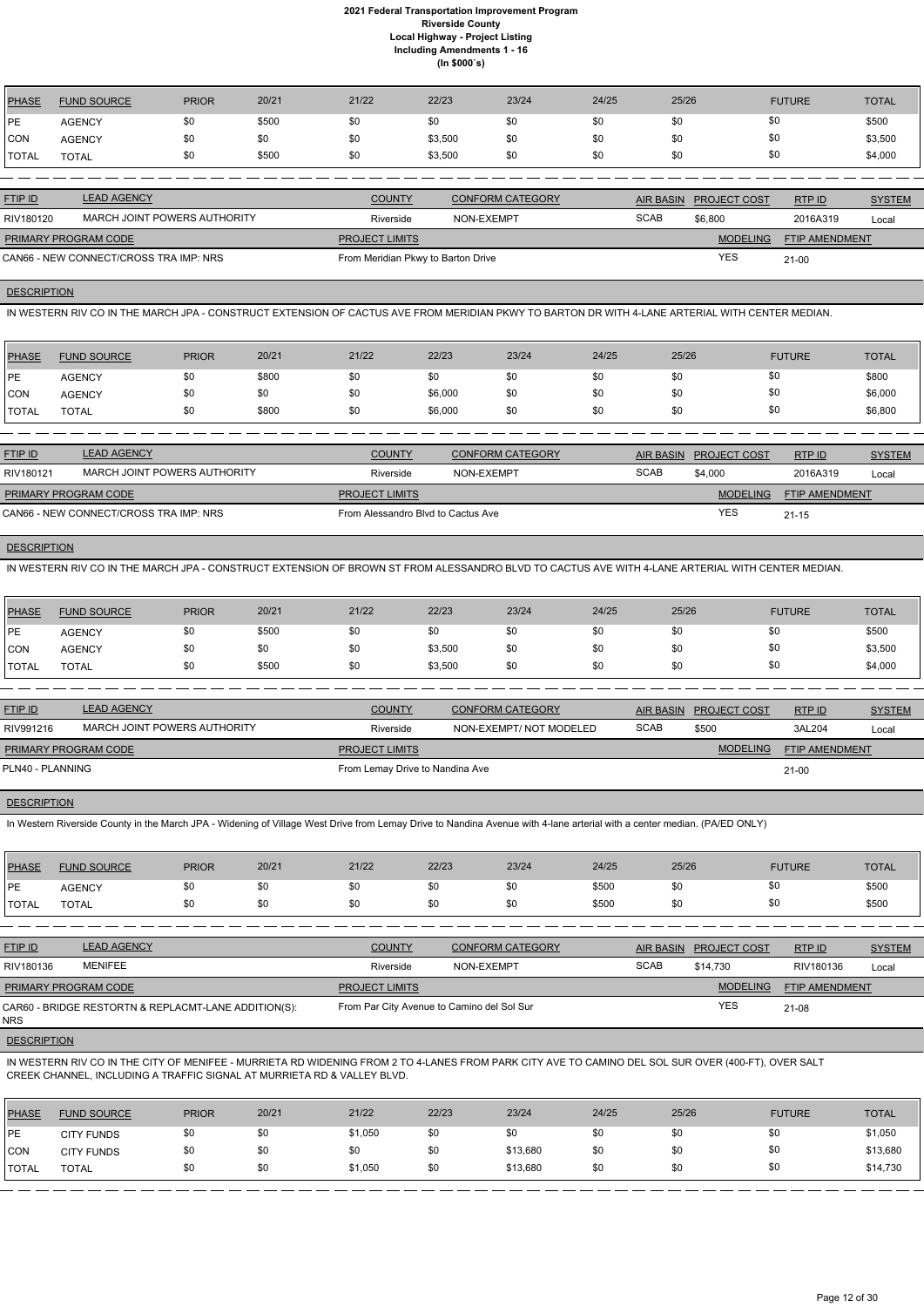| <b>PHASE</b> | <b>FUND SOURCE</b> | <b>PRIOR</b> | 20/21 | 21/22 | 22/23   | 23/24 | 24/25 | 25/26 | <b>FUTURE</b> | <b>TOTAL</b> |
|--------------|--------------------|--------------|-------|-------|---------|-------|-------|-------|---------------|--------------|
| PE           | <b>AGENCY</b>      | \$0          | \$500 | \$0   | \$0     | \$0   | \$0   | \$0   | \$0           | \$500        |
| <b>CON</b>   | <b>AGENCY</b>      | \$0          | \$0   | \$0   | \$3,500 | \$0   | \$0   | \$0   | \$0           | \$3,500      |
| <b>TOTAL</b> | <b>TOTAL</b>       | \$0          | \$500 | \$0   | \$3,500 | \$0   | \$0   | \$0   | \$0           | \$4,000      |
|              |                    |              |       |       |         |       |       |       |               |              |

| <b>FTIP ID</b>                         | <b>LEAD AGENCY</b>           | <b>COUNTY</b>                      | <b>CONFORM CATEGORY</b> |             | AIR BASIN PROJECT COST | RTPID                 | <b>SYSTEM</b> |
|----------------------------------------|------------------------------|------------------------------------|-------------------------|-------------|------------------------|-----------------------|---------------|
| RIV180120                              | MARCH JOINT POWERS AUTHORITY | Riverside                          | NON-EXEMPT              | <b>SCAB</b> | \$6,800                | 2016A319              | Local         |
| <b>PRIMARY PROGRAM CODE</b>            |                              | <b>PROJECT LIMITS</b>              |                         |             | <b>MODELING</b>        | <b>FTIP AMENDMENT</b> |               |
| CAN66 - NEW CONNECT/CROSS TRA IMP: NRS |                              | From Meridian Pkwy to Barton Drive |                         |             | <b>YES</b>             | $21 - 00$             |               |

### **DESCRIPTION**

IN WESTERN RIV CO IN THE MARCH JPA - CONSTRUCT EXTENSION OF CACTUS AVE FROM MERIDIAN PKWY TO BARTON DR WITH 4-LANE ARTERIAL WITH CENTER MEDIAN.

| <b>PHASE</b> | <b>FUND SOURCE</b> | <b>PRIOR</b> | 20/21 | 21/22 | 22/23   | 23/24 | 24/25 | 25/26 | <b>FUTURE</b> | <b>TOTAL</b> |
|--------------|--------------------|--------------|-------|-------|---------|-------|-------|-------|---------------|--------------|
| <b>IPE</b>   | <b>AGENCY</b>      | \$0          | \$800 | \$0   |         | \$0   | \$0   | \$0   | \$0           | \$800        |
| <b>ICON</b>  | <b>AGENCY</b>      | \$0          | \$0   | \$0   | \$6,000 | \$0   | \$0   | \$0   | \$0           | \$6,000      |
| <b>TOTAL</b> | <b>TOTAL</b>       | \$0          | \$800 | \$0   | \$6,000 | \$0   | \$0   | \$0   | \$0           | \$6,800      |

| <b>FTIP ID</b>              | <b>LEAD AGENCY</b>                     | <b>COUNTY</b>                      | <b>CONFORM CATEGORY</b> | AIR BASIN   | PROJECT COST    | RTP ID                | <b>SYSTEM</b> |
|-----------------------------|----------------------------------------|------------------------------------|-------------------------|-------------|-----------------|-----------------------|---------------|
| RIV180121                   | MARCH JOINT POWERS AUTHORITY           | Riverside                          | NON-EXEMPT              | <b>SCAB</b> | \$4,000         | 2016A319              | Local         |
| <b>PRIMARY PROGRAM CODE</b> |                                        | <b>PROJECT LIMITS</b>              |                         |             | <b>MODELING</b> | <b>FTIP AMENDMENT</b> |               |
|                             | CAN66 - NEW CONNECT/CROSS TRA IMP: NRS | From Alessandro Blyd to Cactus Ave |                         |             | <b>YES</b>      | $21 - 15$             |               |

# **DESCRIPTION**

IN WESTERN RIV CO IN THE MARCH JPA - CONSTRUCT EXTENSION OF BROWN ST FROM ALESSANDRO BLVD TO CACTUS AVE WITH 4-LANE ARTERIAL WITH CENTER MEDIAN.

| <b>PHASE</b> | <b>FUND SOURCE</b> | <b>PRIOR</b> | 20/21 | 21/22 | 22/23   | 23/24 | 24/25 | 25/26 | <b>FUTURE</b> | <b>TOTAL</b> |
|--------------|--------------------|--------------|-------|-------|---------|-------|-------|-------|---------------|--------------|
| <b>IPE</b>   | <b>AGENCY</b>      | \$0          | \$500 | \$0   |         | \$0   | \$0   | \$0   | \$0           | \$500        |
| <b>CON</b>   | <b>AGENCY</b>      | \$0          | \$0   | \$0   | \$3,500 | \$0   | \$0   | \$0   | \$0           | \$3,500      |
| <b>TOTAL</b> | TOTAL              | \$0          | \$500 | \$0   | \$3,500 | \$0   | \$0   | \$0   | \$0           | \$4,000      |

| <b>FTIP ID</b>              | <b>LEAD AGENCY</b>           | <b>COUNTY</b>                   | <b>CONFORM CATEGORY</b> |             | AIR BASIN PROJECT COST | RTPID                 | <b>SYSTEM</b> |
|-----------------------------|------------------------------|---------------------------------|-------------------------|-------------|------------------------|-----------------------|---------------|
| RIV991216                   | MARCH JOINT POWERS AUTHORITY | Riverside                       | NON-EXEMPT/NOT MODELED  | <b>SCAB</b> | \$500                  | 3AL204                | Local         |
| <b>PRIMARY PROGRAM CODE</b> |                              | <b>PROJECT LIMITS</b>           |                         |             | <b>MODELING</b>        | <b>FTIP AMENDMENT</b> |               |
| PLN40 - PLANNING            |                              | From Lemay Drive to Nandina Ave |                         |             |                        | $21-00$               |               |
|                             |                              |                                 |                         |             |                        |                       |               |

### **DESCRIPTION**

In Western Riverside County in the March JPA - Widening of Village West Drive from Lemay Drive to Nandina Avenue with 4-lane arterial with a center median. (PA/ED ONLY)

| PHASE        | <b>FUND SOURCE</b> | <b>PRIOR</b> | 20/21 | 21/22 | 22/23 | 23/24 | 24/25 | 25/26 | <b>FUTURE</b> | <b>TOTAL</b> |
|--------------|--------------------|--------------|-------|-------|-------|-------|-------|-------|---------------|--------------|
| <b>IPE</b>   | <b>AGENCY</b>      |              | \$0   | \$0   | \$0   | \$0   | \$500 | \$0   | \$0           | \$500        |
| <b>TOTAL</b> | TOTAL              |              | \$0   | \$0   | \$0   | \$0   | \$500 | \$0   | \$0           | \$500        |
|              |                    |              |       |       |       |       |       |       |               |              |

| <b>FTIP ID</b>              | <b>LEAD AGENCY</b> | <b>COUNTY</b>         | <b>CONFORM CATEGORY</b> | <b>AIR BASIN</b> | <b>PROJECT COST</b> | RTP ID                | <b>SYSTEM</b> |
|-----------------------------|--------------------|-----------------------|-------------------------|------------------|---------------------|-----------------------|---------------|
| RIV180136                   | <b>MENIFEE</b>     | Riverside             | NON-EXEMPT              | <b>SCAB</b>      | \$14.730            | RIV180136             | Local         |
| <b>PRIMARY PROGRAM CODE</b> |                    | <b>PROJECT LIMITS</b> |                         |                  | <b>MODELING</b>     | <b>FTIP AMENDMENT</b> |               |

| $1.1$ $1.1$ $1.1$ $1.0$ $1.0$ $1.0$ $1.0$ $1.0$ $1.0$ $1.0$ $1.0$ $1.0$ $1.0$ $1.0$ $1.0$ $1.0$ $1.0$ $1.0$ $1.0$ $1.0$ $1.0$ $1.0$ $1.0$ $1.0$ $1.0$ $1.0$ $1.0$ $1.0$ $1.0$ $1.0$ $1.0$ $1.0$ $1.0$ $1.0$ $1.0$ $1.0$ $1.0$ |                                            |            | _________________________ |
|-------------------------------------------------------------------------------------------------------------------------------------------------------------------------------------------------------------------------------|--------------------------------------------|------------|---------------------------|
| CAR60 - BRIDGE RESTORTN & REPLACMT-LANE ADDITION(S):                                                                                                                                                                          | From Par City Avenue to Camino del Sol Sur | <b>YES</b> | $21 - 08$                 |
| <b>NRS</b>                                                                                                                                                                                                                    |                                            |            |                           |

### **DESCRIPTION**

IN WESTERN RIV CO IN THE CITY OF MENIFEE - MURRIETA RD WIDENING FROM 2 TO 4-LANES FROM PARK CITY AVE TO CAMINO DEL SOL SUR OVER (400-FT), OVER SALT CREEK CHANNEL, INCLUDING A TRAFFIC SIGNAL AT MURRIETA RD & VALLEY BLVD.

| <b>PHASE</b>  | <b>FUND SOURCE</b> | <b>PRIOR</b> | 20/21 | 21/22   | 22/23 | 23/24    | 24/25 | 25/26 | <b>FUTURE</b> | <b>TOTAL</b> |
|---------------|--------------------|--------------|-------|---------|-------|----------|-------|-------|---------------|--------------|
| <b>IPE</b>    | <b>CITY FUNDS</b>  | \$0          | \$0   | \$1,050 | \$0   | \$0      | \$0   | \$0   |               | \$1,050      |
| CON           | <b>CITY FUNDS</b>  | \$0          | \$0   | \$0     | \$0   | \$13,680 | \$0   | \$0   |               | \$13,680     |
| <b>ITOTAL</b> | <b>TOTAL</b>       | \$0          | \$0   | \$1,050 | \$0   | \$13,680 | \$0   | \$0   |               | \$14,730     |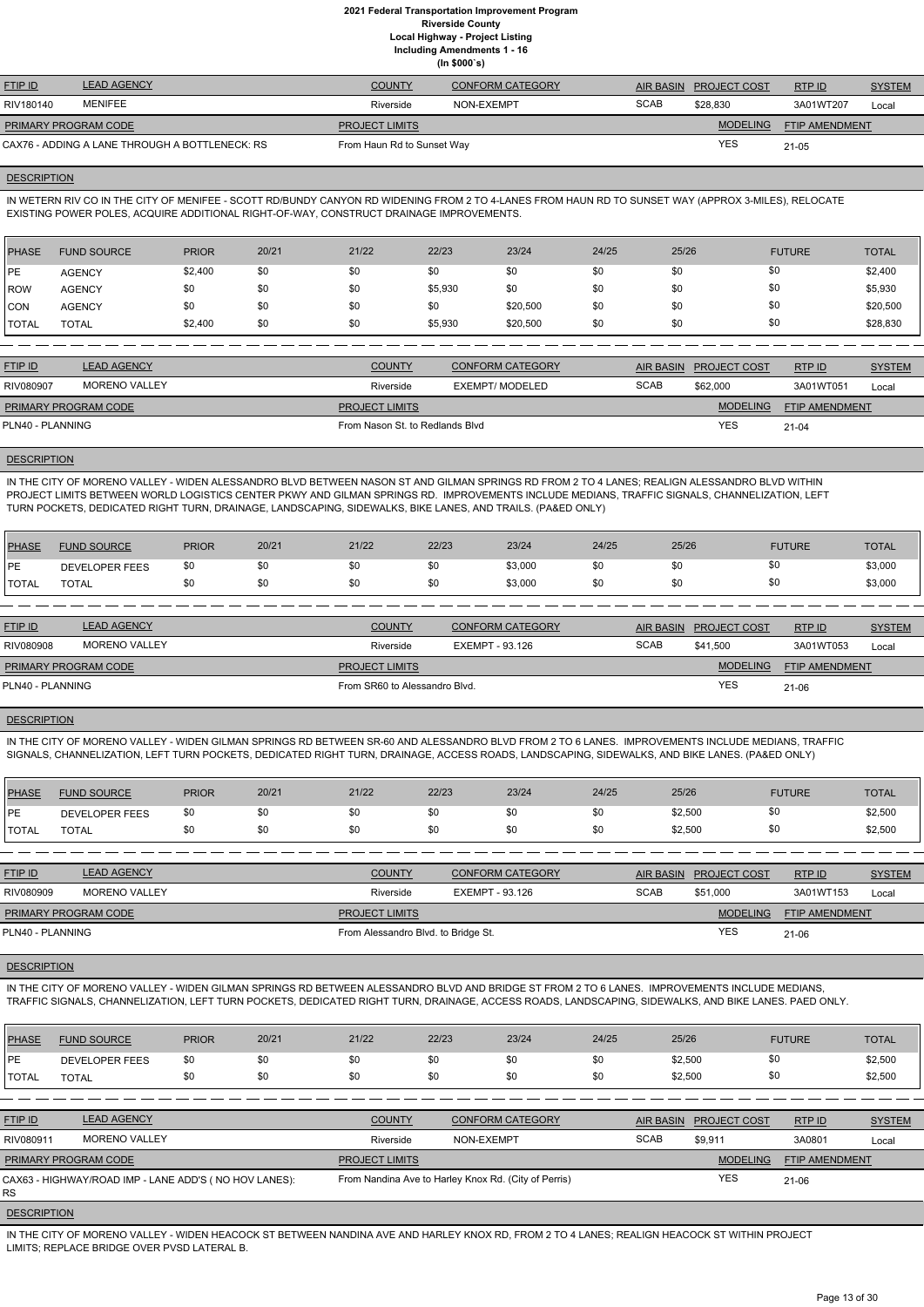**Including Amendments 1 - 16**

| (ln \$000's) |  |
|--------------|--|

| <b>FTIP ID</b>       | <b>LEAD AGENCY</b>                             | <b>COUNTY</b>              | <b>CONFORM CATEGORY</b> |             | AIR BASIN PROJECT COST | RTPID                 | <b>SYSTEM</b> |
|----------------------|------------------------------------------------|----------------------------|-------------------------|-------------|------------------------|-----------------------|---------------|
| RIV180140            | MENIFEE                                        | Riverside                  | NON-EXEMPT              | <b>SCAB</b> | \$28,830               | 3A01WT207             | Local         |
| PRIMARY PROGRAM CODE |                                                | <b>PROJECT LIMITS</b>      |                         |             | <b>MODELING</b>        | <b>FTIP AMENDMENT</b> |               |
|                      | CAX76 - ADDING A LANE THROUGH A BOTTLENECK: RS | From Haun Rd to Sunset Way |                         |             | <b>YES</b>             | $21 - 05$             |               |

### **DESCRIPTION**

IN WETERN RIV CO IN THE CITY OF MENIFEE - SCOTT RD/BUNDY CANYON RD WIDENING FROM 2 TO 4-LANES FROM HAUN RD TO SUNSET WAY (APPROX 3-MILES), RELOCATE EXISTING POWER POLES, ACQUIRE ADDITIONAL RIGHT-OF-WAY, CONSTRUCT DRAINAGE IMPROVEMENTS.

| <b>PHASE</b>  | <b>FUND SOURCE</b> | <b>PRIOR</b> | 20/21 | 21/22 | 22/23   | 23/24    | 24/25 | 25/26 | <b>FUTURE</b> | <b>TOTAL</b> |
|---------------|--------------------|--------------|-------|-------|---------|----------|-------|-------|---------------|--------------|
| <b>IPE</b>    | <b>AGENCY</b>      | \$2,400      | \$0   | \$0   | \$0     | \$0      | \$0   | \$0   | \$0           | \$2,400      |
| <b>ROW</b>    | <b>AGENCY</b>      | \$0          | \$0   | \$0   | \$5,930 | \$0      | \$0   | \$0   | \$0           | \$5,930      |
| <b>CON</b>    | <b>AGENCY</b>      | \$0          | \$0   | \$0   | \$0     | \$20,500 | \$0   | \$0   | \$0           | \$20,500     |
| <b>ITOTAL</b> | <b>TOTAL</b>       | \$2,400      | \$0   | \$0   | \$5,930 | \$20,500 | \$0   | \$0   | \$0           | \$28,830     |

| <b>FTIP ID</b>              | <b>LEAD AGENCY</b> | <b>COUNTY</b>                   | <b>CONFORM CATEGORY</b> |             | AIR BASIN PROJECT COST | RTP ID         | <b>SYSTEM</b> |
|-----------------------------|--------------------|---------------------------------|-------------------------|-------------|------------------------|----------------|---------------|
| RIV080907                   | MORENO VALLEY      | Riverside                       | EXEMPT/ MODELED         | <b>SCAB</b> | \$62,000               | 3A01WT051      | Local         |
| <b>PRIMARY PROGRAM CODE</b> |                    | <b>PROJECT LIMITS</b>           |                         |             | <b>MODELING</b>        | FTIP AMENDMENT |               |
| PLN40 - PLANNING            |                    | From Nason St. to Redlands Blyd |                         |             | <b>YES</b>             | $21 - 04$      |               |
|                             |                    |                                 |                         |             |                        |                |               |

### **DESCRIPTION**

IN THE CITY OF MORENO VALLEY - WIDEN ALESSANDRO BLVD BETWEEN NASON ST AND GILMAN SPRINGS RD FROM 2 TO 4 LANES; REALIGN ALESSANDRO BLVD WITHIN PROJECT LIMITS BETWEEN WORLD LOGISTICS CENTER PKWY AND GILMAN SPRINGS RD. IMPROVEMENTS INCLUDE MEDIANS, TRAFFIC SIGNALS, CHANNELIZATION, LEFT TURN POCKETS, DEDICATED RIGHT TURN, DRAINAGE, LANDSCAPING, SIDEWALKS, BIKE LANES, AND TRAILS. (PA&ED ONLY)

| <b>PHASE</b> | <b>FUND SOURCE</b>    | <b>PRIOR</b> | 20/21 | 21/22 | 22/23 | 23/24   | 24/25 | 25/26 | <b>FUTURE</b> | TOTAL   |
|--------------|-----------------------|--------------|-------|-------|-------|---------|-------|-------|---------------|---------|
| <b>IPE</b>   | <b>DEVELOPER FEES</b> | \$0          | \$0   | \$0   | \$0   | \$3,000 |       |       | \$0           | \$3,000 |
| <b>TOTAL</b> | <b>TOTAL</b>          | \$0          | \$0   | \$0   | \$0   | \$3,000 | \$0   |       | \$0           | \$3,000 |

| <b>LEAD AGENCY</b><br><b>FTIP ID</b><br><b>COUNTY</b><br><b>CONFORM CATEGORY</b><br>RTPID<br>AIR BASIN<br><b>PROJECT COST</b> | <b>SYSTEM</b>      |
|-------------------------------------------------------------------------------------------------------------------------------|--------------------|
| <b>MORENO VALLEY</b><br><b>SCAB</b><br>RIV080908<br>EXEMPT - 93.126<br>\$41.500<br>Riverside                                  | 3A01WT053<br>Local |
| <b>MODELING</b><br><b>PROJECT LIMITS</b><br><b>PRIMARY PROGRAM CODE</b>                                                       | FTIP AMENDMENT     |
| <b>YES</b><br>PLN40 - PLANNING<br>From SR60 to Alessandro Blvd.<br>21-06                                                      |                    |

# **DESCRIPTION**

IN THE CITY OF MORENO VALLEY - WIDEN GILMAN SPRINGS RD BETWEEN SR-60 AND ALESSANDRO BLVD FROM 2 TO 6 LANES. IMPROVEMENTS INCLUDE MEDIANS, TRAFFIC SIGNALS, CHANNELIZATION, LEFT TURN POCKETS, DEDICATED RIGHT TURN, DRAINAGE, ACCESS ROADS, LANDSCAPING, SIDEWALKS, AND BIKE LANES. (PA&ED ONLY)

| <b>PHASE</b> | <b>FUND SOURCE</b>    | <b>PRIOR</b> | 20/21 | 21/22 | 22/23 | 23/24 | 24/25 | 25/26   | <b>FUTURE</b> | <b>TOTAL</b> |
|--------------|-----------------------|--------------|-------|-------|-------|-------|-------|---------|---------------|--------------|
| <b>DE</b>    | <b>DEVELOPER FEES</b> | \$0          | \$0   | \$0   |       | \$0   | \$0   | \$2,500 |               | \$2,500      |
| <b>TOTAL</b> | <b>TOTAL</b>          | \$0          | \$0   | \$0   |       | \$0   | \$0   | \$2,500 | ፍቦ            | \$2,500      |

| <b>FTIP ID</b>              | <b>LEAD AGENCY</b>   | <b>COUNTY</b>                       | <b>CONFORM CATEGORY</b> |             | AIR BASIN PROJECT COST | RTP ID                | <b>SYSTEM</b> |
|-----------------------------|----------------------|-------------------------------------|-------------------------|-------------|------------------------|-----------------------|---------------|
| RIV080909                   | <b>MORENO VALLEY</b> | Riverside                           | EXEMPT - 93.126         | <b>SCAB</b> | \$51,000               | 3A01WT153             | Local         |
| <b>PRIMARY PROGRAM CODE</b> |                      | <b>PROJECT LIMITS</b>               |                         |             | <b>MODELING</b>        | <b>FTIP AMENDMENT</b> |               |
| PLN40 - PLANNING            |                      | From Alessandro Blvd. to Bridge St. |                         | <b>YES</b>  | $21-06$                |                       |               |

**DESCRIPTION** 

IN THE CITY OF MORENO VALLEY - WIDEN GILMAN SPRINGS RD BETWEEN ALESSANDRO BLVD AND BRIDGE ST FROM 2 TO 6 LANES. IMPROVEMENTS INCLUDE MEDIANS, TRAFFIC SIGNALS, CHANNELIZATION, LEFT TURN POCKETS, DEDICATED RIGHT TURN, DRAINAGE, ACCESS ROADS, LANDSCAPING, SIDEWALKS, AND BIKE LANES. PAED ONLY.

| <b>PHASE</b>       | <b>FUND SOURCE</b>                                    | <b>PRIOR</b> | 20/21 | 21/22                                                | 22/23      | 23/24                   | 24/25 | 25/26            |                     | <b>FUTURE</b>         | <b>TOTAL</b>  |
|--------------------|-------------------------------------------------------|--------------|-------|------------------------------------------------------|------------|-------------------------|-------|------------------|---------------------|-----------------------|---------------|
| PE                 | <b>DEVELOPER FEES</b>                                 | \$0          | \$0   | \$0                                                  | \$0        | \$0                     | \$0   | \$2,500          |                     | \$0                   | \$2,500       |
| <b>ITOTAL</b>      | <b>TOTAL</b>                                          | \$0          | \$0   | \$0                                                  | \$0        | \$0                     | \$0   | \$2,500          |                     | \$0                   | \$2,500       |
|                    |                                                       |              |       |                                                      |            |                         |       |                  |                     |                       |               |
| <b>FTIP ID</b>     | <b>LEAD AGENCY</b>                                    |              |       | <b>COUNTY</b>                                        |            | <b>CONFORM CATEGORY</b> |       | <b>AIR BASIN</b> | <b>PROJECT COST</b> | RTPID                 | <b>SYSTEM</b> |
| RIV080911          | <b>MORENO VALLEY</b>                                  |              |       | Riverside                                            | NON-EXEMPT |                         |       | <b>SCAB</b>      | \$9,911             | 3A0801                | Local         |
|                    | PRIMARY PROGRAM CODE                                  |              |       | <b>PROJECT LIMITS</b>                                |            |                         |       |                  | <b>MODELING</b>     | <b>FTIP AMENDMENT</b> |               |
| <b>RS</b>          | CAX63 - HIGHWAY/ROAD IMP - LANE ADD'S (NO HOV LANES): |              |       | From Nandina Ave to Harley Knox Rd. (City of Perris) |            |                         |       |                  | <b>YES</b>          | $21 - 06$             |               |
| <b>DEOODIDTION</b> |                                                       |              |       |                                                      |            |                         |       |                  |                     |                       |               |

#### **DESCRIPTION**

IN THE CITY OF MORENO VALLEY - WIDEN HEACOCK ST BETWEEN NANDINA AVE AND HARLEY KNOX RD, FROM 2 TO 4 LANES; REALIGN HEACOCK ST WITHIN PROJECT LIMITS; REPLACE BRIDGE OVER PVSD LATERAL B.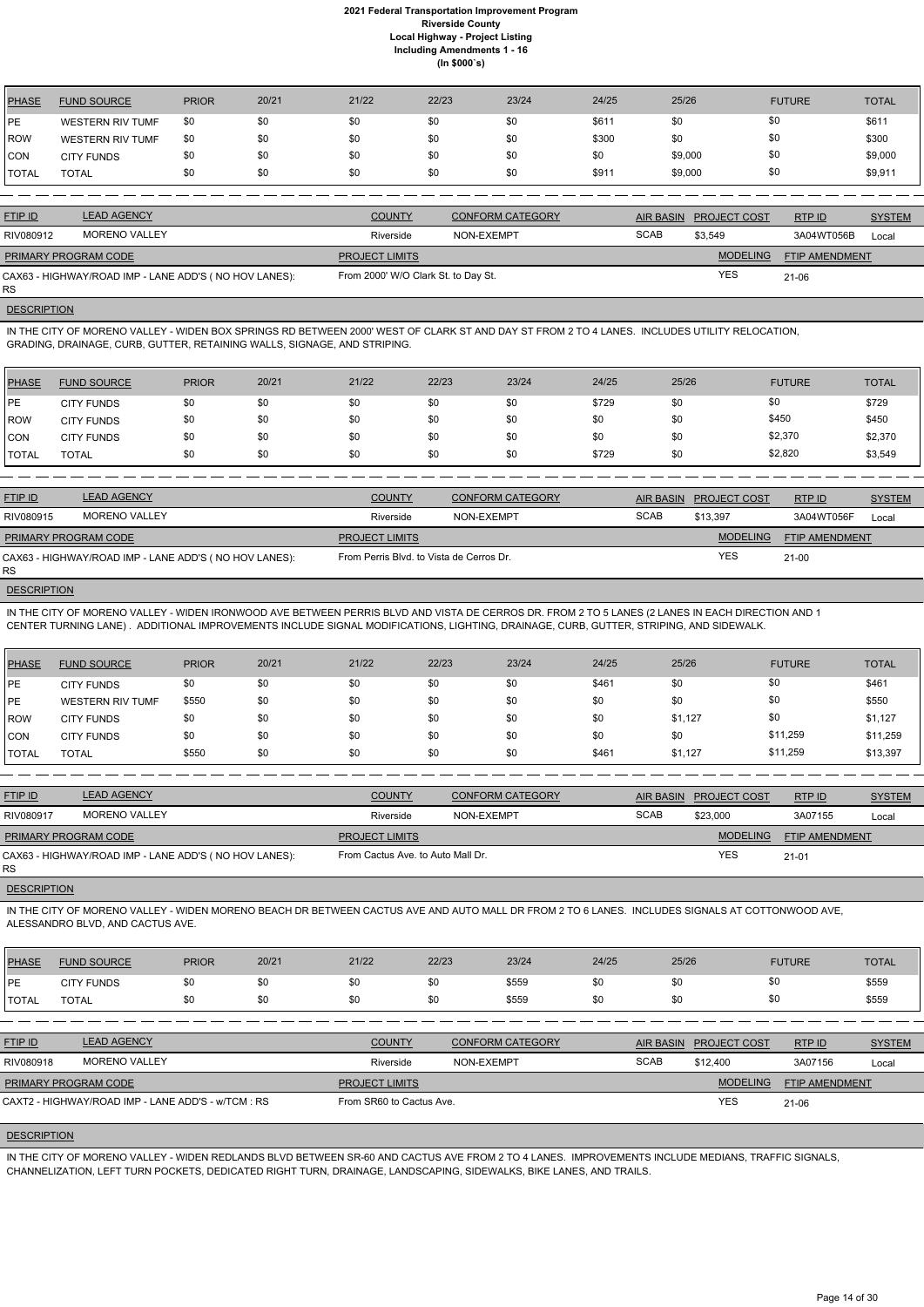| <b>PHASE</b> | <b>FUND SOURCE</b>      | <b>PRIOR</b> | 20/21 | 21/22 | 22/23 | 23/24 | 24/25 | 25/26   | <b>FUTURE</b> | <b>TOTAL</b> |
|--------------|-------------------------|--------------|-------|-------|-------|-------|-------|---------|---------------|--------------|
| PE           | <b>WESTERN RIV TUMF</b> | \$0          | \$0   | \$0   | \$0   | \$0   | \$611 | \$0     | \$0           | \$611        |
| <b>ROW</b>   | <b>WESTERN RIV TUMF</b> | \$0          | \$0   | \$0   | \$0   | \$0   | \$300 | \$0     | \$0           | \$300        |
| <b>CON</b>   | <b>CITY FUNDS</b>       | \$0          | \$0   | \$0   | \$0   | \$0   | \$0   | \$9,000 | \$0           | \$9,000      |
| <b>TOTAL</b> | <b>TOTAL</b>            | \$0          | \$0   | \$0   | \$0   | \$0   | \$911 | \$9,000 | \$0           | \$9,911      |

RS **DESCRIPTION** 

| <b>FTIP ID</b>                                        | <b>LEAD AGENCY</b> | <b>COUNTY</b>                       | <b>CONFORM CATEGORY</b> |             | AIR BASIN PROJECT COST | <b>RTPID</b>          | <b>SYSTEM</b> |
|-------------------------------------------------------|--------------------|-------------------------------------|-------------------------|-------------|------------------------|-----------------------|---------------|
| RIV080912                                             | MORENO VALLEY      | Riverside                           | NON-EXEMPT              | <b>SCAB</b> | \$3.549                | 3A04WT056B            | Local         |
| <b>PRIMARY PROGRAM CODE</b>                           |                    | <b>PROJECT LIMITS</b>               |                         |             | <b>MODELING</b>        | <b>FTIP AMENDMENT</b> |               |
| CAX63 - HIGHWAY/ROAD IMP - LANE ADD'S (NO HOV LANES): |                    | From 2000' W/O Clark St. to Day St. |                         |             | <b>YES</b>             | $21 - 06$             |               |

IN THE CITY OF MORENO VALLEY - WIDEN BOX SPRINGS RD BETWEEN 2000' WEST OF CLARK ST AND DAY ST FROM 2 TO 4 LANES. INCLUDES UTILITY RELOCATION, GRADING, DRAINAGE, CURB, GUTTER, RETAINING WALLS, SIGNAGE, AND STRIPING.

| PHASE        | <b>FUND SOURCE</b> | <b>PRIOR</b> | 20/21 | 21/22 | 22/23 | 23/24 | 24/25 | 25/26 | <b>FUTURE</b> | <b>TOTAL</b> |
|--------------|--------------------|--------------|-------|-------|-------|-------|-------|-------|---------------|--------------|
| IPE          | <b>CITY FUNDS</b>  | \$0          | \$0   | \$0   | \$0   | \$0   | \$729 | \$0   | \$0           | \$729        |
| ROW          | <b>CITY FUNDS</b>  | \$0          | \$0   | \$0   | \$0   | \$0   | \$0   | \$0   | \$450         | \$450        |
| <b>ICON</b>  | <b>CITY FUNDS</b>  | \$0          | \$0   | \$0   | \$0   | \$0   | \$0   | \$0   | \$2,370       | \$2,370      |
| <b>TOTAL</b> | TOTAL              | \$0          | \$0   | \$0   | \$0   | \$0   | \$729 | \$0   | \$2,820       | \$3,549      |

| <b>FTIP ID</b>              | <b>LEAD AGENCY</b>                                    | <b>COUNTY</b>                            | <b>CONFORM CATEGORY</b> |             | AIR BASIN PROJECT COST | RTPID          | <b>SYSTEM</b> |
|-----------------------------|-------------------------------------------------------|------------------------------------------|-------------------------|-------------|------------------------|----------------|---------------|
| RIV080915                   | MORENO VALLEY                                         | Riverside                                | NON-EXEMPT              | <b>SCAB</b> | \$13.397               | 3A04WT056F     | Local         |
| <b>PRIMARY PROGRAM CODE</b> |                                                       | <b>PROJECT LIMITS</b>                    |                         |             | <b>MODELING</b>        | FTIP AMENDMENT |               |
| RS                          | CAX63 - HIGHWAY/ROAD IMP - LANE ADD'S (NO HOV LANES): | From Perris Blvd. to Vista de Cerros Dr. |                         |             | <b>YES</b>             | $21 - 00$      |               |
|                             |                                                       |                                          |                         |             |                        |                |               |

**DESCRIPTION** 

IN THE CITY OF MORENO VALLEY - WIDEN IRONWOOD AVE BETWEEN PERRIS BLVD AND VISTA DE CERROS DR. FROM 2 TO 5 LANES (2 LANES IN EACH DIRECTION AND 1 CENTER TURNING LANE) . ADDITIONAL IMPROVEMENTS INCLUDE SIGNAL MODIFICATIONS, LIGHTING, DRAINAGE, CURB, GUTTER, STRIPING, AND SIDEWALK.

| <b>IPHASE</b> | <b>FUND SOURCE</b>      | <b>PRIOR</b> | 20/21 | 21/22 | 22/23 | 23/24 | 24/25 | 25/26   | <b>FUTURE</b> | <b>TOTAL</b> |
|---------------|-------------------------|--------------|-------|-------|-------|-------|-------|---------|---------------|--------------|
| <b>IPE</b>    | <b>CITY FUNDS</b>       | \$0          | \$0   | \$0   | \$0   | \$0   | \$46' | \$0     | \$0           | \$461        |
| <b>IPE</b>    | <b>WESTERN RIV TUMF</b> | \$550        | \$0   | \$0   | \$0   | \$0   | \$0   | \$0     | \$0           | \$550        |
| l ROW         | <b>CITY FUNDS</b>       | \$0          | \$0   | \$0   | \$0   | \$0   | \$0   | \$1,127 | \$0           | \$1,127      |
| ICON          | <b>CITY FUNDS</b>       | \$0          | \$0   | \$0   | \$0   | \$0   | \$0   | \$0     | \$11,259      | \$11,259     |
| <b>TOTAL</b>  | <b>TOTAL</b>            | \$550        | \$0   | \$0   | \$0   | \$0   | \$46' | \$1,127 | \$11,259      | \$13,397     |

| <b>FTIP ID</b>                                                     | <b>LEAD AGENCY</b>   | <b>COUNTY</b>                     | <b>CONFORM CATEGORY</b> | AIR BASIN   | <b>PROJECT COST</b> | RTPID          | <b>SYSTEM</b> |
|--------------------------------------------------------------------|----------------------|-----------------------------------|-------------------------|-------------|---------------------|----------------|---------------|
| RIV080917                                                          | <b>MORENO VALLEY</b> | Riverside                         | NON-EXEMPT              | <b>SCAB</b> | \$23,000            | 3A07155        | Local         |
| <b>PRIMARY PROGRAM CODE</b>                                        |                      | <b>PROJECT LIMITS</b>             |                         |             | <b>MODELING</b>     | FTIP AMENDMENT |               |
| CAX63 - HIGHWAY/ROAD IMP - LANE ADD'S (NO HOV LANES):<br><b>RS</b> |                      | From Cactus Ave. to Auto Mall Dr. |                         |             | <b>YES</b>          | $21 - 01$      |               |

### **DESCRIPTION**

IN THE CITY OF MORENO VALLEY - WIDEN MORENO BEACH DR BETWEEN CACTUS AVE AND AUTO MALL DR FROM 2 TO 6 LANES. INCLUDES SIGNALS AT COTTONWOOD AVE, ALESSANDRO BLVD, AND CACTUS AVE.

| PHASE     | <b>FUND SOURCE</b> | <b>PRIOR</b> | 20/21 | 21/22 | 22/23 | 23/24 | 24/25 | 25/26 | <b>FUTURE</b> | <b>TOTAL</b> |
|-----------|--------------------|--------------|-------|-------|-------|-------|-------|-------|---------------|--------------|
| <b>PE</b> | <b>CITY FUNDS</b>  |              | \$0   | \$0   | \$0   | \$559 | \$0   | \$0   | \$0           | \$559        |

| <b>ITOTAL</b> | <b>TOTAL</b> |  |  | ື້<br>----<br>the company of the company of the | m.n<br>. הו |  | .<br>ັບບ |
|---------------|--------------|--|--|-------------------------------------------------|-------------|--|----------|
|               |              |  |  |                                                 |             |  |          |

| <b>FTIP ID</b>              | <b>LEAD AGENCY</b>                                 | <b>COUNTY</b>            | <b>CONFORM CATEGORY</b> | AIR BASIN   | <b>PROJECT COST</b> | RTPID                 | <b>SYSTEM</b> |
|-----------------------------|----------------------------------------------------|--------------------------|-------------------------|-------------|---------------------|-----------------------|---------------|
| RIV080918                   | MORENO VALLEY                                      | Riverside                | NON-EXEMPT              | <b>SCAB</b> | \$12,400            | 3A07156               | Local         |
| <b>PRIMARY PROGRAM CODE</b> |                                                    | <b>PROJECT LIMITS</b>    |                         |             | <b>MODELING</b>     | <b>FTIP AMENDMENT</b> |               |
|                             | CAXT2 - HIGHWAY/ROAD IMP - LANE ADD'S - w/TCM : RS | From SR60 to Cactus Ave. |                         |             | <b>YES</b>          | 21-06                 |               |

#### **DESCRIPTION**

IN THE CITY OF MORENO VALLEY - WIDEN REDLANDS BLVD BETWEEN SR-60 AND CACTUS AVE FROM 2 TO 4 LANES. IMPROVEMENTS INCLUDE MEDIANS, TRAFFIC SIGNALS, CHANNELIZATION, LEFT TURN POCKETS, DEDICATED RIGHT TURN, DRAINAGE, LANDSCAPING, SIDEWALKS, BIKE LANES, AND TRAILS.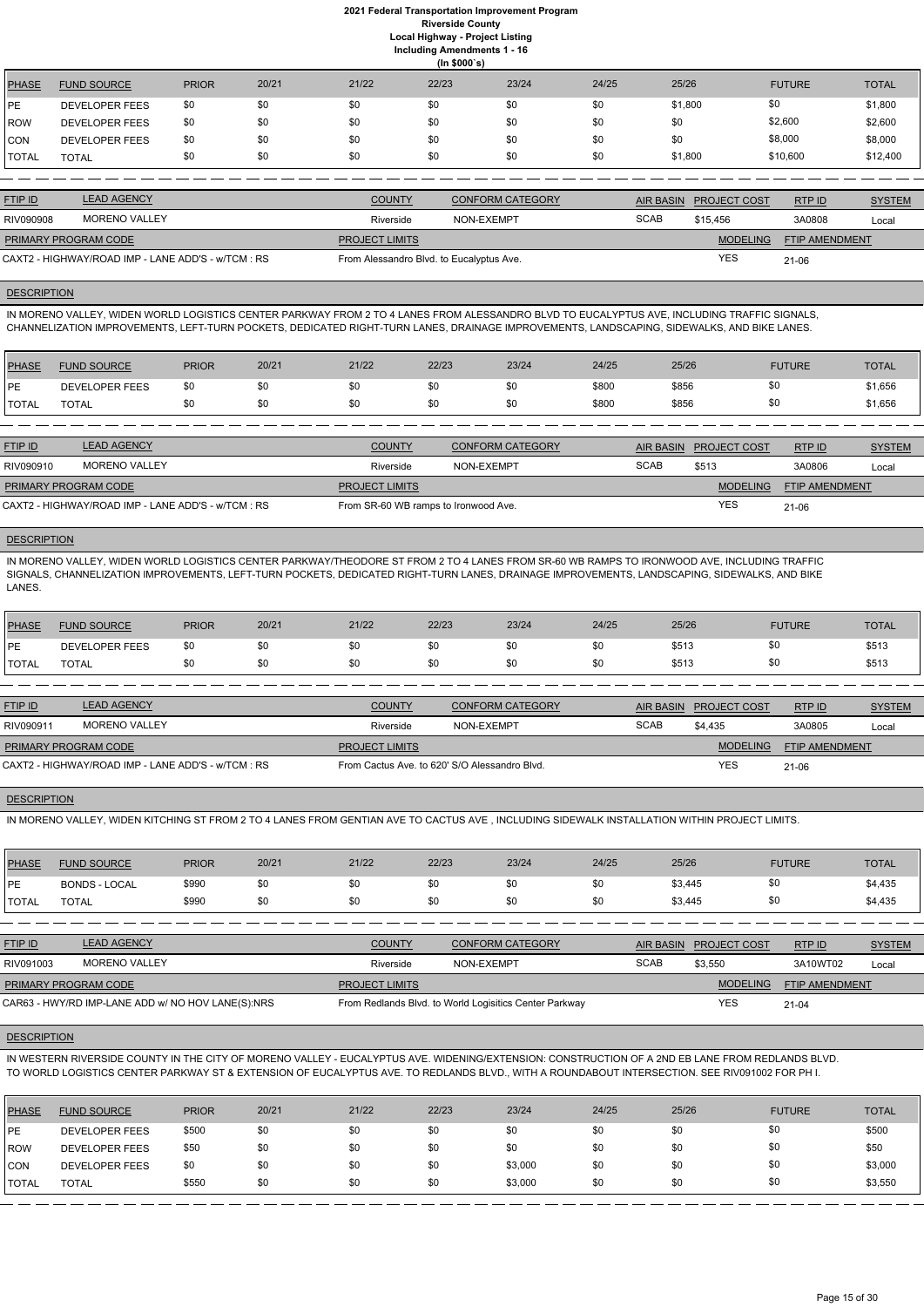|              | (ln \$000's)          |              |       |       |       |       |       |         |               |              |  |  |  |
|--------------|-----------------------|--------------|-------|-------|-------|-------|-------|---------|---------------|--------------|--|--|--|
| <b>PHASE</b> | <b>FUND SOURCE</b>    | <b>PRIOR</b> | 20/21 | 21/22 | 22/23 | 23/24 | 24/25 | 25/26   | <b>FUTURE</b> | <b>TOTAL</b> |  |  |  |
| <b>IPE</b>   | <b>DEVELOPER FEES</b> | \$0          | \$0   | \$0   | \$0   | \$0   | \$0   | \$1,800 | \$0           | \$1,800      |  |  |  |
| <b>ROW</b>   | <b>DEVELOPER FEES</b> | \$0          | \$0   | \$0   | \$0   | \$0   | \$0   | \$0     | \$2,600       | \$2,600      |  |  |  |
| <b>CON</b>   | <b>DEVELOPER FEES</b> | \$0          | \$0   | \$0   | \$0   | \$0   | \$0   | \$0     | \$8,000       | \$8,000      |  |  |  |
| <b>TOTAL</b> | <b>TOTAL</b>          | \$0          | \$0   | \$0   | \$0   | \$0   | \$0   | \$1,800 | \$10,600      | \$12,400     |  |  |  |

| <b>FTIP ID</b>                                     | <b>LEAD AGENCY</b>   | <b>COUNTY</b>                            | CONFORM CATEGORY |             | AIR BASIN PROJECT COST | RTPID                 | <b>SYSTEM</b> |
|----------------------------------------------------|----------------------|------------------------------------------|------------------|-------------|------------------------|-----------------------|---------------|
| RIV090908                                          | <b>MORENO VALLEY</b> | Riverside                                | NON-EXEMPT       | <b>SCAB</b> | \$15,456               | 3A0808                | Local         |
| <b>PRIMARY PROGRAM CODE</b>                        |                      | <b>PROJECT LIMITS</b>                    |                  |             | <b>MODELING</b>        | <b>FTIP AMENDMENT</b> |               |
| CAXT2 - HIGHWAY/ROAD IMP - LANE ADD'S - w/TCM : RS |                      | From Alessandro Blvd. to Eucalyptus Ave. |                  |             | YES                    | $21 - 06$             |               |

# **DESCRIPTION**

IN MORENO VALLEY, WIDEN WORLD LOGISTICS CENTER PARKWAY FROM 2 TO 4 LANES FROM ALESSANDRO BLVD TO EUCALYPTUS AVE, INCLUDING TRAFFIC SIGNALS, CHANNELIZATION IMPROVEMENTS, LEFT-TURN POCKETS, DEDICATED RIGHT-TURN LANES, DRAINAGE IMPROVEMENTS, LANDSCAPING, SIDEWALKS, AND BIKE LANES.

| PHASE          | <b>FUND SOURCE</b>    | <b>PRIOR</b> | 20/21 | 21/22 | 22/23 | 23/24 | 24/25 | 25/26 | <b>FUTURE</b> | <b>TOTAL</b> |
|----------------|-----------------------|--------------|-------|-------|-------|-------|-------|-------|---------------|--------------|
| <b>IPE</b>     | <b>DEVELOPER FEES</b> | \$0          | \$0   |       |       | \$0   | \$800 | \$856 | \$0           | \$1,656      |
| <b>I</b> TOTAL | TOTAL                 |              | \$0   |       |       | \$0   | \$800 | \$856 | \$0           | \$1,656      |

| <b>FTIP ID</b>              | <b>LEAD AGENCY</b>                                 | <b>COUNTY</b>                        | <b>CONFORM CATEGORY</b> |             | AIR BASIN PROJECT COST | RTP ID                | <b>SYSTEM</b> |
|-----------------------------|----------------------------------------------------|--------------------------------------|-------------------------|-------------|------------------------|-----------------------|---------------|
| RIV090910                   | MORENO VALLEY                                      | Riverside                            | NON-EXEMPT              | <b>SCAB</b> | \$513                  | 3A0806                | Local         |
| <b>PRIMARY PROGRAM CODE</b> |                                                    | <b>PROJECT LIMITS</b>                |                         |             | <b>MODELING</b>        | <b>FTIP AMENDMENT</b> |               |
|                             | CAXT2 - HIGHWAY/ROAD IMP - LANE ADD'S - w/TCM : RS | From SR-60 WB ramps to Ironwood Ave. |                         |             | YES                    | $21 - 06$             |               |

# **DESCRIPTION**

IN MORENO VALLEY, WIDEN WORLD LOGISTICS CENTER PARKWAY/THEODORE ST FROM 2 TO 4 LANES FROM SR-60 WB RAMPS TO IRONWOOD AVE, INCLUDING TRAFFIC SIGNALS, CHANNELIZATION IMPROVEMENTS, LEFT-TURN POCKETS, DEDICATED RIGHT-TURN LANES, DRAINAGE IMPROVEMENTS, LANDSCAPING, SIDEWALKS, AND BIKE LANES.

| <b>PHASE</b>  | <b>FUND SOURCE</b> | <b>PRIOR</b> | 20/21 | 21/22 | 22/23 | 23/24 | 24/25 | 25/26 | <b>FUTURE</b> | <b>TOTAL</b> |
|---------------|--------------------|--------------|-------|-------|-------|-------|-------|-------|---------------|--------------|
| <b>IPE</b>    | DEVELOPER FEES     | \$0          | \$0   | ას    |       | \$0   | \$0   | \$513 |               | \$513        |
| <b>ITOTAL</b> | <b>TOTAL</b>       | \$0          | \$0   | ১৷    |       | \$0   | \$0   | \$513 | ፍ             | \$513        |

| <b>FTIP ID</b>                                     | <b>LEAD AGENCY</b> | <b>COUNTY</b>                                 | <b>CONFORM CATEGORY</b> |             | AIR BASIN PROJECT COST | RTPID                 | <b>SYSTEM</b> |
|----------------------------------------------------|--------------------|-----------------------------------------------|-------------------------|-------------|------------------------|-----------------------|---------------|
| RIV090911                                          | MORENO VALLEY      | Riverside                                     | NON-EXEMPT              | <b>SCAB</b> | \$4.435                | 3A0805                | Local         |
| <b>PRIMARY PROGRAM CODE</b>                        |                    | <b>PROJECT LIMITS</b>                         |                         |             | <b>MODELING</b>        | <b>FTIP AMENDMENT</b> |               |
| CAXT2 - HIGHWAY/ROAD IMP - LANE ADD'S - w/TCM : RS |                    | From Cactus Ave. to 620' S/O Alessandro Blvd. |                         |             | <b>YES</b>             | $21 - 06$             |               |

# **DESCRIPTION**

IN MORENO VALLEY, WIDEN KITCHING ST FROM 2 TO 4 LANES FROM GENTIAN AVE TO CACTUS AVE , INCLUDING SIDEWALK INSTALLATION WITHIN PROJECT LIMITS.

| <b>PHASE</b> | <b>FUND SOURCE</b>   | <b>PRIOR</b> | 20/21 | 21/22 | 22/23 | 23/24 | 24/25 | 25/26   | <b>FUTURE</b> | <b>TOTAL</b> |
|--------------|----------------------|--------------|-------|-------|-------|-------|-------|---------|---------------|--------------|
| <b>IPE</b>   | <b>BONDS - LOCAL</b> | \$990        | \$0   |       |       | \$0   | \$0   | \$3,445 |               | \$4,435      |
| <b>TOTAL</b> | <b>TOTAL</b>         | \$990        | \$0   |       |       | \$0   | \$0   | \$3,445 | \$0           | \$4,435      |

| <u>FTIP ID</u>              | <b>LEAD AGENCY</b>   | <b>COUNTY</b>         | <b>CONFORM CATEGORY</b> |      | AIR BASIN PROJECT COST | RTPID                 | <b>SYSTEM</b> |
|-----------------------------|----------------------|-----------------------|-------------------------|------|------------------------|-----------------------|---------------|
| RIV091003                   | <b>MORENO VALLEY</b> | Riverside             | NON-EXEMPT              | SCAB | \$3,550                | 3A10WT02              | Local         |
| <b>PRIMARY PROGRAM CODE</b> |                      | <b>PROJECT LIMITS</b> |                         |      | <b>MODELING</b>        | <b>FTIP AMENDMENT</b> |               |

CAR63 - HWY/RD IMP-LANE ADD w/ NO HOV LANE(S):NRS From Redlands Blvd. to World Logisitics Center Parkway

YES 21-04

### **DESCRIPTION**

IN WESTERN RIVERSIDE COUNTY IN THE CITY OF MORENO VALLEY - EUCALYPTUS AVE. WIDENING/EXTENSION: CONSTRUCTION OF A 2ND EB LANE FROM REDLANDS BLVD. TO WORLD LOGISTICS CENTER PARKWAY ST & EXTENSION OF EUCALYPTUS AVE. TO REDLANDS BLVD., WITH A ROUNDABOUT INTERSECTION. SEE RIV091002 FOR PH I.

| <b>PHASE</b>  | <b>FUND SOURCE</b>    | <b>PRIOR</b> | 20/21 | 21/22 | 22/23 | 23/24   | 24/25 | 25/26 | <b>FUTURE</b> | <b>TOTAL</b> |
|---------------|-----------------------|--------------|-------|-------|-------|---------|-------|-------|---------------|--------------|
| <b>IPE</b>    | <b>DEVELOPER FEES</b> | \$500        | \$0   | \$0   | \$0   | \$0     | \$0   | \$0   |               | \$500        |
| <b>IROW</b>   | <b>DEVELOPER FEES</b> | \$50         | \$0   | \$0   | \$0   | \$0     | \$0   | \$0   |               | \$50         |
| <b>CON</b>    | <b>DEVELOPER FEES</b> | \$0          | \$0   | \$0   | \$0   | \$3,000 | \$0   | \$0   | \$0           | \$3,000      |
| <b> TOTAL</b> | <b>TOTAL</b>          | \$550        | \$0   | \$0   | \$0   | \$3,000 | \$0   | \$0   | \$0           | \$3,550      |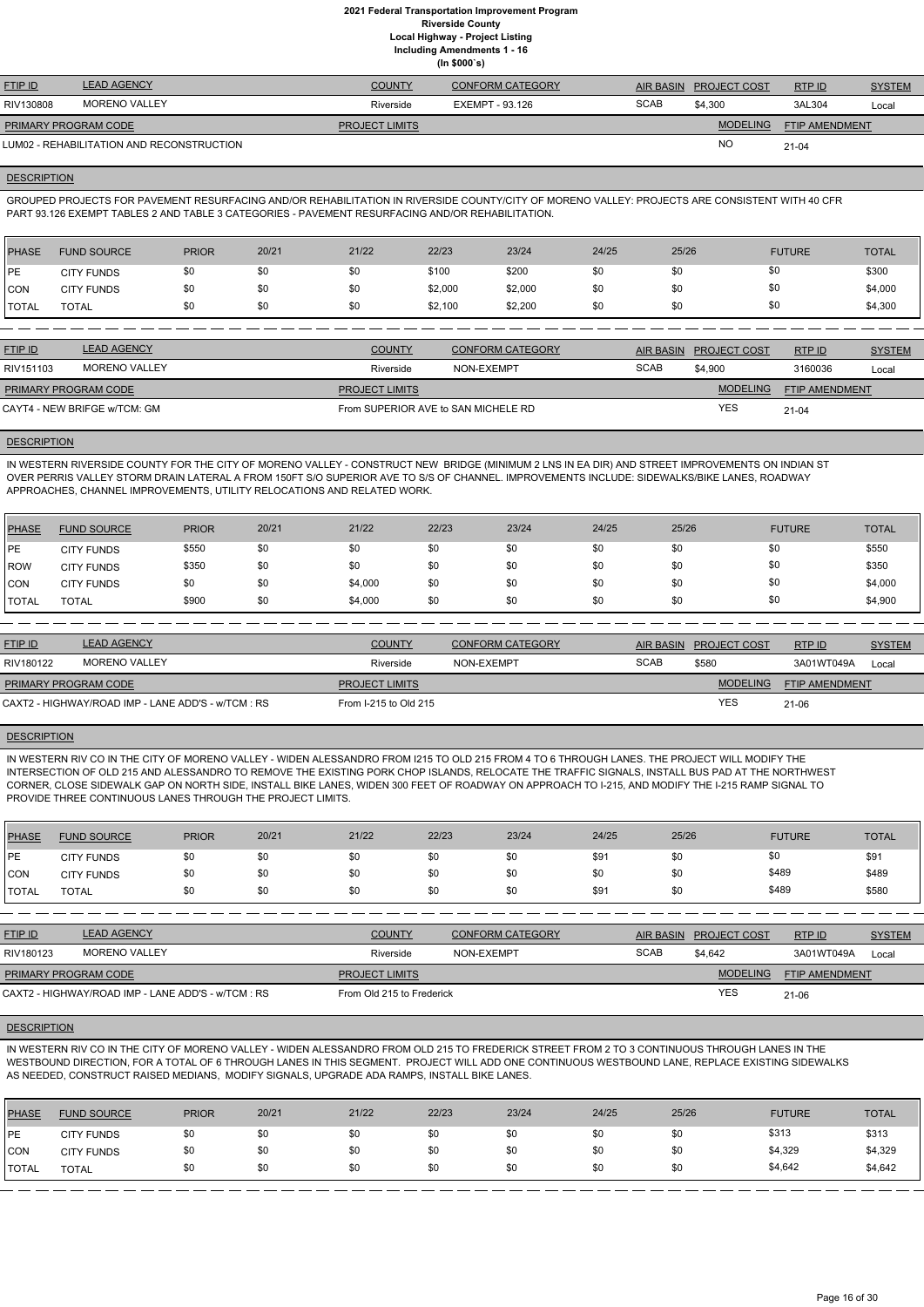**(In \$000`s)** FTIP ID LEAD AGENCY COUNTY CONFORM CATEGORY AIR BASIN PROJECT COST RTP ID SYSTEM AND STREM **MODELING** FTIP AMENDMENT RTP ID RIV130808 MORENO VALLEY Riverside EXEMPT - 93.126 SCAB \$4,300 3AL304 Local NO SCAB \$4,300 3AL304 21-04 **PROJECT LIMITS** LUM02 - REHABILITATION AND RECONSTRUCTION PRIMARY PROGRAM CODE

### **DESCRIPTION**

GROUPED PROJECTS FOR PAVEMENT RESURFACING AND/OR REHABILITATION IN RIVERSIDE COUNTY/CITY OF MORENO VALLEY: PROJECTS ARE CONSISTENT WITH 40 CFR PART 93.126 EXEMPT TABLES 2 AND TABLE 3 CATEGORIES - PAVEMENT RESURFACING AND/OR REHABILITATION.

| PHASE        | <b>FUND SOURCE</b> | <b>PRIOR</b> | 20/21 | 21/22 | 22/23   | 23/24   | 24/25 | 25/26 | <b>FUTURE</b> | <b>TOTAL</b> |
|--------------|--------------------|--------------|-------|-------|---------|---------|-------|-------|---------------|--------------|
| <b>IPE</b>   | <b>CITY FUNDS</b>  | \$0          |       | \$0   | \$100   | \$200   | \$0   | \$0   | \$0           | \$300        |
| <b>CON</b>   | <b>CITY FUNDS</b>  | \$0          |       | \$0   | \$2,000 | \$2,000 | \$0   | \$0   | \$0           | \$4,000      |
| <b>TOTAL</b> | <b>TOTAL</b>       | \$0          |       | \$0   | \$2,100 | \$2,200 | \$0   | \$0   | \$0           | \$4,300      |

| <b>FTIP ID</b>               | <b>LEAD AGENCY</b> | <b>COUNTY</b>                       | <b>CONFORM CATEGORY</b> |             | AIR BASIN PROJECT COST | RTP ID                | <b>SYSTEM</b> |
|------------------------------|--------------------|-------------------------------------|-------------------------|-------------|------------------------|-----------------------|---------------|
| RIV151103                    | MORENO VALLEY      | Riverside                           | NON-EXEMPT              | <b>SCAB</b> | \$4,900                | 3160036               | Local         |
| <b>PRIMARY PROGRAM CODE</b>  |                    | <b>PROJECT LIMITS</b>               |                         |             | <b>MODELING</b>        | <b>FTIP AMENDMENT</b> |               |
| CAYT4 - NEW BRIFGE w/TCM: GM |                    | From SUPERIOR AVE to SAN MICHELE RD |                         |             | <b>YES</b>             | $21 - 04$             |               |

### **DESCRIPTION**

IN WESTERN RIVERSIDE COUNTY FOR THE CITY OF MORENO VALLEY - CONSTRUCT NEW BRIDGE (MINIMUM 2 LNS IN EA DIR) AND STREET IMPROVEMENTS ON INDIAN ST OVER PERRIS VALLEY STORM DRAIN LATERAL A FROM 150FT S/O SUPERIOR AVE TO S/S OF CHANNEL. IMPROVEMENTS INCLUDE: SIDEWALKS/BIKE LANES, ROADWAY APPROACHES, CHANNEL IMPROVEMENTS, UTILITY RELOCATIONS AND RELATED WORK.

| PHASE        | <b>FUND SOURCE</b> | <b>PRIOR</b> | 20/21 | 21/22   | 22/23 | 23/24 | 24/25 | 25/26 | <b>FUTURE</b> | <b>TOTAL</b> |
|--------------|--------------------|--------------|-------|---------|-------|-------|-------|-------|---------------|--------------|
| <b>IPE</b>   | <b>CITY FUNDS</b>  | \$550        | \$0   | \$0     | \$0   | \$0   | \$0   | \$0   | \$0           | \$550        |
| <b>ROW</b>   | <b>CITY FUNDS</b>  | \$350        | \$0   | \$0     | \$0   | \$0   | \$0   | \$0   | \$0           | \$350        |
| <b>CON</b>   | <b>CITY FUNDS</b>  | \$0          | \$0   | \$4,000 | \$0   | \$0   | \$0   | \$0   | \$0           | \$4,000      |
| <b>TOTAL</b> | TOTAL              | \$900        | \$0   | \$4,000 | \$0   | \$0   | \$0   | \$0   | \$0           | \$4,900      |

| <b>FTIP ID</b>              | <b>LEAD AGENCY</b>                                 | <b>COUNTY</b>         | CONFORM CATEGORY | <b>AIR BASIN</b> | <b>PROJECT COST</b> | RTPID                 | <b>SYSTEM</b> |
|-----------------------------|----------------------------------------------------|-----------------------|------------------|------------------|---------------------|-----------------------|---------------|
| RIV180122                   | <b>MORENO VALLEY</b>                               | Riverside             | NON-EXEMPT       | <b>SCAB</b>      | \$580               | 3A01WT049A            | Local         |
| <b>PRIMARY PROGRAM CODE</b> |                                                    | <b>PROJECT LIMITS</b> |                  |                  | <b>MODELING</b>     | <b>FTIP AMENDMENT</b> |               |
|                             | CAXT2 - HIGHWAY/ROAD IMP - LANE ADD'S - w/TCM : RS | From I-215 to Old 215 |                  |                  | <b>YES</b>          | 21-06                 |               |
|                             |                                                    |                       |                  |                  |                     |                       |               |

### **DESCRIPTION**

IN WESTERN RIV CO IN THE CITY OF MORENO VALLEY - WIDEN ALESSANDRO FROM I215 TO OLD 215 FROM 4 TO 6 THROUGH LANES. THE PROJECT WILL MODIFY THE INTERSECTION OF OLD 215 AND ALESSANDRO TO REMOVE THE EXISTING PORK CHOP ISLANDS, RELOCATE THE TRAFFIC SIGNALS, INSTALL BUS PAD AT THE NORTHWEST CORNER, CLOSE SIDEWALK GAP ON NORTH SIDE, INSTALL BIKE LANES, WIDEN 300 FEET OF ROADWAY ON APPROACH TO I-215, AND MODIFY THE I-215 RAMP SIGNAL TO PROVIDE THREE CONTINUOUS LANES THROUGH THE PROJECT LIMITS.

| <b>PHASE</b> | <b>FUND SOURCE</b> | <b>PRIOR</b> | 20/21 | 21/22 | 22/23 | 23/24 | 24/25 | 25/26 | <b>FUTURE</b> | <b>TOTAL</b> |
|--------------|--------------------|--------------|-------|-------|-------|-------|-------|-------|---------------|--------------|
| PE           | <b>CITY FUNDS</b>  | \$0          | \$0   | \$0   | \$0   | \$0   | \$91  | \$0   | \$0           | \$91         |
| <b>CON</b>   | <b>CITY FUNDS</b>  | \$0          | \$0   | \$0   | \$0   | \$0   | \$0   | \$0   | \$489         | \$489        |
| <b>TOTAL</b> | <b>TOTAL</b>       | \$0          | \$0   | \$0   | \$0   | \$0   | \$91  | \$0   | \$489         | \$580        |

| <b>FTIP ID</b>       | <b>LEAD AGENCY</b> | <b>COUNTY</b>         | <b>CONFORM CATEGORY</b> |             | AIR BASIN PROJECT COST | RTP ID                | <b>SYSTEM</b> |
|----------------------|--------------------|-----------------------|-------------------------|-------------|------------------------|-----------------------|---------------|
| RIV180123            | MORENO VALLEY      | Riverside             | NON-EXEMPT              | <b>SCAB</b> | \$4,642                | 3A01WT049A            | Local         |
| PRIMARY PROGRAM CODE |                    | <b>PROJECT LIMITS</b> |                         |             | <b>MODELING</b>        | <b>FTIP AMENDMENT</b> |               |

### **DESCRIPTION**

IN WESTERN RIV CO IN THE CITY OF MORENO VALLEY - WIDEN ALESSANDRO FROM OLD 215 TO FREDERICK STREET FROM 2 TO 3 CONTINUOUS THROUGH LANES IN THE WESTBOUND DIRECTION, FOR A TOTAL OF 6 THROUGH LANES IN THIS SEGMENT. PROJECT WILL ADD ONE CONTINUOUS WESTBOUND LANE, REPLACE EXISTING SIDEWALKS AS NEEDED, CONSTRUCT RAISED MEDIANS, MODIFY SIGNALS, UPGRADE ADA RAMPS, INSTALL BIKE LANES.

| <b>PHASE</b> | <b>FUND SOURCE</b> | <b>PRIOR</b> | 20/21 | 21/22 | 22/23 | 23/24 | 24/25 | 25/26 | <b>FUTURE</b> | <b>TOTAL</b> |
|--------------|--------------------|--------------|-------|-------|-------|-------|-------|-------|---------------|--------------|
| <b>IPE</b>   | <b>CITY FUNDS</b>  | \$0          | \$0   | \$0   | \$0   | \$0   | \$0   | \$0   | \$313         | \$313        |
| CON          | <b>CITY FUNDS</b>  | \$0          | \$0   | \$0   | \$0   | \$0   | \$0   | \$0   | \$4,329       | \$4,329      |
| <b>TOTAL</b> | TOTAL              | \$0          | \$0   | \$0   | \$0   | \$0   | \$0   | \$0   | \$4,642       | \$4,642      |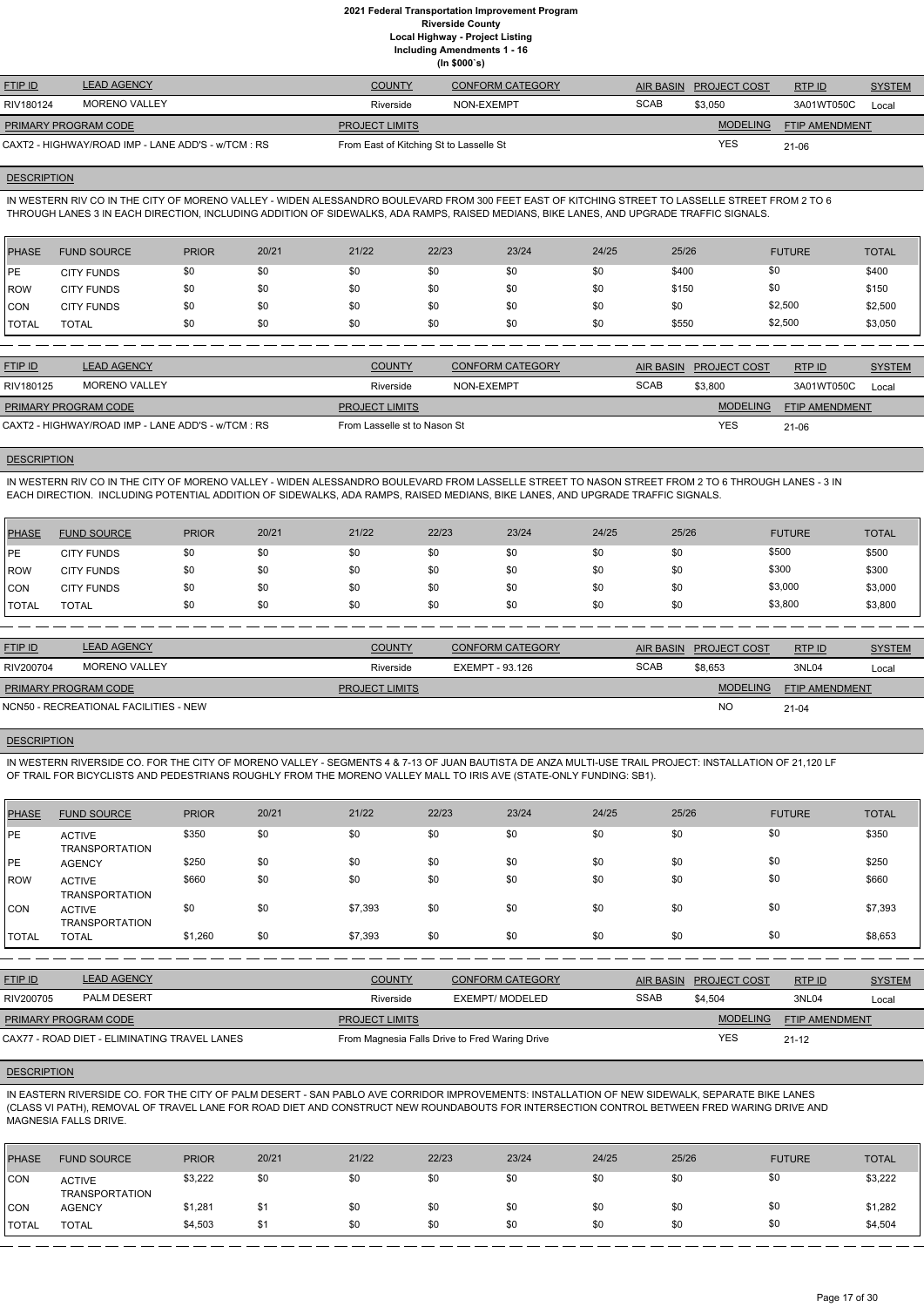**Including Amendments 1 - 16 (In \$000`s)**

|                             |                                                    |                                         | \''' \''' Y      |             |                        |                |               |
|-----------------------------|----------------------------------------------------|-----------------------------------------|------------------|-------------|------------------------|----------------|---------------|
| <b>FTIP ID</b>              | <b>LEAD AGENCY</b>                                 | <b>COUNTY</b>                           | CONFORM CATEGORY |             | AIR BASIN PROJECT COST | RTPID          | <b>SYSTEM</b> |
| RIV180124                   | MORENO VALLEY                                      | Riverside                               | NON-EXEMPT       | <b>SCAB</b> | \$3.050                | 3A01WT050C     | Local         |
| <b>PRIMARY PROGRAM CODE</b> |                                                    | <b>PROJECT LIMITS</b>                   |                  |             | <b>MODELING</b>        | FTIP AMENDMENT |               |
|                             | CAXT2 - HIGHWAY/ROAD IMP - LANE ADD'S - w/TCM : RS | From East of Kitching St to Lasselle St |                  |             | <b>YES</b>             | 21-06          |               |

### **DESCRIPTION**

IN WESTERN RIV CO IN THE CITY OF MORENO VALLEY - WIDEN ALESSANDRO BOULEVARD FROM 300 FEET EAST OF KITCHING STREET TO LASSELLE STREET FROM 2 TO 6 THROUGH LANES 3 IN EACH DIRECTION, INCLUDING ADDITION OF SIDEWALKS, ADA RAMPS, RAISED MEDIANS, BIKE LANES, AND UPGRADE TRAFFIC SIGNALS.

| <b>PHASE</b> | <b>FUND SOURCE</b> | <b>PRIOR</b> | 20/21 | 21/22 | 22/23 | 23/24 | 24/25 | 25/26 | <b>FUTURE</b> | <b>TOTAL</b> |
|--------------|--------------------|--------------|-------|-------|-------|-------|-------|-------|---------------|--------------|
| <b>IPE</b>   | <b>CITY FUNDS</b>  | \$0          | \$0   | \$0   | \$0   | \$0   | \$0   | \$400 | \$0           | \$400        |
| ROW          | <b>CITY FUNDS</b>  | \$0          | \$0   | \$0   | \$0   | \$0   | \$0   | \$150 | \$0           | \$150        |
| CON          | <b>CITY FUNDS</b>  | \$0          | \$0   | \$0   | \$0   | \$0   | \$0   | \$0   | \$2,500       | \$2,500      |
| <b>TOTAL</b> | TOTAL              | \$0          | \$0   | \$0   | \$0   | \$0   | \$0   | \$550 | \$2,500       | \$3,050      |

| <b>LEAD AGENCY</b>                                 | <b>COUNTY</b>         | <b>CONFORM CATEGORY</b> |                              |                 | RTP ID                 | <b>SYSTEM</b> |
|----------------------------------------------------|-----------------------|-------------------------|------------------------------|-----------------|------------------------|---------------|
| MORENO VALLEY                                      | Riverside             | NON-EXEMPT              | <b>SCAB</b>                  | \$3,800         | 3A01WT050C             | Local         |
| PRIMARY PROGRAM CODE                               | <b>PROJECT LIMITS</b> |                         |                              | <b>MODELING</b> | <b>FTIP AMENDMENT</b>  |               |
| CAXT2 - HIGHWAY/ROAD IMP - LANE ADD'S - w/TCM : RS |                       |                         |                              | <b>YES</b>      | $21 - 06$              |               |
|                                                    |                       |                         | From Lasselle st to Nason St |                 | AIR BASIN PROJECT COST |               |

# **DESCRIPTION**

IN WESTERN RIV CO IN THE CITY OF MORENO VALLEY - WIDEN ALESSANDRO BOULEVARD FROM LASSELLE STREET TO NASON STREET FROM 2 TO 6 THROUGH LANES - 3 IN EACH DIRECTION. INCLUDING POTENTIAL ADDITION OF SIDEWALKS, ADA RAMPS, RAISED MEDIANS, BIKE LANES, AND UPGRADE TRAFFIC SIGNALS.

| <b>PHASE</b> | <b>FUND SOURCE</b> | <b>PRIOR</b> | 20/21 | 21/22 | 22/23 | 23/24 | 24/25 | 25/26 | <b>FUTURE</b> | <b>TOTAL</b> |
|--------------|--------------------|--------------|-------|-------|-------|-------|-------|-------|---------------|--------------|
| <b>IPE</b>   | <b>CITY FUNDS</b>  | \$0          | \$0   | \$0   | \$0   | \$0   | \$0   | \$0   | \$500         | \$500        |
| <b>IROW</b>  | <b>CITY FUNDS</b>  | \$0          | \$0   | \$0   | \$0   | \$0   | \$0   | \$0   | \$300         | \$300        |
| ICON         | <b>CITY FUNDS</b>  | \$0          | \$0   | \$0   | \$0   | \$0   | \$0   | \$0   | \$3,000       | \$3,000      |
| <b>TOTAL</b> | <b>TOTAL</b>       | \$0          | \$0   | \$0   | \$0   | \$0   | \$0   | \$0   | \$3,800       | \$3,800      |

| <b>FTIP ID</b>       | <b>LEAD AGENCY</b>                    | <b>COUNTY</b>         | <b>CONFORM CATEGORY</b> |             | AIR BASIN PROJECT COST | RTPID          | <b>SYSTEM</b> |
|----------------------|---------------------------------------|-----------------------|-------------------------|-------------|------------------------|----------------|---------------|
| RIV200704            | MORENO VALLEY                         | Riverside             | EXEMPT - 93.126         | <b>SCAB</b> | \$8.653                | 3NL04          | Local         |
| PRIMARY PROGRAM CODE |                                       | <b>PROJECT LIMITS</b> |                         |             | <b>MODELING</b>        | FTIP AMENDMENT |               |
|                      | NCN50 - RECREATIONAL FACILITIES - NEW |                       |                         |             | <b>NC</b>              | $21 - 04$      |               |
|                      |                                       |                       |                         |             |                        |                |               |

### **DESCRIPTION**

IN WESTERN RIVERSIDE CO. FOR THE CITY OF MORENO VALLEY - SEGMENTS 4 & 7-13 OF JUAN BAUTISTA DE ANZA MULTI-USE TRAIL PROJECT: INSTALLATION OF 21,120 LF OF TRAIL FOR BICYCLISTS AND PEDESTRIANS ROUGHLY FROM THE MORENO VALLEY MALL TO IRIS AVE (STATE-ONLY FUNDING: SB1).

| <b>PHASE</b> | <b>FUND SOURCE</b>                     | <b>PRIOR</b> | 20/21 | 21/22   | 22/23 | 23/24 | 24/25 | 25/26 | <b>FUTURE</b> | <b>TOTAL</b> |
|--------------|----------------------------------------|--------------|-------|---------|-------|-------|-------|-------|---------------|--------------|
| <b>IPE</b>   | <b>ACTIVE</b><br><b>TRANSPORTATION</b> | \$350        | \$0   | \$0     | \$0   | \$0   | \$0   | \$0   | \$0           | \$350        |
| <b>IPE</b>   | <b>AGENCY</b>                          | \$250        | \$0   | \$0     | \$0   | \$0   | \$0   | \$0   | \$0           | \$250        |
| <b>IROW</b>  | <b>ACTIVE</b><br><b>TRANSPORTATION</b> | \$660        | \$0   | \$0     | \$0   | \$0   | \$0   | \$0   | \$0           | \$660        |
| <b>ICON</b>  | <b>ACTIVE</b><br><b>TRANSPORTATION</b> | \$0          | \$0   | \$7,393 | \$0   | \$0   | \$0   | \$0   | \$0           | \$7,393      |
| <b>TOTAL</b> | <b>TOTAL</b>                           | \$1,260      | \$0   | \$7,393 | \$0   | \$0   | \$0   | \$0   | \$0           | \$8,653      |

RTP ID

| RIV200705                   | <b>PALM DESERT</b>                           | Riverside                                      | EXEMPT/ MODELED | <b>SSAB</b> | \$4.504         | 3NL04                 | Local |
|-----------------------------|----------------------------------------------|------------------------------------------------|-----------------|-------------|-----------------|-----------------------|-------|
| <b>PRIMARY PROGRAM CODE</b> |                                              | <b>PROJECT LIMITS</b>                          |                 |             | <b>MODELING</b> | <b>FTIP AMENDMENT</b> |       |
|                             | CAX77 - ROAD DIET - ELIMINATING TRAVEL LANES | From Magnesia Falls Drive to Fred Waring Drive |                 |             | <b>YES</b>      | $21 - 12$             |       |

### **DESCRIPTION**

IN EASTERN RIVERSIDE CO. FOR THE CITY OF PALM DESERT - SAN PABLO AVE CORRIDOR IMPROVEMENTS: INSTALLATION OF NEW SIDEWALK, SEPARATE BIKE LANES (CLASS VI PATH), REMOVAL OF TRAVEL LANE FOR ROAD DIET AND CONSTRUCT NEW ROUNDABOUTS FOR INTERSECTION CONTROL BETWEEN FRED WARING DRIVE AND MAGNESIA FALLS DRIVE.

| <b>PHASE</b> | <b>FUND SOURCE</b>                     | <b>PRIOR</b> | 20/21 | 21/22 | 22/23 | 23/24 | 24/25 | 25/26 | <b>FUTURE</b> | <b>TOTAL</b> |
|--------------|----------------------------------------|--------------|-------|-------|-------|-------|-------|-------|---------------|--------------|
| <b>CON</b>   | <b>ACTIVE</b><br><b>TRANSPORTATION</b> | \$3,222      | \$0   | \$0   | \$0   | \$0   | \$0   | \$0   | \$0           | \$3,222      |
| <b>CON</b>   | <b>AGENCY</b>                          | \$1,281      | \$    | \$0   | \$0   | \$0   | \$0   | \$0   | \$0           | \$1,282      |
| <b>TOTAL</b> | <b>TOTAL</b>                           | \$4,503      | \$1   | \$0   | \$0   | \$0   | \$0   | \$0   | \$0           | \$4,504      |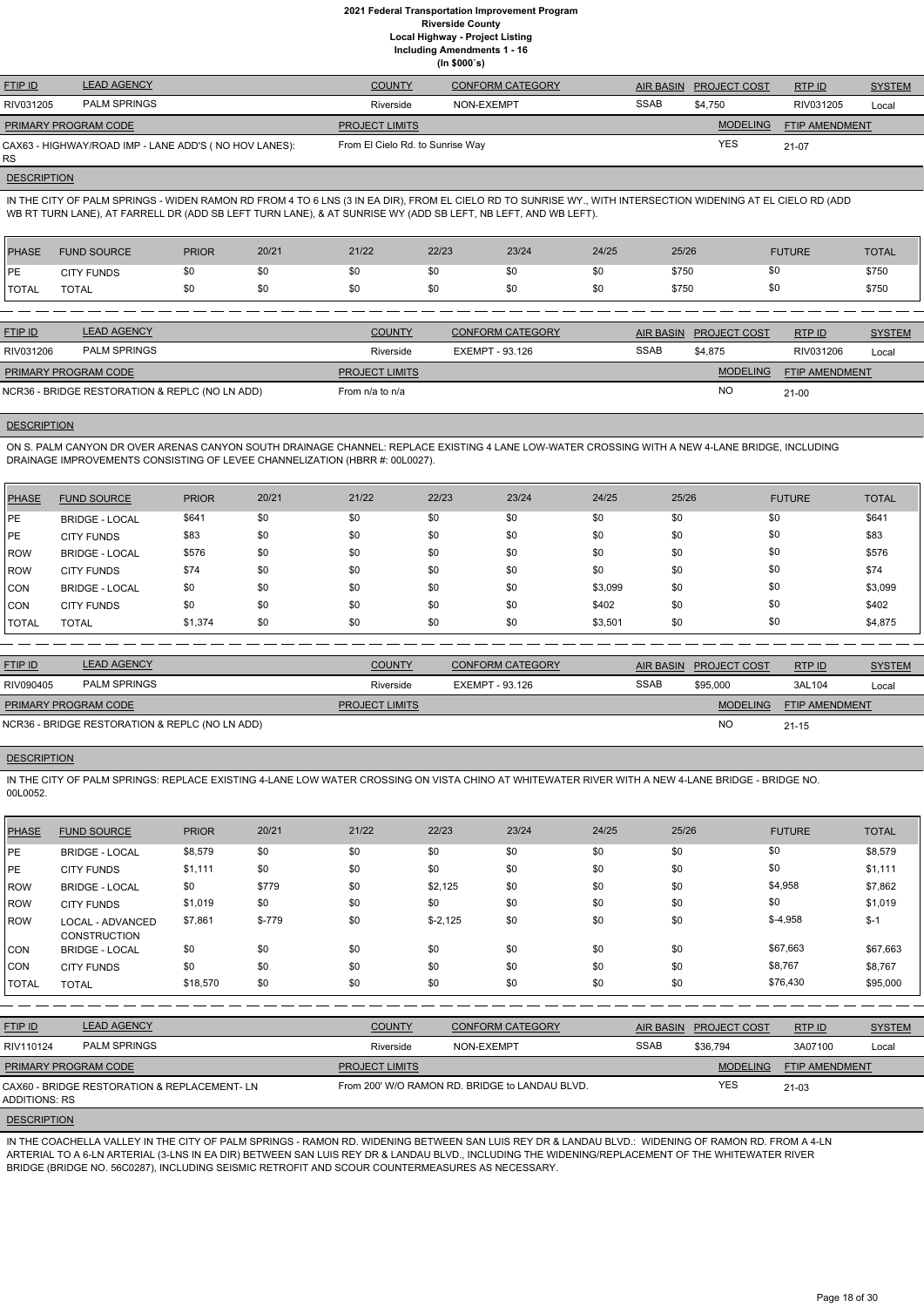**Including Amendments 1 - 16**

**(In \$000`s)**

| <b>FTIP ID</b>              | <b>LEAD AGENCY</b>                                     | <b>COUNTY</b>                    | <b>CONFORM CATEGORY</b> |             | AIR BASIN PROJECT COST | RTP ID                | <b>SYSTEM</b> |
|-----------------------------|--------------------------------------------------------|----------------------------------|-------------------------|-------------|------------------------|-----------------------|---------------|
| RIV031205                   | <b>PALM SPRINGS</b>                                    | Riverside                        | NON-EXEMPT              | <b>SSAB</b> | \$4.750                | RIV031205             | Local         |
| <b>PRIMARY PROGRAM CODE</b> |                                                        | <b>PROJECT LIMITS</b>            |                         |             | <b>MODELING</b>        | <b>FTIP AMENDMENT</b> |               |
| <b>RS</b>                   | CAX63 - HIGHWAY/ROAD IMP - LANE ADD'S ( NO HOV LANES): | From El Cielo Rd. to Sunrise Way |                         |             | <b>YES</b>             | $21-07$               |               |

# **DESCRIPTION**

IN THE CITY OF PALM SPRINGS - WIDEN RAMON RD FROM 4 TO 6 LNS (3 IN EA DIR), FROM EL CIELO RD TO SUNRISE WY., WITH INTERSECTION WIDENING AT EL CIELO RD (ADD WB RT TURN LANE), AT FARRELL DR (ADD SB LEFT TURN LANE), & AT SUNRISE WY (ADD SB LEFT, NB LEFT, AND WB LEFT).

| PHASE        | <b>FUND SOURCE</b> | <b>PRIOR</b> | 20/21 | 21/22 | 22/23 | 23/24 | 24/25 | 25/26 | <b>FUTURE</b> | <b>TOTAL</b> |
|--------------|--------------------|--------------|-------|-------|-------|-------|-------|-------|---------------|--------------|
| PE           | <b>CITY FUNDS</b>  | \$0          | \$0   | \$0   | \$0   | \$0   | \$0   | \$750 | \$0           | \$750        |
| <b>TOTAL</b> | TOTAL              | \$0          | \$0   | \$0   | \$0   | \$0   | \$0   | \$750 | \$0           | \$750        |

| <b>LEAD AGENCY</b>  | <b>COUNTY</b>                                                                 | <b>CONFORM CATEGORY</b> |             |                 | RTPID                  | <b>SYSTEM</b> |
|---------------------|-------------------------------------------------------------------------------|-------------------------|-------------|-----------------|------------------------|---------------|
| <b>PALM SPRINGS</b> | Riverside                                                                     | EXEMPT - 93.126         | <b>SSAB</b> | \$4.875         | RIV031206              | Local         |
|                     | <b>PROJECT LIMITS</b>                                                         |                         |             | <b>MODELING</b> | FTIP AMENDMENT         |               |
|                     | From $n/a$ to $n/a$                                                           |                         |             | <b>NO</b>       | $21-00$                |               |
|                     | <b>PRIMARY PROGRAM CODE</b><br>NCR36 - BRIDGE RESTORATION & REPLC (NO LN ADD) |                         |             |                 | AIR BASIN PROJECT COST |               |

# **DESCRIPTION**

ON S. PALM CANYON DR OVER ARENAS CANYON SOUTH DRAINAGE CHANNEL: REPLACE EXISTING 4 LANE LOW-WATER CROSSING WITH A NEW 4-LANE BRIDGE, INCLUDING DRAINAGE IMPROVEMENTS CONSISTING OF LEVEE CHANNELIZATION (HBRR #: 00L0027).

| PHASE         | <b>FUND SOURCE</b>    | <b>PRIOR</b> | 20/21 | 21/22 | 22/23 | 23/24 | 24/25   | 25/26 | <b>FUTURE</b> | <b>TOTAL</b> |
|---------------|-----------------------|--------------|-------|-------|-------|-------|---------|-------|---------------|--------------|
| <b>IPE</b>    | <b>BRIDGE - LOCAL</b> | \$641        | \$0   | \$0   | \$0   | \$0   | \$0     | \$0   | \$0           | \$641        |
| <b>IPE</b>    | <b>CITY FUNDS</b>     | \$83         | \$0   | \$0   | \$0   | \$0   | \$0     | \$0   | \$0           | \$83         |
| ROW           | <b>BRIDGE - LOCAL</b> | \$576        | \$0   | \$0   | \$0   | \$0   | \$0     | \$0   | \$0           | \$576        |
| ROW           | <b>CITY FUNDS</b>     | \$74         | \$0   | \$0   | \$0   | \$0   | \$0     | \$0   | \$0           | \$74         |
| CON           | <b>BRIDGE - LOCAL</b> | \$0          | \$0   | \$0   | \$0   | \$0   | \$3,099 | \$0   | \$0           | \$3,099      |
| ICON          | <b>CITY FUNDS</b>     | \$0          | \$0   | \$0   | \$0   | \$0   | \$402   | \$0   | \$0           | \$402        |
| <b>ITOTAL</b> | <b>TOTAL</b>          | \$1,374      | \$0   | \$0   | \$0   | \$0   | \$3,501 | \$0   | \$0           | \$4,875      |

| <b>FTIP ID</b>              | <b>LEAD AGENCY</b>                             | <b>COUNTY</b>         | <b>CONFORM CATEGORY</b> |             | AIR BASIN PROJECT COST | RTP ID                | <b>SYSTEM</b> |
|-----------------------------|------------------------------------------------|-----------------------|-------------------------|-------------|------------------------|-----------------------|---------------|
| RIV090405                   | <b>PALM SPRINGS</b>                            | Riverside             | EXEMPT - 93.126         | <b>SSAB</b> | \$95,000               | 3AL104                | Local         |
| <b>PRIMARY PROGRAM CODE</b> |                                                | <b>PROJECT LIMITS</b> |                         |             | <b>MODELING</b>        | <b>FTIP AMENDMENT</b> |               |
|                             | NCR36 - BRIDGE RESTORATION & REPLC (NO LN ADD) |                       |                         |             | <b>NC</b>              | $21 - 15$             |               |

# **DESCRIPTION**

IN THE CITY OF PALM SPRINGS: REPLACE EXISTING 4-LANE LOW WATER CROSSING ON VISTA CHINO AT WHITEWATER RIVER WITH A NEW 4-LANE BRIDGE - BRIDGE NO. 00L0052.

| <b>PHASE</b> | <b>FUND SOURCE</b>                      | <b>PRIOR</b> | 20/21   | 21/22 | 22/23     | 23/24 | 24/25 | 25/26 | <b>FUTURE</b> | <b>TOTAL</b> |
|--------------|-----------------------------------------|--------------|---------|-------|-----------|-------|-------|-------|---------------|--------------|
| <b>IPE</b>   | <b>BRIDGE - LOCAL</b>                   | \$8,579      | \$0     | \$0   | \$0       | \$0   | \$0   | \$0   | \$0           | \$8,579      |
| PE           | <b>CITY FUNDS</b>                       | \$1,111      | \$0     | \$0   | \$0       | \$0   | \$0   | \$0   | \$0           | \$1,111      |
| <b>IROW</b>  | <b>BRIDGE - LOCAL</b>                   | \$0          | \$779   | \$0   | \$2,125   | \$0   | \$0   | \$0   | \$4,958       | \$7,862      |
| ROW          | <b>CITY FUNDS</b>                       | \$1,019      | \$0     | \$0   | \$0       | \$0   | \$0   | \$0   | \$0           | \$1,019      |
| <b>IROW</b>  | LOCAL - ADVANCED<br><b>CONSTRUCTION</b> | \$7,861      | $$-779$ | \$0   | $$-2,125$ | \$0   | \$0   | \$0   | $$-4,958$     | $$ -1$       |
| ICON         | <b>BRIDGE - LOCAL</b>                   | \$0          | \$0     | \$0   | \$0       | \$0   | \$0   | \$0   | \$67,663      | \$67,663     |
| <b>CON</b>   | <b>CITY FUNDS</b>                       | \$0          | \$0     | \$0   | \$0       | \$0   | \$0   | \$0   | \$8,767       | \$8,767      |
| <b>TOTAL</b> | <b>TOTAL</b>                            | \$18,570     | \$0     | \$0   | \$0       | \$0   | \$0   | \$0   | \$76,430      | \$95,000     |

| <b>LEAD AGENCY</b><br><b>FTIP ID</b> |                                              | <b>COUNTY</b>         | <b>CONFORM CATEGORY</b>                        |             | AIR BASIN PROJECT COST | RTP ID                | <b>SYSTEM</b> |
|--------------------------------------|----------------------------------------------|-----------------------|------------------------------------------------|-------------|------------------------|-----------------------|---------------|
| RIV110124                            | <b>PALM SPRINGS</b>                          | Riverside             | NON-EXEMPT                                     | <b>SSAB</b> | \$36.794               | 3A07100               | Local         |
| <b>PRIMARY PROGRAM CODE</b>          |                                              | <b>PROJECT LIMITS</b> |                                                |             | <b>MODELING</b>        | <b>FTIP AMENDMENT</b> |               |
| ADDITIONS: RS                        | CAX60 - BRIDGE RESTORATION & REPLACEMENT- LN |                       | From 200' W/O RAMON RD. BRIDGE to LANDAU BLVD. |             | <b>YES</b>             | $21 - 03$             |               |

**DESCRIPTION** 

IN THE COACHELLA VALLEY IN THE CITY OF PALM SPRINGS - RAMON RD. WIDENING BETWEEN SAN LUIS REY DR & LANDAU BLVD.: WIDENING OF RAMON RD. FROM A 4-LN ARTERIAL TO A 6-LN ARTERIAL (3-LNS IN EA DIR) BETWEEN SAN LUIS REY DR & LANDAU BLVD., INCLUDING THE WIDENING/REPLACEMENT OF THE WHITEWATER RIVER BRIDGE (BRIDGE NO. 56C0287), INCLUDING SEISMIC RETROFIT AND SCOUR COUNTERMEASURES AS NECESSARY.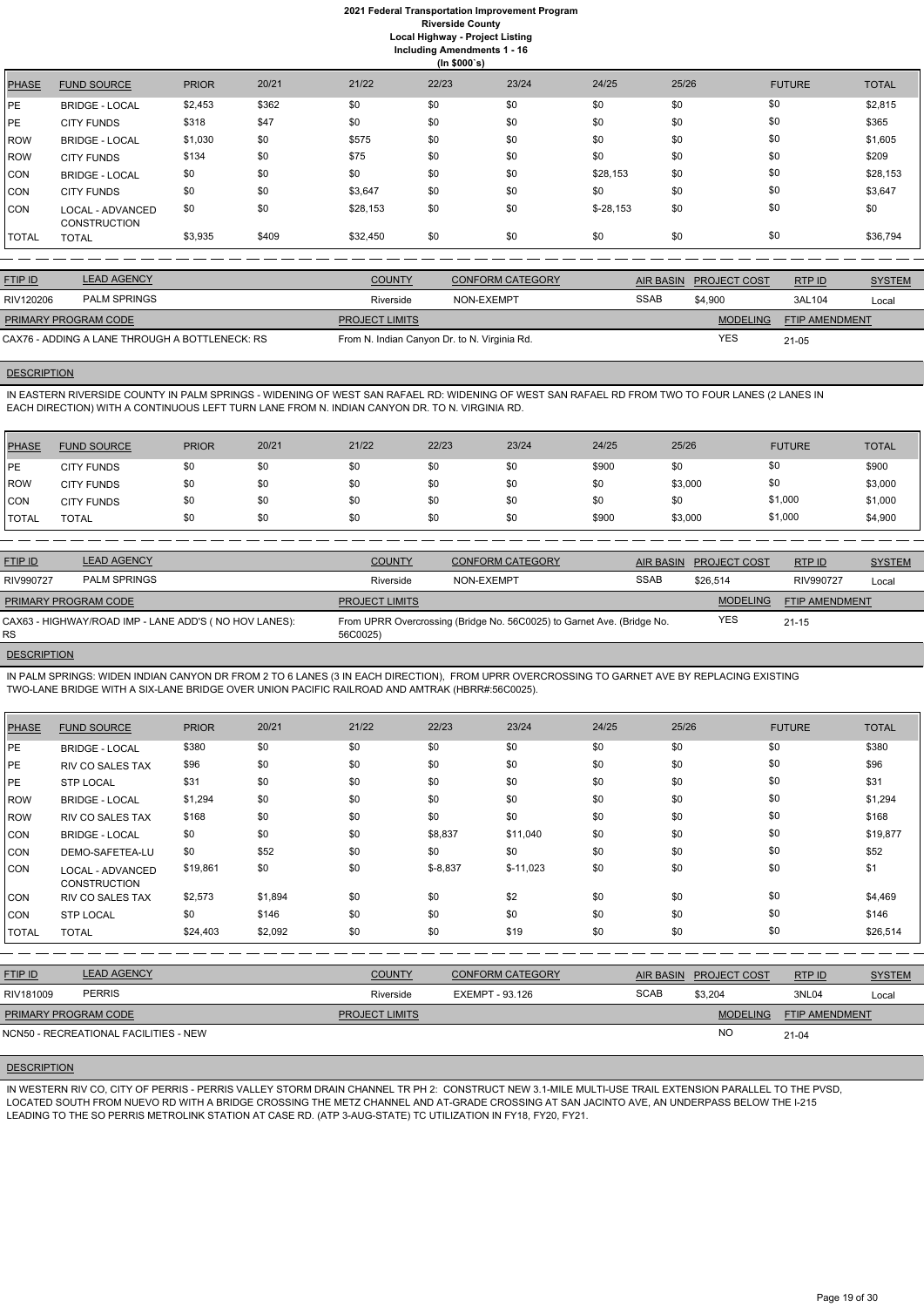|       | (ln \$000's)                            |              |       |          |       |       |            |       |               |              |  |
|-------|-----------------------------------------|--------------|-------|----------|-------|-------|------------|-------|---------------|--------------|--|
| PHASE | <b>FUND SOURCE</b>                      | <b>PRIOR</b> | 20/21 | 21/22    | 22/23 | 23/24 | 24/25      | 25/26 | <b>FUTURE</b> | <b>TOTAL</b> |  |
| PE    | <b>BRIDGE - LOCAL</b>                   | \$2,453      | \$362 | \$0      | \$0   | \$0   | \$0        | \$0   | \$0           | \$2,815      |  |
| PE    | <b>CITY FUNDS</b>                       | \$318        | \$47  | \$0      | \$0   | \$0   | \$0        | \$0   | \$0           | \$365        |  |
| ROW   | <b>BRIDGE - LOCAL</b>                   | \$1,030      | \$0   | \$575    | \$0   | \$0   | \$0        | \$0   | \$0           | \$1,605      |  |
| ROW   | <b>CITY FUNDS</b>                       | \$134        | \$0   | \$75     | \$0   | \$0   | \$0        | \$0   | \$0           | \$209        |  |
| CON   | <b>BRIDGE - LOCAL</b>                   | \$0          | \$0   | \$0      | \$0   | \$0   | \$28,153   | \$0   | \$0           | \$28,153     |  |
| CON   | <b>CITY FUNDS</b>                       | \$0          | \$0   | \$3,647  | \$0   | \$0   | \$0        | \$0   | \$0           | \$3,647      |  |
| CON   | LOCAL - ADVANCED<br><b>CONSTRUCTION</b> | \$0          | \$0   | \$28,153 | \$0   | \$0   | $$-28,153$ | \$0   | \$0           | \$0          |  |
| TOTAL | <b>TOTAL</b>                            | \$3,935      | \$409 | \$32,450 | \$0   | \$0   | \$0        | \$0   | \$0           | \$36,794     |  |

IN EASTERN RIVERSIDE COUNTY IN PALM SPRINGS - WIDENING OF WEST SAN RAFAEL RD: WIDENING OF WEST SAN RAFAEL RD FROM TWO TO FOUR LANES (2 LANES IN EACH DIRECTION) WITH A CONTINUOUS LEFT TURN LANE FROM N. INDIAN CANYON DR. TO N. VIRGINIA RD.

| <b>FTIP ID</b>              | <b>LEAD AGENCY</b>                             | <b>COUNTY</b>                                | <b>CONFORM CATEGORY</b> | AIR BASIN   | <b>PROJECT COST</b> | RTPID                 | <b>SYSTEM</b> |
|-----------------------------|------------------------------------------------|----------------------------------------------|-------------------------|-------------|---------------------|-----------------------|---------------|
| RIV120206                   | <b>PALM SPRINGS</b>                            | Riverside                                    | NON-EXEMPT              | <b>SSAB</b> | \$4.900             | 3AL104                | Local         |
| <b>PRIMARY PROGRAM CODE</b> |                                                | <b>PROJECT LIMITS</b>                        |                         |             | <b>MODELING</b>     | <b>FTIP AMENDMENT</b> |               |
|                             | CAX76 - ADDING A LANE THROUGH A BOTTLENECK: RS | From N. Indian Canyon Dr. to N. Virginia Rd. |                         |             | <b>YES</b>          | 21-05                 |               |

# **DESCRIPTION**

| <b>PHASE</b> | <b>FUND SOURCE</b> | <b>PRIOR</b> | 20/21 | 21/22 | 22/23 | 23/24 | 24/25 | 25/26   | <b>FUTURE</b> | <b>TOTAL</b> |
|--------------|--------------------|--------------|-------|-------|-------|-------|-------|---------|---------------|--------------|
| <b>IPE</b>   | <b>CITY FUNDS</b>  | \$0          | \$0   | \$0   | \$0   | \$0   | \$900 | \$0     | \$0           | \$900        |
| <b>IROW</b>  | <b>CITY FUNDS</b>  | \$0          | \$0   | \$0   | \$0   | \$0   | \$0   | \$3,000 | \$0           | \$3,000      |
| CON          | <b>CITY FUNDS</b>  | \$0          | \$0   | \$0   | \$0   | \$0   | \$0   | \$0     | \$1,000       | \$1,000      |
| <b>TOTAL</b> | TOTAL              | \$0          | \$0   | \$0   | \$0   | \$0   | \$900 | \$3,000 | \$1,000       | \$4,900      |

| <b>FTIP ID</b>              | <b>LEAD AGENCY</b>                                    | <b>COUNTY</b>         | <b>CONFORM CATEGORY</b>                                                | AIR BASIN   | <b>PROJECT COST</b> | <b>RTPID</b>          | <b>SYSTEM</b> |
|-----------------------------|-------------------------------------------------------|-----------------------|------------------------------------------------------------------------|-------------|---------------------|-----------------------|---------------|
| RIV990727                   | <b>PALM SPRINGS</b>                                   | Riverside             | NON-EXEMPT                                                             | <b>SSAB</b> | \$26.514            | RIV990727             | Local         |
| <b>PRIMARY PROGRAM CODE</b> |                                                       | <b>PROJECT LIMITS</b> |                                                                        |             | <b>MODELING</b>     | <b>FTIP AMENDMENT</b> |               |
| <b>RS</b>                   | CAX63 - HIGHWAY/ROAD IMP - LANE ADD'S (NO HOV LANES): | 56C0025)              | From UPRR Overcrossing (Bridge No. 56C0025) to Garnet Ave. (Bridge No. |             | <b>YES</b>          | $21 - 15$             |               |

### **DESCRIPTION**

IN PALM SPRINGS: WIDEN INDIAN CANYON DR FROM 2 TO 6 LANES (3 IN EACH DIRECTION), FROM UPRR OVERCROSSING TO GARNET AVE BY REPLACING EXISTING TWO-LANE BRIDGE WITH A SIX-LANE BRIDGE OVER UNION PACIFIC RAILROAD AND AMTRAK (HBRR#:56C0025).

| <b>PHASE</b> | <b>FUND SOURCE</b>                      | <b>PRIOR</b> | 20/21   | 21/22 | 22/23      | 23/24      | 24/25 | 25/26 | <b>FUTURE</b> | <b>TOTAL</b> |
|--------------|-----------------------------------------|--------------|---------|-------|------------|------------|-------|-------|---------------|--------------|
| PE           | <b>BRIDGE - LOCAL</b>                   | \$380        | \$0     | \$0   | \$0        | \$0        | \$0   | \$0   | \$0           | \$380        |
| PE           | <b>RIV CO SALES TAX</b>                 | \$96         | \$0     | \$0   | \$0        | \$0        | \$0   | \$0   | \$0           | \$96         |
| PE           | <b>STP LOCAL</b>                        | \$31         | \$0     | \$0   | \$0        | \$0        | \$0   | \$0   | \$0           | \$31         |
| <b>ROW</b>   | <b>BRIDGE - LOCAL</b>                   | \$1,294      | \$0     | \$0   | \$0        | \$0        | \$0   | \$0   | \$0           | \$1,294      |
| <b>ROW</b>   | <b>RIV CO SALES TAX</b>                 | \$168        | \$0     | \$0   | \$0        | \$0        | \$0   | \$0   | \$0           | \$168        |
| <b>CON</b>   | <b>BRIDGE - LOCAL</b>                   | \$0          | \$0     | \$0   | \$8,837    | \$11,040   | \$0   | \$0   | \$0           | \$19,877     |
| <b>CON</b>   | DEMO-SAFETEA-LU                         | \$0          | \$52    | \$0   | \$0        | \$0        | \$0   | \$0   | \$0           | \$52         |
| <b>CON</b>   | LOCAL - ADVANCED<br><b>CONSTRUCTION</b> | \$19,861     | \$0     | \$0   | $$ -8,837$ | $$-11,023$ | \$0   | \$0   | \$0           | \$1          |
| <b>CON</b>   | RIV CO SALES TAX                        | \$2,573      | \$1,894 | \$0   | \$0        | \$2        | \$0   | \$0   | \$0           | \$4,469      |
| <b>CON</b>   | <b>STP LOCAL</b>                        | \$0          | \$146   | \$0   | \$0        | \$0        | \$0   | \$0   | \$0           | \$146        |
| <b>TOTAL</b> | <b>TOTAL</b>                            | \$24,403     | \$2,092 | \$0   | \$0        | \$19       | \$0   | \$0   | \$0           | \$26,514     |

FTIP ID LEAD AGENCY COUNTY CONFORM CATEGORY AIR BASIN PROJECT COST RTP ID SYSTEM AND STREM

RTP ID

| <b>PERRIS</b><br>RIV181009            | Riverside             | EXEMPT - 93.126 | <b>SCAB</b> | \$3,204         | 3NL04                 | ∟ocal |
|---------------------------------------|-----------------------|-----------------|-------------|-----------------|-----------------------|-------|
| <b>PRIMARY PROGRAM CODE</b>           | <b>PROJECT LIMITS</b> |                 |             | <b>MODELING</b> | <b>FTIP AMENDMENT</b> |       |
| NCN50 - RECREATIONAL FACILITIES - NEW |                       |                 |             |                 | 21-04                 |       |

### **DESCRIPTION**

IN WESTERN RIV CO, CITY OF PERRIS - PERRIS VALLEY STORM DRAIN CHANNEL TR PH 2: CONSTRUCT NEW 3.1-MILE MULTI-USE TRAIL EXTENSION PARALLEL TO THE PVSD, LOCATED SOUTH FROM NUEVO RD WITH A BRIDGE CROSSING THE METZ CHANNEL AND AT-GRADE CROSSING AT SAN JACINTO AVE, AN UNDERPASS BELOW THE I-215 LEADING TO THE SO PERRIS METROLINK STATION AT CASE RD. (ATP 3-AUG-STATE) TC UTILIZATION IN FY18, FY20, FY21.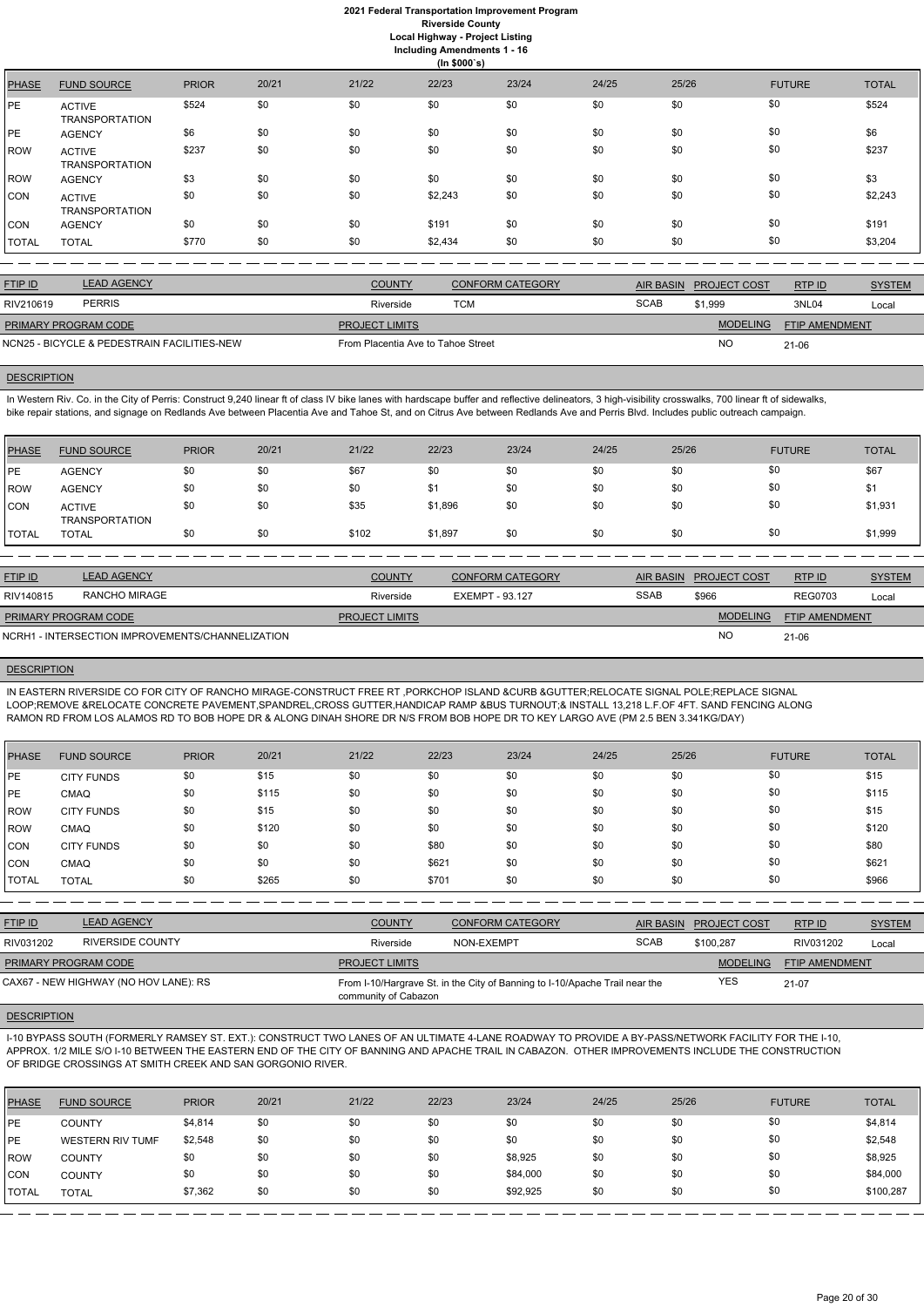|       | (ln \$000's)                           |              |       |       |         |       |       |       |               |              |  |
|-------|----------------------------------------|--------------|-------|-------|---------|-------|-------|-------|---------------|--------------|--|
| PHASE | <b>FUND SOURCE</b>                     | <b>PRIOR</b> | 20/21 | 21/22 | 22/23   | 23/24 | 24/25 | 25/26 | <b>FUTURE</b> | <b>TOTAL</b> |  |
| PE    | <b>ACTIVE</b><br><b>TRANSPORTATION</b> | \$524        | \$0   | \$0   | \$0     | \$0   | \$0   | \$0   | \$0           | \$524        |  |
| PE    | <b>AGENCY</b>                          | \$6          | \$0   | \$0   | \$0     | \$0   | \$0   | \$0   | \$0           | \$6          |  |
| ROW   | <b>ACTIVE</b><br><b>TRANSPORTATION</b> | \$237        | \$0   | \$0   | \$0     | \$0   | \$0   | \$0   | \$0           | \$237        |  |
| ROW   | <b>AGENCY</b>                          | \$3          | \$0   | \$0   | \$0     | \$0   | \$0   | \$0   | \$0           | \$3          |  |
| CON   | <b>ACTIVE</b><br><b>TRANSPORTATION</b> | \$0          | \$0   | \$0   | \$2,243 | \$0   | \$0   | \$0   | \$0           | \$2,243      |  |
| CON   | <b>AGENCY</b>                          | \$0          | \$0   | \$0   | \$191   | \$0   | \$0   | \$0   | \$0           | \$191        |  |
| TOTAL | <b>TOTAL</b>                           | \$770        | \$0   | \$0   | \$2,434 | \$0   | \$0   | \$0   | \$0           | \$3,204      |  |

In Western Riv. Co. in the City of Perris: Construct 9,240 linear ft of class IV bike lanes with hardscape buffer and reflective delineators, 3 high-visibility crosswalks, 700 linear ft of sidewalks, bike repair stations, and signage on Redlands Ave between Placentia Ave and Tahoe St, and on Citrus Ave between Redlands Ave and Perris Blvd. Includes public outreach campaign.

| <b>FTIP ID</b>              | <b>LEAD AGENCY</b>                          | <b>COUNTY</b>                      | <b>CONFORM CATEGORY</b> | <b>AIR BASIN</b> | <b>PROJECT COST</b> | RTP ID                | <b>SYSTEM</b> |
|-----------------------------|---------------------------------------------|------------------------------------|-------------------------|------------------|---------------------|-----------------------|---------------|
| RIV210619                   | <b>PERRIS</b>                               | Riverside                          | TCM                     | <b>SCAB</b>      | \$1.999             | 3NL04                 | Local         |
| <b>PRIMARY PROGRAM CODE</b> |                                             | <b>PROJECT LIMITS</b>              |                         |                  | <b>MODELING</b>     | <b>FTIP AMENDMENT</b> |               |
|                             | NCN25 - BICYCLE & PEDESTRAIN FACILITIES-NEW | From Placentia Ave to Tahoe Street |                         |                  | NO                  | 21-06                 |               |

# **DESCRIPTION**

| <b>PHASE</b> | <b>FUND SOURCE</b>                     | <b>PRIOR</b> | 20/21 | 21/22 | 22/23   | 23/24 | 24/25 | 25/26 | <b>FUTURE</b> | <b>TOTAL</b> |
|--------------|----------------------------------------|--------------|-------|-------|---------|-------|-------|-------|---------------|--------------|
| PE           | <b>AGENCY</b>                          | \$0          | \$0   | \$67  | \$0     | \$0   | \$0   | \$0   | \$0           | \$67         |
| <b>ROW</b>   | <b>AGENCY</b>                          | \$0          | \$0   | \$0   | \$1     | \$0   | \$0   | \$0   | \$0           | \$1          |
| <b>CON</b>   | <b>ACTIVE</b><br><b>TRANSPORTATION</b> | \$0          | \$0   | \$35  | \$1,896 | \$0   | \$0   | \$0   | \$0           | \$1,931      |
| <b>TOTAL</b> | <b>TOTAL</b>                           | \$0          | \$0   | \$102 | \$1,897 | \$0   | \$0   | \$0   | \$0           | \$1,999      |
|              |                                        |              |       |       |         |       |       |       |               |              |

| <b>FTIP ID</b>              | <b>LEAD AGENCY</b>                               | <b>COUNTY</b>         | CONFORM CATEGORY | <b>AIR BASIN</b> | <b>PROJECT COST</b> | RTP ID                | <b>SYSTEM</b> |
|-----------------------------|--------------------------------------------------|-----------------------|------------------|------------------|---------------------|-----------------------|---------------|
| RIV140815                   | RANCHO MIRAGE                                    | Riverside             | EXEMPT - 93.127  | <b>SSAB</b>      | \$966               | <b>REG0703</b>        | Local         |
| <b>PRIMARY PROGRAM CODE</b> |                                                  | <b>PROJECT LIMITS</b> |                  |                  | <b>MODELING</b>     | <b>FTIP AMENDMENT</b> |               |
|                             | NCRH1 - INTERSECTION IMPROVEMENTS/CHANNELIZATION |                       |                  |                  | <b>NO</b>           | $21 - 06$             |               |

### **DESCRIPTION**

IN EASTERN RIVERSIDE CO FOR CITY OF RANCHO MIRAGE-CONSTRUCT FREE RT ,PORKCHOP ISLAND &CURB &GUTTER;RELOCATE SIGNAL POLE;REPLACE SIGNAL LOOP;REMOVE &RELOCATE CONCRETE PAVEMENT,SPANDREL,CROSS GUTTER,HANDICAP RAMP &BUS TURNOUT;& INSTALL 13,218 L.F.OF 4FT. SAND FENCING ALONG RAMON RD FROM LOS ALAMOS RD TO BOB HOPE DR & ALONG DINAH SHORE DR N/S FROM BOB HOPE DR TO KEY LARGO AVE (PM 2.5 BEN 3.341KG/DAY)

| <b>PHASE</b> | <b>FUND SOURCE</b> | <b>PRIOR</b> | 20/21 | 21/22 | 22/23 | 23/24 | 24/25 | 25/26 | <b>FUTURE</b> | <b>TOTAL</b> |
|--------------|--------------------|--------------|-------|-------|-------|-------|-------|-------|---------------|--------------|
| PE           | <b>CITY FUNDS</b>  | \$0          | \$15  | \$0   | \$0   | \$0   | \$0   | \$0   | \$0           | \$15         |
| PE           | <b>CMAQ</b>        | \$0          | \$115 | \$0   | \$0   | \$0   | \$0   | \$0   | \$0           | \$115        |
| <b>ROW</b>   | <b>CITY FUNDS</b>  | \$0          | \$15  | \$0   | \$0   | \$0   | \$0   | \$0   | \$0           | \$15         |
| <b>ROW</b>   | <b>CMAQ</b>        | \$0          | \$120 | \$0   | \$0   | \$0   | \$0   | \$0   | \$0           | \$120        |
| <b>CON</b>   | <b>CITY FUNDS</b>  | \$0          | \$0   | \$0   | \$80  | \$0   | \$0   | \$0   | \$0           | \$80         |
| <b>CON</b>   | <b>CMAQ</b>        | \$0          | \$0   | \$0   | \$621 | \$0   | \$0   | \$0   | \$0           | \$621        |
| <b>TOTAL</b> | <b>TOTAL</b>       | \$0          | \$265 | \$0   | \$701 | \$0   | \$0   | \$0   | \$0           | \$966        |

| <b>FTIP ID</b>              | <b>LEAD AGENCY</b>                    | <b>COUNTY</b>         | <b>CONFORM CATEGORY</b>                                                     | AIR BASIN   | <b>PROJECT COST</b> | RTPID                 | <b>SYSTEM</b> |
|-----------------------------|---------------------------------------|-----------------------|-----------------------------------------------------------------------------|-------------|---------------------|-----------------------|---------------|
| RIV031202                   | <b>RIVERSIDE COUNTY</b>               | Riverside             | NON-EXEMPT                                                                  | <b>SCAB</b> | \$100.287           | RIV031202             | Local         |
| <b>PRIMARY PROGRAM CODE</b> |                                       | <b>PROJECT LIMITS</b> |                                                                             |             | <b>MODELING</b>     | <b>FTIP AMENDMENT</b> |               |
|                             | CAX67 - NEW HIGHWAY (NO HOV LANE): RS |                       | From I-10/Hargrave St. in the City of Banning to I-10/Apache Trail near the |             | <b>YES</b>          | $21-07$               |               |

# community of Cabazon

# **DESCRIPTION**

I-10 BYPASS SOUTH (FORMERLY RAMSEY ST. EXT.): CONSTRUCT TWO LANES OF AN ULTIMATE 4-LANE ROADWAY TO PROVIDE A BY-PASS/NETWORK FACILITY FOR THE I-10, APPROX. 1/2 MILE S/O I-10 BETWEEN THE EASTERN END OF THE CITY OF BANNING AND APACHE TRAIL IN CABAZON. OTHER IMPROVEMENTS INCLUDE THE CONSTRUCTION OF BRIDGE CROSSINGS AT SMITH CREEK AND SAN GORGONIO RIVER.

| PHASE          | <b>FUND SOURCE</b>      | <b>PRIOR</b> | 20/21 | 21/22 | 22/23 | 23/24    | 24/25 | 25/26 | <b>FUTURE</b> | <b>TOTAL</b> |
|----------------|-------------------------|--------------|-------|-------|-------|----------|-------|-------|---------------|--------------|
| PE             | <b>COUNTY</b>           | \$4,814      | \$0   | \$0   | \$0   | \$0      | \$0   | \$0   | \$0           | \$4,814      |
| l PE           | <b>WESTERN RIV TUMF</b> | \$2,548      | \$0   | \$0   | \$0   | \$0      | \$0   | \$0   | \$0           | \$2,548      |
| l ROW          | <b>COUNTY</b>           | \$0          | \$0   | \$0   | \$0   | \$8,925  | \$0   | \$0   | \$0           | \$8,925      |
| <b>CON</b>     | <b>COUNTY</b>           | \$0          | \$0   | \$0   | \$0   | \$84,000 | \$0   | \$0   | \$0           | \$84,000     |
| <b>I</b> TOTAL | TOTAL                   | \$7,362      | \$0   | \$0   | \$0   | \$92,925 | \$0   | \$0   | \$0           | \$100,287    |

-----------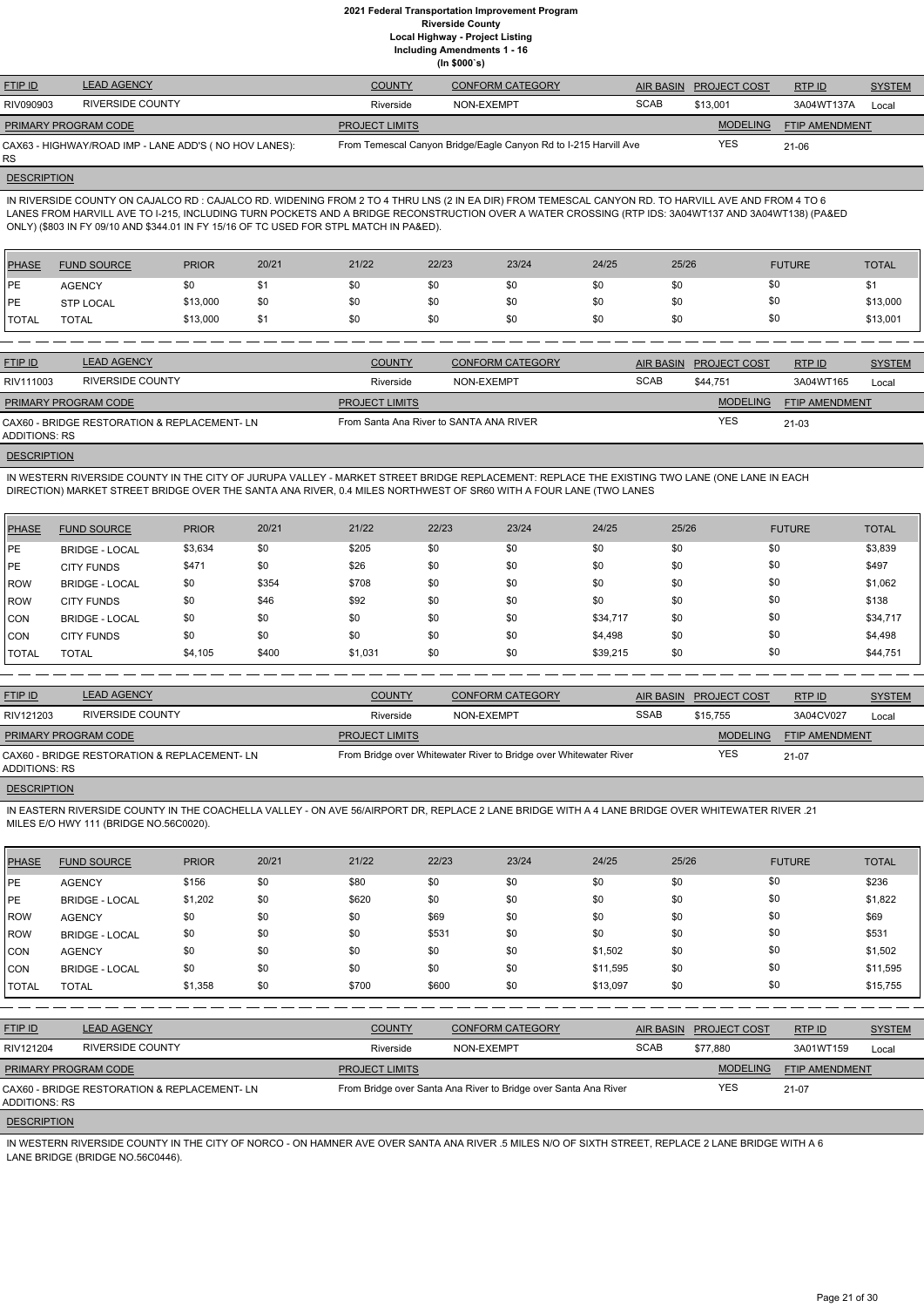**Including Amendments 1 - 16**

**(In \$000`s)**

| <b>FTIP ID</b>              | <b>LEAD AGENCY</b>                                     | <b>COUNTY</b>         | <b>CONFORM CATEGORY</b>                                          |             | AIR BASIN PROJECT COST | RTP ID                | <b>SYSTEM</b> |
|-----------------------------|--------------------------------------------------------|-----------------------|------------------------------------------------------------------|-------------|------------------------|-----------------------|---------------|
| RIV090903                   | RIVERSIDE COUNTY                                       | Riverside             | NON-EXEMPT                                                       | <b>SCAB</b> | \$13.001               | 3A04WT137A            | Local         |
| <b>PRIMARY PROGRAM CODE</b> |                                                        | <b>PROJECT LIMITS</b> |                                                                  |             | <b>MODELING</b>        | <b>FTIP AMENDMENT</b> |               |
| <b>RS</b>                   | CAX63 - HIGHWAY/ROAD IMP - LANE ADD'S ( NO HOV LANES): |                       | From Temescal Canyon Bridge/Eagle Canyon Rd to I-215 Harvill Ave |             | YES                    | $21 - 06$             |               |

# **DESCRIPTION**

IN RIVERSIDE COUNTY ON CAJALCO RD : CAJALCO RD. WIDENING FROM 2 TO 4 THRU LNS (2 IN EA DIR) FROM TEMESCAL CANYON RD. TO HARVILL AVE AND FROM 4 TO 6 LANES FROM HARVILL AVE TO I-215, INCLUDING TURN POCKETS AND A BRIDGE RECONSTRUCTION OVER A WATER CROSSING (RTP IDS: 3A04WT137 AND 3A04WT138) (PA&ED ONLY) (\$803 IN FY 09/10 AND \$344.01 IN FY 15/16 OF TC USED FOR STPL MATCH IN PA&ED).

| PHASE        | <b>FUND SOURCE</b> | <b>PRIOR</b> | 20/21 | 21/22 | 22/23 | 23/24 | 24/25 | 25/26 | <b>FUTURE</b> | <b>TOTAL</b> |
|--------------|--------------------|--------------|-------|-------|-------|-------|-------|-------|---------------|--------------|
| <b>IPE</b>   | <b>AGENCY</b>      |              |       | \$0   | \$0   | \$0   | \$0   | \$0   | \$0           |              |
| <b>IPE</b>   | <b>STP LOCAL</b>   | \$13,000     | \$0   | \$0   | \$0   | \$0   | \$0   | \$0   | \$0           | \$13,000     |
| <b>TOTAL</b> | TOTAL              | \$13,000     | \$1   | \$0   | \$0   | \$0   | \$0   | \$0   | \$0           | \$13,001     |

| <b>FTIP ID</b>              | <b>LEAD AGENCY</b>                           | <b>COUNTY</b>                           | <b>CONFORM CATEGORY</b> |             | AIR BASIN PROJECT COST | RTP ID         | <b>SYSTEM</b> |
|-----------------------------|----------------------------------------------|-----------------------------------------|-------------------------|-------------|------------------------|----------------|---------------|
| RIV111003                   | <b>RIVERSIDE COUNTY</b>                      | Riverside                               | NON-EXEMPT              | <b>SCAB</b> | \$44.751               | 3A04WT165      | Local         |
| <b>PRIMARY PROGRAM CODE</b> |                                              | <b>PROJECT LIMITS</b>                   |                         |             | <b>MODELING</b>        | FTIP AMENDMENT |               |
| ADDITIONS: RS               | CAX60 - BRIDGE RESTORATION & REPLACEMENT- LN | From Santa Ana River to SANTA ANA RIVER |                         |             | <b>YES</b>             | $21 - 03$      |               |
|                             |                                              |                                         |                         |             |                        |                |               |

### **DESCRIPTION**

IN WESTERN RIVERSIDE COUNTY IN THE CITY OF JURUPA VALLEY - MARKET STREET BRIDGE REPLACEMENT: REPLACE THE EXISTING TWO LANE (ONE LANE IN EACH DIRECTION) MARKET STREET BRIDGE OVER THE SANTA ANA RIVER, 0.4 MILES NORTHWEST OF SR60 WITH A FOUR LANE (TWO LANES

| <b>PHASE</b> | <b>FUND SOURCE</b>    | <b>PRIOR</b> | 20/21 | 21/22   | 22/23 | 23/24 | 24/25    | 25/26 | <b>FUTURE</b> | <b>TOTAL</b> |
|--------------|-----------------------|--------------|-------|---------|-------|-------|----------|-------|---------------|--------------|
| <b>IPE</b>   | <b>BRIDGE - LOCAL</b> | \$3,634      | \$0   | \$205   | \$0   | \$0   | \$0      | \$0   | \$0           | \$3,839      |
| <b>IPE</b>   | <b>CITY FUNDS</b>     | \$471        | \$0   | \$26    | \$0   | \$0   | \$0      | \$0   | \$0           | \$497        |
| ROW          | <b>BRIDGE - LOCAL</b> | \$0          | \$354 | \$708   | \$0   | \$0   | \$0      | \$0   | \$0           | \$1,062      |
| ROW          | <b>CITY FUNDS</b>     | \$0          | \$46  | \$92    | \$0   | \$0   | \$0      | \$0   | \$0           | \$138        |
| CON          | <b>BRIDGE - LOCAL</b> | \$0          | \$0   | \$0     | \$0   | \$0   | \$34,717 | \$0   | \$0           | \$34,717     |
| CON          | <b>CITY FUNDS</b>     | \$0          | \$0   | \$0     | \$0   | \$0   | \$4,498  | \$0   | \$0           | \$4,498      |
| <b>TOTAL</b> | <b>TOTAL</b>          | \$4,105      | \$400 | \$1,031 | \$0   | \$0   | \$39,215 | \$0   | \$0           | \$44,751     |

| <b>FTIP ID</b>                                                | <b>LEAD AGENCY</b>      | <b>COUNTY</b>         | <b>CONFORM CATEGORY</b>                                           | AIR BASIN   | <b>PROJECT COST</b> | RTP ID         | <b>SYSTEM</b> |
|---------------------------------------------------------------|-------------------------|-----------------------|-------------------------------------------------------------------|-------------|---------------------|----------------|---------------|
| RIV121203                                                     | <b>RIVERSIDE COUNTY</b> | Riverside             | NON-EXEMPT                                                        | <b>SSAB</b> | \$15,755            | 3A04CV027      | Local         |
| <b>PRIMARY PROGRAM CODE</b>                                   |                         | <b>PROJECT LIMITS</b> |                                                                   |             | <b>MODELING</b>     | FTIP AMENDMENT |               |
| CAX60 - BRIDGE RESTORATION & REPLACEMENT- LN<br>ADDITIONS: RS |                         |                       | From Bridge over Whitewater River to Bridge over Whitewater River |             | <b>YES</b>          | 21-07          |               |

# **DESCRIPTION**

IN EASTERN RIVERSIDE COUNTY IN THE COACHELLA VALLEY - ON AVE 56/AIRPORT DR, REPLACE 2 LANE BRIDGE WITH A 4 LANE BRIDGE OVER WHITEWATER RIVER .21 MILES E/O HWY 111 (BRIDGE NO.56C0020).

| <b>PHASE</b>       | <b>FUND SOURCE</b>                          | <b>PRIOR</b> | 20/21 | 21/22                 | 22/23      | 23/24                                                           | 24/25    | 25/26            |                     | <b>FUTURE</b>  | <b>TOTAL</b>  |
|--------------------|---------------------------------------------|--------------|-------|-----------------------|------------|-----------------------------------------------------------------|----------|------------------|---------------------|----------------|---------------|
| <b>PE</b>          | <b>AGENCY</b>                               | \$156        | \$0   | \$80                  | \$0        | \$0                                                             | \$0      | \$0              | \$0                 |                | \$236         |
| PE                 | <b>BRIDGE - LOCAL</b>                       | \$1,202      | \$0   | \$620                 | \$0        | \$0                                                             | \$0      | \$0              | \$0                 |                | \$1,822       |
| ROW                | <b>AGENCY</b>                               | \$0          | \$0   | \$0                   | \$69       | \$0                                                             | \$0      | \$0              | \$0                 |                | \$69          |
| ROW                | <b>BRIDGE - LOCAL</b>                       | \$0          | \$0   | \$0                   | \$531      | \$0                                                             | \$0      | \$0              | \$0                 |                | \$531         |
| CON                | <b>AGENCY</b>                               | \$0          | \$0   | \$0                   | \$0        | \$0                                                             | \$1,502  | \$0              | \$0                 |                | \$1,502       |
| CON                | <b>BRIDGE - LOCAL</b>                       | \$0          | \$0   | \$0                   | \$0        | \$0                                                             | \$11,595 | \$0              | \$0                 |                | \$11,595      |
| <b>TOTAL</b>       | <b>TOTAL</b>                                | \$1,358      | \$0   | \$700                 | \$600      | \$0                                                             | \$13,097 | \$0              | \$0                 |                | \$15,755      |
|                    |                                             |              |       |                       |            |                                                                 |          |                  |                     |                |               |
| FTIP ID            | <b>LEAD AGENCY</b>                          |              |       | <b>COUNTY</b>         |            | <b>CONFORM CATEGORY</b>                                         |          | <b>AIR BASIN</b> | <b>PROJECT COST</b> | RTP ID         | <b>SYSTEM</b> |
| RIV121204          | <b>RIVERSIDE COUNTY</b>                     |              |       | Riverside             | NON-EXEMPT |                                                                 | SCAB     |                  | \$77,880            | 3A01WT159      | Local         |
|                    | PRIMARY PROGRAM CODE                        |              |       | <b>PROJECT LIMITS</b> |            |                                                                 |          |                  | <b>MODELING</b>     | FTIP AMENDMENT |               |
| ADDITIONS: RS      | CAX60 - BRIDGE RESTORATION & REPLACEMENT-LN |              |       |                       |            | From Bridge over Santa Ana River to Bridge over Santa Ana River |          |                  | <b>YES</b>          | $21-07$        |               |
| <b>DESCRIPTION</b> |                                             |              |       |                       |            |                                                                 |          |                  |                     |                |               |

IN WESTERN RIVERSIDE COUNTY IN THE CITY OF NORCO - ON HAMNER AVE OVER SANTA ANA RIVER .5 MILES N/O OF SIXTH STREET, REPLACE 2 LANE BRIDGE WITH A 6 LANE BRIDGE (BRIDGE NO.56C0446).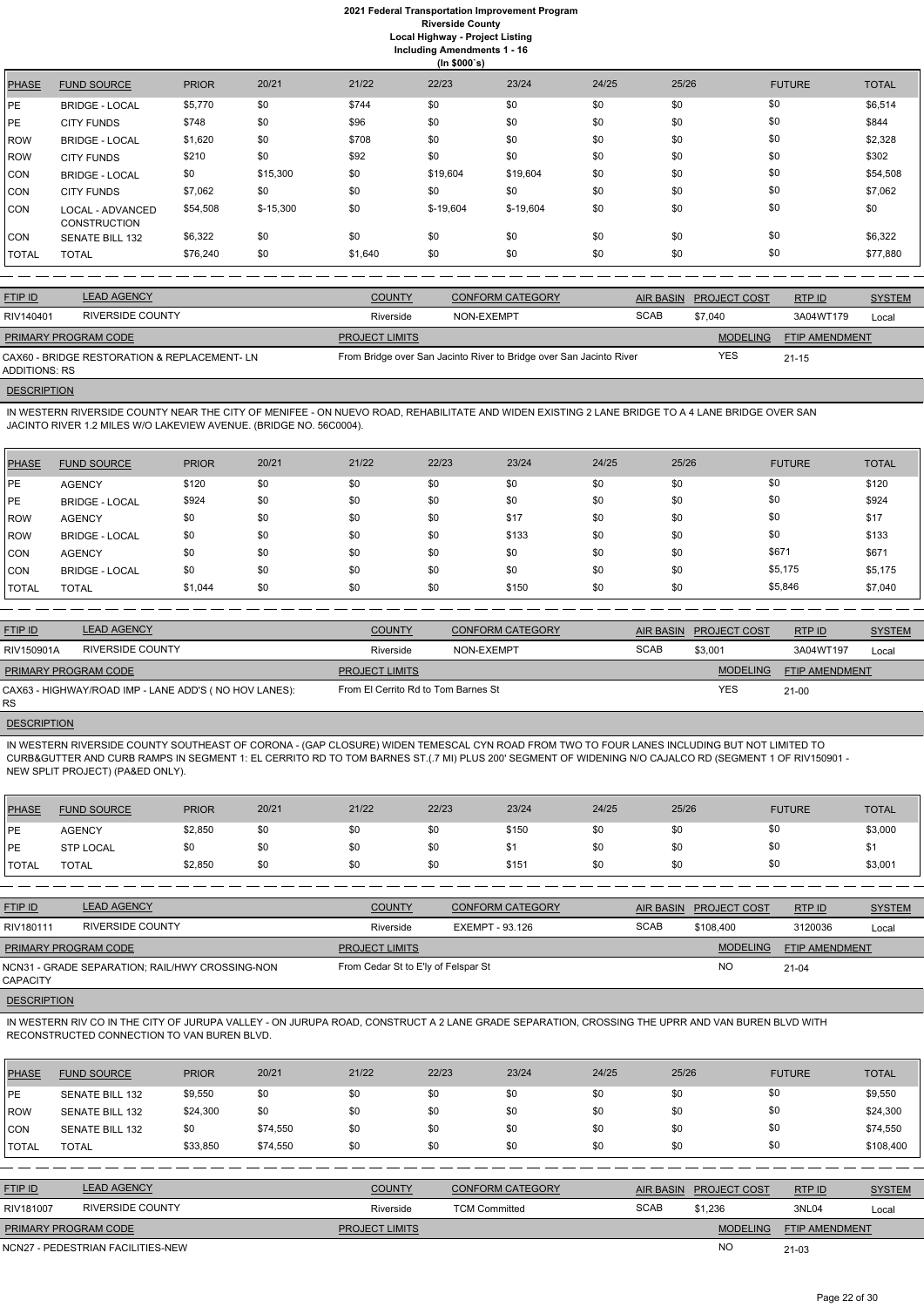|              |                                         |              |            |         | $\frac{1}{2}$ |            |       |       |               |              |
|--------------|-----------------------------------------|--------------|------------|---------|---------------|------------|-------|-------|---------------|--------------|
| <b>PHASE</b> | <b>FUND SOURCE</b>                      | <b>PRIOR</b> | 20/21      | 21/22   | 22/23         | 23/24      | 24/25 | 25/26 | <b>FUTURE</b> | <b>TOTAL</b> |
| <b>PE</b>    | <b>BRIDGE - LOCAL</b>                   | \$5,770      | \$0        | \$744   | \$0           | \$0        | \$0   | \$0   | \$0           | \$6,514      |
| PE           | <b>CITY FUNDS</b>                       | \$748        | \$0        | \$96    | \$0           | \$0        | \$0   | \$0   | \$0           | \$844        |
| <b>ROW</b>   | <b>BRIDGE - LOCAL</b>                   | \$1,620      | \$0        | \$708   | \$0           | \$0        | \$0   | \$0   | \$0           | \$2,328      |
| <b>ROW</b>   | <b>CITY FUNDS</b>                       | \$210        | \$0        | \$92    | \$0           | \$0        | \$0   | \$0   | \$0           | \$302        |
| <b>CON</b>   | <b>BRIDGE - LOCAL</b>                   | \$0          | \$15,300   | \$0     | \$19,604      | \$19,604   | \$0   | \$0   | \$0           | \$54,508     |
| <b>CON</b>   | <b>CITY FUNDS</b>                       | \$7,062      | \$0        | \$0     | \$0           | \$0        | \$0   | \$0   | \$0           | \$7,062      |
| <b>CON</b>   | LOCAL - ADVANCED<br><b>CONSTRUCTION</b> | \$54,508     | $$-15,300$ | \$0     | $$-19,604$    | $$-19,604$ | \$0   | \$0   | \$0           | \$0          |
| <b>CON</b>   | <b>SENATE BILL 132</b>                  | \$6,322      | \$0        | \$0     | \$0           | \$0        | \$0   | \$0   | \$0           | \$6,322      |
| <b>TOTAL</b> | <b>TOTAL</b>                            | \$76,240     | \$0        | \$1,640 | \$0           | \$0        | \$0   | \$0   | \$0           | \$77,880     |

| <b>FTIP ID</b>              | <b>LEAD AGENCY</b>                           | <b>COUNTY</b>         | CONFORM CATEGORY                                                    | AIR BASIN   | <b>PROJECT COST</b> | <b>RTPID</b>          | <b>SYSTEM</b> |
|-----------------------------|----------------------------------------------|-----------------------|---------------------------------------------------------------------|-------------|---------------------|-----------------------|---------------|
| RIV140401                   | RIVERSIDE COUNTY                             | Riverside             | NON-EXEMPT                                                          | <b>SCAB</b> | \$7.040             | 3A04WT179             | Local         |
| <b>PRIMARY PROGRAM CODE</b> |                                              | <b>PROJECT LIMITS</b> |                                                                     |             | <b>MODELING</b>     | <b>FTIP AMENDMENT</b> |               |
| ADDITIONS: RS               | CAX60 - BRIDGE RESTORATION & REPLACEMENT- LN |                       | From Bridge over San Jacinto River to Bridge over San Jacinto River |             | YES                 | $21 - 15$             |               |
|                             |                                              |                       |                                                                     |             |                     |                       |               |

# **DESCRIPTION**

IN WESTERN RIVERSIDE COUNTY NEAR THE CITY OF MENIFEE - ON NUEVO ROAD, REHABILITATE AND WIDEN EXISTING 2 LANE BRIDGE TO A 4 LANE BRIDGE OVER SAN JACINTO RIVER 1.2 MILES W/O LAKEVIEW AVENUE. (BRIDGE NO. 56C0004).

| <b>PHASE</b>   | <b>FUND SOURCE</b>    | <b>PRIOR</b> | 20/21 | 21/22 | 22/23 | 23/24 | 24/25 | 25/26 | <b>FUTURE</b> | <b>TOTAL</b> |
|----------------|-----------------------|--------------|-------|-------|-------|-------|-------|-------|---------------|--------------|
| <b>IPE</b>     | <b>AGENCY</b>         | \$120        | \$0   | \$0   | \$0   | \$0   | \$0   | \$0   | \$0           | \$120        |
| <b>IPE</b>     | <b>BRIDGE - LOCAL</b> | \$924        | \$0   | \$0   | \$0   | \$0   | \$0   | \$0   | \$0           | \$924        |
| ROW            | <b>AGENCY</b>         | \$0          | \$0   | \$0   | \$0   | \$17  | \$0   | \$0   | \$0           | \$17         |
| ROW            | <b>BRIDGE - LOCAL</b> | \$0          | \$0   | \$0   | \$0   | \$133 | \$0   | \$0   | \$0           | \$133        |
| CON            | <b>AGENCY</b>         | \$0          | \$0   | \$0   | \$0   | \$0   | \$0   | \$0   | \$671         | \$671        |
| CON            | <b>BRIDGE - LOCAL</b> | \$0          | \$0   | \$0   | \$0   | \$0   | \$0   | \$0   | \$5,175       | \$5,175      |
| <b>I</b> TOTAL | <b>TOTAL</b>          | \$1,044      | \$0   | \$0   | \$0   | \$150 | \$0   | \$0   | \$5,846       | \$7,040      |

| <b>FTIP ID</b>              | <b>LEAD AGENCY</b>                                    | <b>COUNTY</b>                       | <b>CONFORM CATEGORY</b> |             | AIR BASIN PROJECT COST | RTP ID                | <b>SYSTEM</b> |
|-----------------------------|-------------------------------------------------------|-------------------------------------|-------------------------|-------------|------------------------|-----------------------|---------------|
| RIV150901A                  | <b>RIVERSIDE COUNTY</b>                               | Riverside                           | NON-EXEMPT              | <b>SCAB</b> | \$3,001                | 3A04WT197             | Local         |
| <b>PRIMARY PROGRAM CODE</b> |                                                       | <b>PROJECT LIMITS</b>               |                         |             | <b>MODELING</b>        | <b>FTIP AMENDMENT</b> |               |
| <b>RS</b>                   | CAX63 - HIGHWAY/ROAD IMP - LANE ADD'S (NO HOV LANES): | From El Cerrito Rd to Tom Barnes St |                         |             | <b>YES</b>             | $21 - 00$             |               |

### **DESCRIPTION**

IN WESTERN RIVERSIDE COUNTY SOUTHEAST OF CORONA - (GAP CLOSURE) WIDEN TEMESCAL CYN ROAD FROM TWO TO FOUR LANES INCLUDING BUT NOT LIMITED TO CURB&GUTTER AND CURB RAMPS IN SEGMENT 1: EL CERRITO RD TO TOM BARNES ST.(.7 MI) PLUS 200' SEGMENT OF WIDENING N/O CAJALCO RD (SEGMENT 1 OF RIV150901 - NEW SPLIT PROJECT) (PA&ED ONLY).

| PHASE          | <b>FUND SOURCE</b> | <b>PRIOR</b> | 20/21 | 21/22 | 22/23 | 23/24 | 24/25 | 25/26 | <b>FUTURE</b> | <b>TOTAL</b> |
|----------------|--------------------|--------------|-------|-------|-------|-------|-------|-------|---------------|--------------|
| <b>IPE</b>     | <b>AGENCY</b>      | \$2,850      | \$0   | \$0   | \$0   | \$150 | \$0   |       | \$0           | \$3,000      |
| <b>IPE</b>     | <b>STP LOCAL</b>   |              | \$0   | \$0   | \$0   | \$1   | \$0   |       | \$0           |              |
| <b>I</b> TOTAL | <b>TOTAL</b>       | \$2,850      | \$0   | \$0   | \$0   | \$151 | \$0   |       | \$0           | \$3,001      |

| <b>FTIP ID</b>              | <b>LEAD AGENCY</b>                              | <b>COUNTY</b>                       | <b>CONFORM CATEGORY</b> | <b>AIR BASIN</b> | <b>PROJECT COST</b> | <b>RTPID</b>          | <b>SYSTEM</b> |
|-----------------------------|-------------------------------------------------|-------------------------------------|-------------------------|------------------|---------------------|-----------------------|---------------|
| RIV180111                   | <b>RIVERSIDE COUNTY</b>                         | Riverside                           | EXEMPT - 93.126         | <b>SCAB</b>      | \$108,400           | 3120036               | Local         |
| <b>PRIMARY PROGRAM CODE</b> |                                                 | <b>PROJECT LIMITS</b>               |                         |                  | <b>MODELING</b>     | <b>FTIP AMENDMENT</b> |               |
| <b>CAPACITY</b>             | NCN31 - GRADE SEPARATION; RAIL/HWY CROSSING-NON | From Cedar St to E'ly of Felspar St |                         |                  | <b>NO</b>           | $21 - 04$             |               |

### **DESCRIPTION**

IN WESTERN RIV CO IN THE CITY OF JURUPA VALLEY - ON JURUPA ROAD, CONSTRUCT A 2 LANE GRADE SEPARATION, CROSSING THE UPRR AND VAN BUREN BLVD WITH RECONSTRUCTED CONNECTION TO VAN BUREN BLVD.

| <b>PHASE</b>   | <b>FUND SOURCE</b>                | <b>PRIOR</b> | 20/21    | 21/22                 | 22/23                | 23/24                   | 24/25 | 25/26            |                     | <b>FUTURE</b>         | <b>TOTAL</b>  |
|----------------|-----------------------------------|--------------|----------|-----------------------|----------------------|-------------------------|-------|------------------|---------------------|-----------------------|---------------|
| <b>IPE</b>     | <b>SENATE BILL 132</b>            | \$9,550      | \$0      | \$0                   | \$0                  | \$0                     | \$0   | \$0              | \$0                 |                       | \$9,550       |
| ROW            | <b>SENATE BILL 132</b>            | \$24,300     | \$0      | \$0                   | \$0                  | \$0                     | \$0   | \$0              | \$0                 |                       | \$24,300      |
| CON            | <b>SENATE BILL 132</b>            | \$0          | \$74,550 | \$0                   | \$0                  | \$0                     | \$0   | \$0              | \$0                 |                       | \$74,550      |
| TOTAL          | <b>TOTAL</b>                      | \$33,850     | \$74,550 | \$0                   | \$0                  | \$0                     | \$0   | \$0              | \$0                 |                       | \$108,400     |
|                |                                   |              |          |                       |                      |                         |       |                  |                     |                       |               |
| <b>FTIP ID</b> | <b>LEAD AGENCY</b>                |              |          | <b>COUNTY</b>         |                      | <b>CONFORM CATEGORY</b> |       | <b>AIR BASIN</b> | <b>PROJECT COST</b> | RTP ID                | <b>SYSTEM</b> |
| RIV181007      | <b>RIVERSIDE COUNTY</b>           |              |          | Riverside             | <b>TCM Committed</b> |                         |       | <b>SCAB</b>      | \$1,236             | 3NL04                 | Local         |
|                | PRIMARY PROGRAM CODE              |              |          | <b>PROJECT LIMITS</b> |                      |                         |       |                  | <b>MODELING</b>     | <b>FTIP AMENDMENT</b> |               |
|                | NCN27 - PEDESTRIAN FACILITIES-NEW |              |          |                       |                      |                         |       |                  | <b>NO</b>           | $21 - 03$             |               |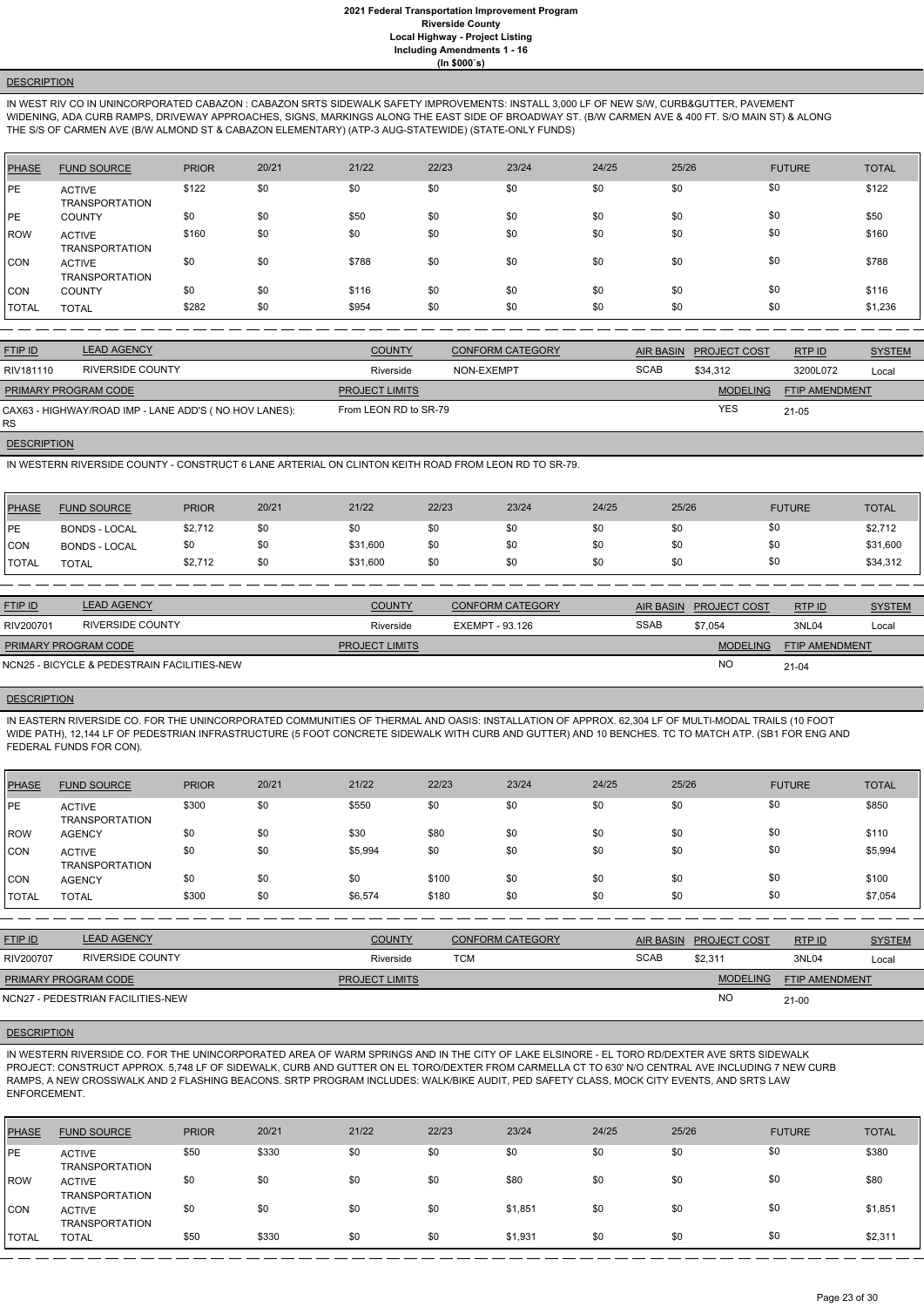# **DESCRIPTION**

IN WEST RIV CO IN UNINCORPORATED CABAZON : CABAZON SRTS SIDEWALK SAFETY IMPROVEMENTS: INSTALL 3,000 LF OF NEW S/W, CURB&GUTTER, PAVEMENT WIDENING, ADA CURB RAMPS, DRIVEWAY APPROACHES, SIGNS, MARKINGS ALONG THE EAST SIDE OF BROADWAY ST. (B/W CARMEN AVE & 400 FT. S/O MAIN ST) & ALONG THE S/S OF CARMEN AVE (B/W ALMOND ST & CABAZON ELEMENTARY) (ATP-3 AUG-STATEWIDE) (STATE-ONLY FUNDS)

| <b>PHASE</b> | <b>FUND SOURCE</b>                     | <b>PRIOR</b> | 20/21 | 21/22 | 22/23 | 23/24 | 24/25 | 25/26 | <b>FUTURE</b> | <b>TOTAL</b> |
|--------------|----------------------------------------|--------------|-------|-------|-------|-------|-------|-------|---------------|--------------|
| PE           | <b>ACTIVE</b><br><b>TRANSPORTATION</b> | \$122        | \$0   | \$0   | \$0   | \$0   | \$0   | \$0   | \$0           | \$122        |
| PE           | <b>COUNTY</b>                          | \$0          | \$0   | \$50  | \$0   | \$0   | \$0   | \$0   | \$0           | \$50         |
| ROW          | <b>ACTIVE</b><br><b>TRANSPORTATION</b> | \$160        | \$0   | \$0   | \$0   | \$0   | \$0   | \$0   | \$0           | \$160        |
| CON          | <b>ACTIVE</b><br><b>TRANSPORTATION</b> | \$0          | \$0   | \$788 | \$0   | \$0   | \$0   | \$0   | \$0           | \$788        |
| <b>CON</b>   | <b>COUNTY</b>                          | \$0          | \$0   | \$116 | \$0   | \$0   | \$0   | \$0   | \$0           | \$116        |
| <b>TOTAL</b> | <b>TOTAL</b>                           | \$282        | \$0   | \$954 | \$0   | \$0   | \$0   | \$0   | \$0           | \$1,236      |

| <b>FTIP ID</b>                                                     | <b>LEAD AGENCY</b>      | <b>COUNTY</b>         | <b>CONFORM CATEGORY</b> | AIR BASIN   | <b>PROJECT COST</b> | RTPID          | <b>SYSTEM</b> |
|--------------------------------------------------------------------|-------------------------|-----------------------|-------------------------|-------------|---------------------|----------------|---------------|
| RIV181110                                                          | <b>RIVERSIDE COUNTY</b> | Riverside             | NON-EXEMPT              | <b>SCAB</b> | \$34,312            | 3200L072       | Local         |
| <b>PRIMARY PROGRAM CODE</b>                                        |                         | <b>PROJECT LIMITS</b> |                         |             | <b>MODELING</b>     | FTIP AMENDMENT |               |
| CAX63 - HIGHWAY/ROAD IMP - LANE ADD'S (NO HOV LANES):<br><b>RS</b> |                         | From LEON RD to SR-79 |                         |             | <b>YES</b>          | $21 - 05$      |               |

**DESCRIPTION** 

IN WESTERN RIVERSIDE COUNTY - CONSTRUCT 6 LANE ARTERIAL ON CLINTON KEITH ROAD FROM LEON RD TO SR-79.

| <b>PHASE</b>  | <b>FUND SOURCE</b>   | <b>PRIOR</b> | 20/21 | 21/22    | 22/23 | 23/24 | 24/25 | 25/26 | <b>FUTURE</b> | <b>TOTAL</b> |
|---------------|----------------------|--------------|-------|----------|-------|-------|-------|-------|---------------|--------------|
| <b>IPE</b>    | <b>BONDS - LOCAL</b> | \$2,712      | \$0   | \$0      |       | \$0   | \$0   | \$0   |               | \$2,712      |
| <b>CON</b>    | <b>BONDS - LOCAL</b> | \$0          | \$0   | \$31,600 |       | \$0   | \$0   | \$0   |               | \$31,600     |
| <b>ITOTAL</b> | <b>TOTAL</b>         | \$2,712      | \$0   | \$31,600 | \$0   | \$0   | \$0   | \$0   | \$0           | \$34,312     |

| <b>FTIP ID</b>              | <b>LEAD AGENCY</b>                          | <b>COUNTY</b>         | <b>CONFORM CATEGORY</b> | AIR BASIN   | <b>PROJECT COST</b> | RTP ID                | <b>SYSTEM</b> |
|-----------------------------|---------------------------------------------|-----------------------|-------------------------|-------------|---------------------|-----------------------|---------------|
| RIV200701                   | RIVERSIDE COUNTY                            | Riverside             | EXEMPT - 93.126         | <b>SSAB</b> | \$7,054             | 3NL04                 | Local         |
| <b>PRIMARY PROGRAM CODE</b> |                                             | <b>PROJECT LIMITS</b> |                         |             | <b>MODELING</b>     | <b>FTIP AMENDMENT</b> |               |
|                             | NCN25 - BICYCLE & PEDESTRAIN FACILITIES-NEW |                       |                         |             | <b>NC</b>           | $21 - 04$             |               |

### **DESCRIPTION**

IN EASTERN RIVERSIDE CO. FOR THE UNINCORPORATED COMMUNITIES OF THERMAL AND OASIS: INSTALLATION OF APPROX. 62,304 LF OF MULTI-MODAL TRAILS (10 FOOT WIDE PATH), 12,144 LF OF PEDESTRIAN INFRASTRUCTURE (5 FOOT CONCRETE SIDEWALK WITH CURB AND GUTTER) AND 10 BENCHES. TC TO MATCH ATP. (SB1 FOR ENG AND FEDERAL FUNDS FOR CON).

| PHASE        | <b>FUND SOURCE</b>                     | <b>PRIOR</b> | 20/21 | 21/22   | 22/23 | 23/24 | 24/25 | 25/26 | <b>FUTURE</b> | <b>TOTAL</b> |
|--------------|----------------------------------------|--------------|-------|---------|-------|-------|-------|-------|---------------|--------------|
| <b>IPE</b>   | <b>ACTIVE</b><br><b>TRANSPORTATION</b> | \$300        | \$0   | \$550   | \$0   | \$0   | \$0   | \$0   | \$0           | \$850        |
| <b>ROW</b>   | <b>AGENCY</b>                          | \$0          | \$0   | \$30    | \$80  | \$0   | \$0   | \$0   | \$0           | \$110        |
| <b>CON</b>   | <b>ACTIVE</b><br><b>TRANSPORTATION</b> | \$0          | \$0   | \$5,994 | \$0   | \$0   | \$0   | \$0   | \$0           | \$5,994      |
| <b>CON</b>   | <b>AGENCY</b>                          | \$0          | \$0   | \$0     | \$100 | \$0   | \$0   | \$0   | \$0           | \$100        |
| <b>TOTAL</b> | <b>TOTAL</b>                           | \$300        | \$0   | \$6,574 | \$180 | \$0   | \$0   | \$0   | \$0           | \$7,054      |

| <u>FTIP ID</u>              | <b>LEAD AGENCY</b>      | <b>COUNTY</b>         | <b>CONFORM CATEGORY</b> | AIR BASIN | <b>PROJECT COST</b> | <b>RTPID</b>   | <b>SYSTEM</b> |
|-----------------------------|-------------------------|-----------------------|-------------------------|-----------|---------------------|----------------|---------------|
| RIV200707                   | <b>RIVERSIDE COUNTY</b> | Riverside             | <b>TCM</b>              | SCAB      | \$2.311             | 3NL04          | Local         |
| <b>PRIMARY PROGRAM CODE</b> |                         | <b>PROJECT LIMITS</b> |                         |           | <b>MODELING</b>     | FTIP AMENDMENT |               |

NO

### **DESCRIPTION**

IN WESTERN RIVERSIDE CO. FOR THE UNINCORPORATED AREA OF WARM SPRINGS AND IN THE CITY OF LAKE ELSINORE - EL TORO RD/DEXTER AVE SRTS SIDEWALK PROJECT: CONSTRUCT APPROX. 5,748 LF OF SIDEWALK, CURB AND GUTTER ON EL TORO/DEXTER FROM CARMELLA CT TO 630' N/O CENTRAL AVE INCLUDING 7 NEW CURB RAMPS, A NEW CROSSWALK AND 2 FLASHING BEACONS. SRTP PROGRAM INCLUDES: WALK/BIKE AUDIT, PED SAFETY CLASS, MOCK CITY EVENTS, AND SRTS LAW ENFORCEMENT.

| <b>PHASE</b>  | <b>FUND SOURCE</b>                     | <b>PRIOR</b> | 20/21 | 21/22 | 22/23 | 23/24   | 24/25 | 25/26 | <b>FUTURE</b> | <b>TOTAL</b> |
|---------------|----------------------------------------|--------------|-------|-------|-------|---------|-------|-------|---------------|--------------|
| <b>PE</b>     | <b>ACTIVE</b><br><b>TRANSPORTATION</b> | \$50         | \$330 | \$0   | \$0   | \$0     | \$0   | \$0   | \$0           | \$380        |
| <b>ROW</b>    | <b>ACTIVE</b><br>TRANSPORTATION        | \$0          | \$0   | \$0   | \$0   | \$80    | \$0   | \$0   | \$0           | \$80         |
| <b>CON</b>    | <b>ACTIVE</b><br><b>TRANSPORTATION</b> | \$0          | \$0   | \$0   | \$0   | \$1,851 | \$0   | \$0   | \$0           | \$1,851      |
| <b>ITOTAL</b> | <b>TOTAL</b>                           | \$50         | \$330 | \$0   | \$0   | \$1,931 | \$0   | \$0   | \$0           | \$2,311      |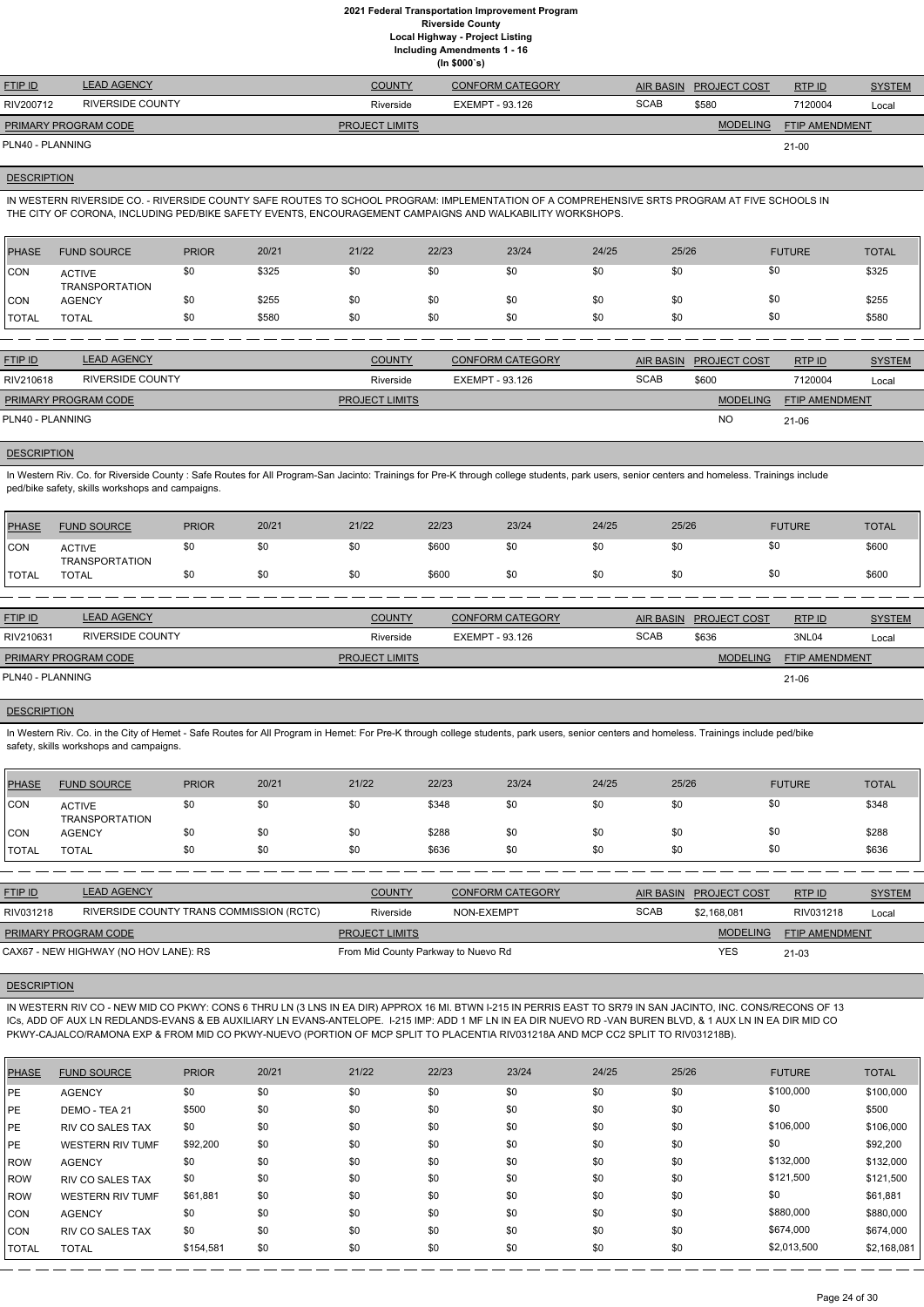**(In \$000`s)**

| <b>FTIP ID</b>              | <b>LEAD AGENCY</b> | <b>COUNTY</b>         | <b>CONFORM CATEGORY</b> |             | AIR BASIN PROJECT COST | RTPID                 | <b>SYSTEM</b> |
|-----------------------------|--------------------|-----------------------|-------------------------|-------------|------------------------|-----------------------|---------------|
| RIV200712                   | RIVERSIDE COUNTY   | Riverside             | EXEMPT - 93.126         | <b>SCAB</b> | \$580                  | 7120004               | Local         |
| <b>PRIMARY PROGRAM CODE</b> |                    | <b>PROJECT LIMITS</b> |                         |             | <b>MODELING</b>        | <b>FTIP AMENDMENT</b> |               |
| PLN40 - PLANNING            |                    |                       |                         |             |                        | $21-00$               |               |

### **DESCRIPTION**

IN WESTERN RIVERSIDE CO. - RIVERSIDE COUNTY SAFE ROUTES TO SCHOOL PROGRAM: IMPLEMENTATION OF A COMPREHENSIVE SRTS PROGRAM AT FIVE SCHOOLS IN THE CITY OF CORONA, INCLUDING PED/BIKE SAFETY EVENTS, ENCOURAGEMENT CAMPAIGNS AND WALKABILITY WORKSHOPS.

In Western Riv. Co. for Riverside County : Safe Routes for All Program-San Jacinto: Trainings for Pre-K through college students, park users, senior centers and homeless. Trainings include ped/bike safety, skills workshops and campaigns.

| PHASE        | <b>FUND SOURCE</b>              | <b>PRIOR</b> | 20/21 | 21/22 | 22/23 | 23/24 | 24/25 | 25/26 | <b>FUTURE</b> | <b>TOTAL</b> |
|--------------|---------------------------------|--------------|-------|-------|-------|-------|-------|-------|---------------|--------------|
| <b>CON</b>   | <b>ACTIVE</b><br>TRANSPORTATION | \$0          | \$325 | \$0   | \$0   | \$0   | \$0   | \$0   | \$0           | \$325        |
| <b>CON</b>   | <b>AGENCY</b>                   | \$0          | \$255 | \$0   | \$0   | \$0   | \$0   | \$0   | \$0           | \$255        |
| <b>TOTAL</b> | TOTAL                           | \$0          | \$580 | \$0   | \$0   | \$0   | \$0   | \$0   | \$0           | \$580        |
|              |                                 |              |       |       |       |       |       |       |               |              |

| <b>FTIP ID</b>              | <b>LEAD AGENCY</b> | <b>COUNTY</b>         | <b>CONFORM CATEGORY</b> |             | AIR BASIN PROJECT COST | RTPID                 | <b>SYSTEM</b> |
|-----------------------------|--------------------|-----------------------|-------------------------|-------------|------------------------|-----------------------|---------------|
| RIV210618                   | RIVERSIDE COUNTY   | Riverside             | EXEMPT - 93.126         | <b>SCAB</b> | \$600                  | 7120004               | Local         |
| <b>PRIMARY PROGRAM CODE</b> |                    | <b>PROJECT LIMITS</b> |                         |             | <b>MODELING</b>        | <b>FTIP AMENDMENT</b> |               |
| PLN40 - PLANNING            |                    |                       |                         |             | <b>NO</b>              | 21-06                 |               |

### **DESCRIPTION**

In Western Riv. Co. in the City of Hemet - Safe Routes for All Program in Hemet: For Pre-K through college students, park users, senior centers and homeless. Trainings include ped/bike safety, skills workshops and campaigns.

IN WESTERN RIV CO - NEW MID CO PKWY: CONS 6 THRU LN (3 LNS IN EA DIR) APPROX 16 MI. BTWN I-215 IN PERRIS EAST TO SR79 IN SAN JACINTO, INC. CONS/RECONS OF 13 ICs, ADD OF AUX LN REDLANDS-EVANS & EB AUXILIARY LN EVANS-ANTELOPE. I-215 IMP: ADD 1 MF LN IN EA DIR NUEVO RD -VAN BUREN BLVD, & 1 AUX LN IN EA DIR MID CO PKWY-CAJALCO/RAMONA EXP & FROM MID CO PKWY-NUEVO (PORTION OF MCP SPLIT TO PLACENTIA RIV031218A AND MCP CC2 SPLIT TO RIV031218B).

| PHASE            | <b>FUND SOURCE</b>                     | <b>PRIOR</b> | 20/21 | 21/22                 | 22/23 | 23/24                   | 24/25 | 25/26                |                     | <b>FUTURE</b>         | <b>TOTAL</b>  |
|------------------|----------------------------------------|--------------|-------|-----------------------|-------|-------------------------|-------|----------------------|---------------------|-----------------------|---------------|
| <b>ICON</b>      | <b>ACTIVE</b><br><b>TRANSPORTATION</b> | \$0          | \$0   | \$0                   | \$600 | \$0                     | \$0   | \$0                  | \$0                 |                       | \$600         |
| <b>TOTAL</b>     | <b>TOTAL</b>                           | \$0          | \$0   | \$0                   | \$600 | \$0                     | \$0   | \$0                  | \$0                 |                       | \$600         |
|                  |                                        |              |       |                       |       |                         |       |                      |                     |                       |               |
| FTIPID           | <b>LEAD AGENCY</b>                     |              |       | <b>COUNTY</b>         |       | <b>CONFORM CATEGORY</b> |       | <b>AIR BASIN</b>     | <b>PROJECT COST</b> | RTP ID                | <b>SYSTEM</b> |
| RIV210631        | <b>RIVERSIDE COUNTY</b>                |              |       | Riverside             |       | EXEMPT - 93.126         |       | <b>SCAB</b><br>\$636 |                     | 3NL04                 | Local         |
|                  | PRIMARY PROGRAM CODE                   |              |       | <b>PROJECT LIMITS</b> |       |                         |       |                      | <b>MODELING</b>     | <b>FTIP AMENDMENT</b> |               |
| PLN40 - PLANNING |                                        |              |       |                       |       |                         |       |                      |                     | $21 - 06$             |               |

### **DESCRIPTION**

| PHASE        | <b>FUND SOURCE</b>                     | <b>PRIOR</b> | 20/21 | 21/22 | 22/23 | 23/24 | 24/25 | 25/26 | <b>FUTURE</b> | <b>TOTAL</b> |
|--------------|----------------------------------------|--------------|-------|-------|-------|-------|-------|-------|---------------|--------------|
| <b>CON</b>   | <b>ACTIVE</b><br><b>TRANSPORTATION</b> | \$0          | \$0   | \$0   | \$348 | \$0   | \$0   | \$0   | \$0           | \$348        |
| <b>CON</b>   | <b>AGENCY</b>                          | \$0          | \$0   | \$0   | \$288 | \$0   | \$0   | \$0   | \$0           | \$288        |
| <b>TOTAL</b> | <b>TOTAL</b>                           | \$0          | \$0   | \$0   | \$636 | \$0   | \$0   | \$0   | \$0           | \$636        |

| <b>FTIP ID</b>                        | <b>LEAD AGENCY</b>                       | <b>COUNTY</b>                       | CONFORM CATEGORY |             | AIR BASIN PROJECT COST | RTP ID                | <b>SYSTEM</b> |
|---------------------------------------|------------------------------------------|-------------------------------------|------------------|-------------|------------------------|-----------------------|---------------|
| RIV031218                             | RIVERSIDE COUNTY TRANS COMMISSION (RCTC) | Riverside                           | NON-EXEMPT       | <b>SCAB</b> | \$2.168.081            | RIV031218             | Local         |
| <b>PRIMARY PROGRAM CODE</b>           |                                          | <b>PROJECT LIMITS</b>               |                  |             | <b>MODELING</b>        | <b>FTIP AMENDMENT</b> |               |
| CAX67 - NEW HIGHWAY (NO HOV LANE): RS |                                          | From Mid County Parkway to Nuevo Rd |                  |             | YES                    | $21 - 03$             |               |



| <b>PHASE</b> | <b>FUND SOURCE</b>      | <b>PRIOR</b> | 20/21 | 21/22 | 22/23 | 23/24 | 24/25 | 25/26 | <b>FUTURE</b> | <b>TOTAL</b> |
|--------------|-------------------------|--------------|-------|-------|-------|-------|-------|-------|---------------|--------------|
| <b>IPE</b>   | <b>AGENCY</b>           | \$0          | \$0   | \$0   | \$0   | \$0   | \$0   | \$0   | \$100,000     | \$100,000    |
| <b>IPE</b>   | DEMO - TEA 21           | \$500        | \$0   | \$0   | \$0   | \$0   | \$0   | \$0   | \$0           | \$500        |
| <b>IPE</b>   | <b>RIV CO SALES TAX</b> | \$0          | \$0   | \$0   | \$0   | \$0   | \$0   | \$0   | \$106,000     | \$106,000    |
| <b>IPE</b>   | <b>WESTERN RIV TUMF</b> | \$92,200     | \$0   | \$0   | \$0   | \$0   | \$0   | \$0   | \$0           | \$92,200     |
| ROW          | <b>AGENCY</b>           | \$0          | \$0   | \$0   | \$0   | \$0   | \$0   | \$0   | \$132,000     | \$132,000    |
| ROW          | RIV CO SALES TAX        | \$0          | \$0   | \$0   | \$0   | \$0   | \$0   | \$0   | \$121,500     | \$121,500    |
| ROW          | <b>WESTERN RIV TUMF</b> | \$61,881     | \$0   | \$0   | \$0   | \$0   | \$0   | \$0   | \$0           | \$61,881     |
| CON          | <b>AGENCY</b>           | \$0          | \$0   | \$0   | \$0   | \$0   | \$0   | \$0   | \$880,000     | \$880,000    |
| ICON         | RIV CO SALES TAX        | \$0          | \$0   | \$0   | \$0   | \$0   | \$0   | \$0   | \$674,000     | \$674,000    |
| <b>TOTAL</b> | <b>TOTAL</b>            | \$154,581    | \$0   | \$0   | \$0   | \$0   | \$0   | \$0   | \$2,013,500   | \$2,168,081  |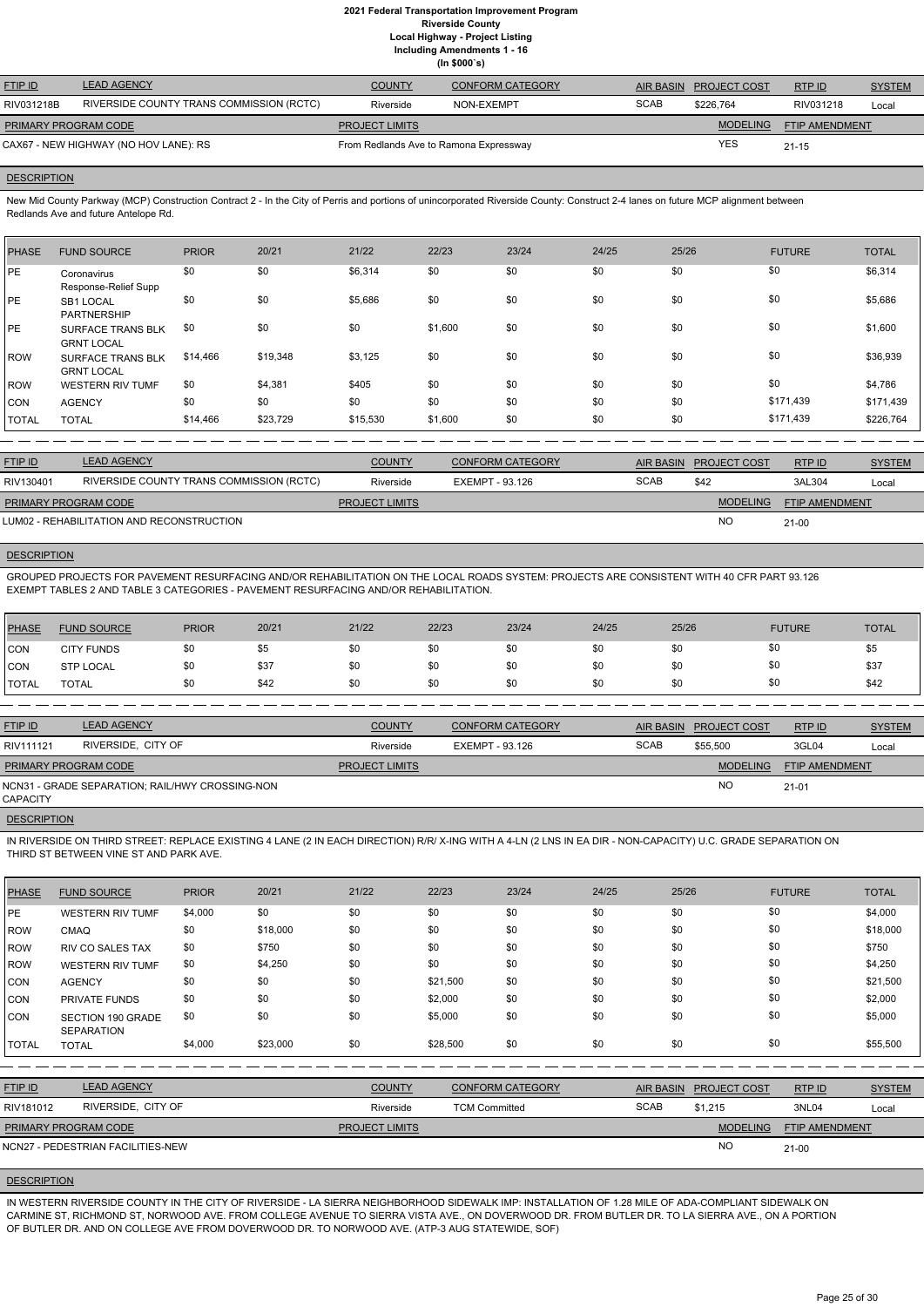**(In \$000`s)**

| <b>FTIP ID</b>                        | <b>LEAD AGENCY</b>                       | <b>COUNTY</b>                          | <b>CONFORM CATEGORY</b> | AIR BASIN   | <b>PROJECT COST</b> | RTP ID                | <b>SYSTEM</b> |
|---------------------------------------|------------------------------------------|----------------------------------------|-------------------------|-------------|---------------------|-----------------------|---------------|
| RIV031218B                            | RIVERSIDE COUNTY TRANS COMMISSION (RCTC) | Riverside                              | NON-EXEMPT              | <b>SCAB</b> | \$226.764           | RIV031218             | Local         |
| <b>PRIMARY PROGRAM CODE</b>           |                                          | <b>PROJECT LIMITS</b>                  |                         |             | <b>MODELING</b>     | <b>FTIP AMENDMENT</b> |               |
| CAX67 - NEW HIGHWAY (NO HOV LANE): RS |                                          | From Redlands Ave to Ramona Expressway |                         | <b>YES</b>  | $21 - 15$           |                       |               |

### **DESCRIPTION**

New Mid County Parkway (MCP) Construction Contract 2 - In the City of Perris and portions of unincorporated Riverside County: Construct 2-4 lanes on future MCP alignment between Redlands Ave and future Antelope Rd.

| <b>PHASE</b> | <b>FUND SOURCE</b>                            | <b>PRIOR</b> | 20/21    | 21/22    | 22/23   | 23/24 | 24/25 | 25/26 | <b>FUTURE</b> | <b>TOTAL</b> |
|--------------|-----------------------------------------------|--------------|----------|----------|---------|-------|-------|-------|---------------|--------------|
| <b>PE</b>    | Coronavirus<br>Response-Relief Supp           | \$0          | \$0      | \$6,314  | \$0     | \$0   | \$0   | \$0   | \$0           | \$6,314      |
| <b>IPE</b>   | <b>SB1 LOCAL</b><br><b>PARTNERSHIP</b>        | \$0          | \$0      | \$5,686  | \$0     | \$0   | \$0   | \$0   | \$0           | \$5,686      |
| <b>IPE</b>   | SURFACE TRANS BLK<br><b>GRNT LOCAL</b>        | \$0          | \$0      | \$0      | \$1,600 | \$0   | \$0   | \$0   | \$0           | \$1,600      |
| ROW          | <b>SURFACE TRANS BLK</b><br><b>GRNT LOCAL</b> | \$14,466     | \$19,348 | \$3,125  | \$0     | \$0   | \$0   | \$0   | \$0           | \$36,939     |
| <b>IROW</b>  | <b>WESTERN RIV TUMF</b>                       | \$0          | \$4,381  | \$405    | \$0     | \$0   | \$0   | \$0   | \$0           | \$4,786      |
| CON          | <b>AGENCY</b>                                 | \$0          | \$0      | \$0      | \$0     | \$0   | \$0   | \$0   | \$171,439     | \$171,439    |
| <b>TOTAL</b> | <b>TOTAL</b>                                  | \$14,466     | \$23,729 | \$15,530 | \$1,600 | \$0   | \$0   | \$0   | \$171,439     | \$226,764    |

| <b>FTIP ID</b>              | <b>LEAD AGENCY</b>                        | <b>COUNTY</b>         | <b>CONFORM CATEGORY</b> |             | AIR BASIN PROJECT COST | RTPID                 | <b>SYSTEM</b> |
|-----------------------------|-------------------------------------------|-----------------------|-------------------------|-------------|------------------------|-----------------------|---------------|
| RIV130401                   | RIVERSIDE COUNTY TRANS COMMISSION (RCTC)  | Riverside             | EXEMPT - 93.126         | <b>SCAB</b> | \$42                   | 3AL304                | Local         |
| <b>PRIMARY PROGRAM CODE</b> |                                           | <b>PROJECT LIMITS</b> |                         |             | <b>MODELING</b>        | <b>FTIP AMENDMENT</b> |               |
|                             | LUM02 - REHABILITATION AND RECONSTRUCTION |                       |                         |             | <b>NO</b>              | $21-00$               |               |

### **DESCRIPTION**

GROUPED PROJECTS FOR PAVEMENT RESURFACING AND/OR REHABILITATION ON THE LOCAL ROADS SYSTEM: PROJECTS ARE CONSISTENT WITH 40 CFR PART 93.126 EXEMPT TABLES 2 AND TABLE 3 CATEGORIES - PAVEMENT RESURFACING AND/OR REHABILITATION.

| PHASE        | <b>FUND SOURCE</b> | <b>PRIOR</b> | 20/21 | 21/22 | 22/23 | 23/24 | 24/25 | 25/26 | <b>FUTURE</b> | <b>TOTAL</b> |
|--------------|--------------------|--------------|-------|-------|-------|-------|-------|-------|---------------|--------------|
| <b>CON</b>   | <b>CITY FUNDS</b>  |              | \$5   | \$0   | \$0   | \$0   | \$0   | \$0   | \$0           | \$5          |
| <b>CON</b>   | <b>STP LOCAL</b>   |              | \$37  | \$0   | \$0   | \$0   | \$0   | \$0   | \$0           | \$37         |
| <b>TOTAL</b> | <b>TOTAL</b>       |              | \$42  | \$0   | \$0   | \$0   | \$0   | \$0   | \$0           | \$42         |

| <b>FTIP ID</b>       | <b>LEAD AGENCY</b>                              | <b>COUNTY</b>         | <b>CONFORM CATEGORY</b> | AIR BASIN   | <b>PROJECT COST</b> | RTP ID                | <b>SYSTEM</b> |
|----------------------|-------------------------------------------------|-----------------------|-------------------------|-------------|---------------------|-----------------------|---------------|
| RIV111121            | RIVERSIDE, CITY OF                              | Riverside             | EXEMPT - 93.126         | <b>SCAB</b> | \$55,500            | 3GL04                 | Local         |
| PRIMARY PROGRAM CODE |                                                 | <b>PROJECT LIMITS</b> |                         |             | <b>MODELING</b>     | <b>FTIP AMENDMENT</b> |               |
| <b>CAPACITY</b>      | NCN31 - GRADE SEPARATION: RAIL/HWY CROSSING-NON |                       |                         |             | <b>NC</b>           | $21 - 01$             |               |

**DESCRIPTION** 

IN RIVERSIDE ON THIRD STREET: REPLACE EXISTING 4 LANE (2 IN EACH DIRECTION) R/R/ X-ING WITH A 4-LN (2 LNS IN EA DIR - NON-CAPACITY) U.C. GRADE SEPARATION ON THIRD ST BETWEEN VINE ST AND PARK AVE.

| <b>PHASE</b>   | <b>FUND SOURCE</b>                            | <b>PRIOR</b> | 20/21    | 21/22          | 22/23                | 23/24                   | 24/25 | 25/26            |                     | <b>FUTURE</b>  | <b>TOTAL</b>  |
|----------------|-----------------------------------------------|--------------|----------|----------------|----------------------|-------------------------|-------|------------------|---------------------|----------------|---------------|
| PE             | <b>WESTERN RIV TUMF</b>                       | \$4,000      | \$0      | \$0            | \$0                  | \$0                     | \$0   | \$0              |                     | \$0            | \$4,000       |
| ROW            | <b>CMAQ</b>                                   | \$0          | \$18,000 | \$0            | \$0                  | \$0                     | \$0   | \$0              |                     | \$0            | \$18,000      |
| ROW            | <b>RIV CO SALES TAX</b>                       | \$0          | \$750    | \$0            | \$0                  | \$0                     | \$0   | \$0              |                     | \$0            | \$750         |
| ROW            | <b>WESTERN RIV TUMF</b>                       | \$0          | \$4,250  | \$0            | \$0                  | \$0                     | \$0   | \$0              |                     | \$0            | \$4,250       |
| CON            | <b>AGENCY</b>                                 | \$0          | \$0      | \$0            | \$21,500             | \$0                     | \$0   | \$0              |                     | \$0            | \$21,500      |
| <b>CON</b>     | PRIVATE FUNDS                                 | \$0          | \$0      | \$0            | \$2,000              | \$0                     | \$0   | \$0              |                     | \$0            | \$2,000       |
| CON            | <b>SECTION 190 GRADE</b><br><b>SEPARATION</b> | \$0          | \$0      | \$0            | \$5,000              | \$0                     | \$0   | \$0              |                     | \$0            | \$5,000       |
| <b>TOTAL</b>   | <b>TOTAL</b>                                  | \$4,000      | \$23,000 | \$0            | \$28,500             | \$0                     | \$0   | \$0              |                     | \$0            | \$55,500      |
|                |                                               |              |          |                |                      |                         |       |                  |                     |                |               |
| <b>FTIP ID</b> | <b>LEAD AGENCY</b>                            |              |          | <b>COUNTY</b>  |                      | <b>CONFORM CATEGORY</b> |       | <b>AIR BASIN</b> | <b>PROJECT COST</b> | RTP ID         | <b>SYSTEM</b> |
| RIV181012      | RIVERSIDE, CITY OF                            |              |          | Riverside      | <b>TCM Committed</b> |                         |       | <b>SCAB</b>      | \$1,215             | 3NL04          | Local         |
|                | PRIMARY PROGRAM CODE                          |              |          | PROJECT LIMITS |                      |                         |       |                  | <b>MODELING</b>     | FTIP AMENDMENT |               |
|                | NCN27 - PEDESTRIAN FACILITIES-NEW             |              |          |                |                      |                         |       |                  | <b>NO</b>           | $21-00$        |               |

# **DESCRIPTION**

IN WESTERN RIVERSIDE COUNTY IN THE CITY OF RIVERSIDE - LA SIERRA NEIGHBORHOOD SIDEWALK IMP: INSTALLATION OF 1.28 MILE OF ADA-COMPLIANT SIDEWALK ON CARMINE ST, RICHMOND ST, NORWOOD AVE. FROM COLLEGE AVENUE TO SIERRA VISTA AVE., ON DOVERWOOD DR. FROM BUTLER DR. TO LA SIERRA AVE., ON A PORTION OF BUTLER DR. AND ON COLLEGE AVE FROM DOVERWOOD DR. TO NORWOOD AVE. (ATP-3 AUG STATEWIDE, SOF)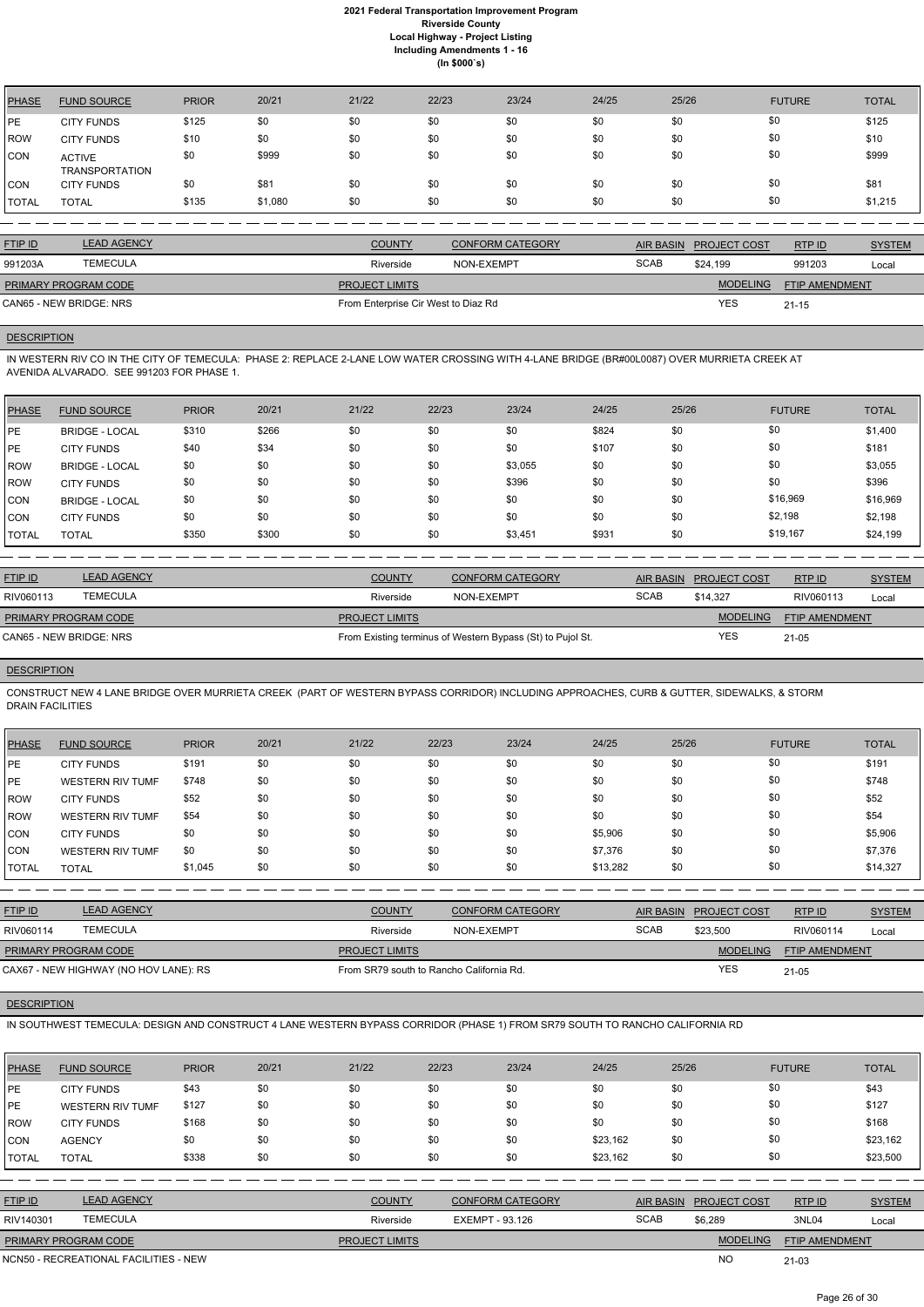| <b>PHASE</b> | <b>FUND SOURCE</b>                     | <b>PRIOR</b> | 20/21   | 21/22 | 22/23 | 23/24 | 24/25 | 25/26 | <b>FUTURE</b> | <b>TOTAL</b> |
|--------------|----------------------------------------|--------------|---------|-------|-------|-------|-------|-------|---------------|--------------|
| PE           | <b>CITY FUNDS</b>                      | \$125        | \$0     | \$0   | \$0   | \$0   | \$0   | \$0   | \$0           | \$125        |
| <b>ROW</b>   | <b>CITY FUNDS</b>                      | \$10         | \$0     | \$0   | \$0   | \$0   | \$0   | \$0   | \$0           | \$10         |
| <b>CON</b>   | <b>ACTIVE</b><br><b>TRANSPORTATION</b> | \$0          | \$999   | \$0   | \$0   | \$0   | \$0   | \$0   | \$0           | \$999        |
| <b>CON</b>   | <b>CITY FUNDS</b>                      | \$0          | \$81    | \$0   | \$0   | \$0   | \$0   | \$0   | \$0           | \$81         |
| <b>TOTAL</b> | <b>TOTAL</b>                           | \$135        | \$1,080 | \$0   | \$0   | \$0   | \$0   | \$0   | \$0           | \$1,215      |

| <b>FTIP ID</b>              | <b>LEAD AGENCY</b> | <b>COUNTY</b>                       | <b>CONFORM CATEGORY</b> |             | AIR BASIN PROJECT COST | RTPID                 | <b>SYSTEM</b> |
|-----------------------------|--------------------|-------------------------------------|-------------------------|-------------|------------------------|-----------------------|---------------|
| 991203A                     | <b>TEMECULA</b>    | Riverside                           | NON-EXEMPT              | <b>SCAB</b> | \$24.199               | 991203                | Local         |
| <b>PRIMARY PROGRAM CODE</b> |                    | <b>PROJECT LIMITS</b>               |                         |             | <b>MODELING</b>        | <b>FTIP AMENDMENT</b> |               |
| CAN65 - NEW BRIDGE: NRS     |                    | From Enterprise Cir West to Diaz Rd |                         |             | <b>YES</b>             | $21 - 15$             |               |

# **DESCRIPTION**

IN WESTERN RIV CO IN THE CITY OF TEMECULA: PHASE 2: REPLACE 2-LANE LOW WATER CROSSING WITH 4-LANE BRIDGE (BR#00L0087) OVER MURRIETA CREEK AT AVENIDA ALVARADO. SEE 991203 FOR PHASE 1.

| <b>PHASE</b> | <b>FUND SOURCE</b>    | <b>PRIOR</b> | 20/21 | 21/22 | 22/23 | 23/24   | 24/25 | 25/26 | <b>FUTURE</b> | <b>TOTAL</b> |
|--------------|-----------------------|--------------|-------|-------|-------|---------|-------|-------|---------------|--------------|
| <b>PE</b>    | <b>BRIDGE - LOCAL</b> | \$310        | \$266 | \$0   | \$0   | \$0     | \$824 | \$0   | \$0           | \$1,400      |
| IPE.         | <b>CITY FUNDS</b>     | \$40         | \$34  | \$0   | \$0   | \$0     | \$107 | \$0   | \$0           | \$181        |
| ROW          | <b>BRIDGE - LOCAL</b> | \$0          | \$0   | \$0   | \$0   | \$3,055 | \$0   | \$0   | \$0           | \$3,055      |
| ROW          | <b>CITY FUNDS</b>     | \$0          | \$0   | \$0   | \$0   | \$396   | \$0   | \$0   | \$0           | \$396        |
| CON          | <b>BRIDGE - LOCAL</b> | \$0          | \$0   | \$0   | \$0   | \$0     | \$0   | \$0   | \$16,969      | \$16,969     |
| <b>CON</b>   | <b>CITY FUNDS</b>     | \$0          | \$0   | \$0   | \$0   | \$0     | \$0   | \$0   | \$2,198       | \$2,198      |
| <b>TOTAL</b> | <b>TOTAL</b>          | \$350        | \$300 | \$0   | \$0   | \$3,451 | \$931 | \$0   | \$19,167      | \$24,199     |

| <b>FTIP ID</b>              | <b>LEAD AGENCY</b> | <b>COUNTY</b>         | <b>CONFORM CATEGORY</b>                                    | AIR BASIN   | <b>PROJECT COST</b> | RTP ID                | <b>SYSTEM</b> |
|-----------------------------|--------------------|-----------------------|------------------------------------------------------------|-------------|---------------------|-----------------------|---------------|
| RIV060113                   | <b>TEMECULA</b>    | Riverside             | NON-EXEMPT                                                 | <b>SCAB</b> | \$14.327            | RIV060113             | Local         |
| <b>PRIMARY PROGRAM CODE</b> |                    | <b>PROJECT LIMITS</b> |                                                            |             | <b>MODELING</b>     | <b>FTIP AMENDMENT</b> |               |
| CAN65 - NEW BRIDGE: NRS     |                    |                       | From Existing terminus of Western Bypass (St) to Pujol St. |             | YES                 | 21-05                 |               |

# **DESCRIPTION**

CONSTRUCT NEW 4 LANE BRIDGE OVER MURRIETA CREEK (PART OF WESTERN BYPASS CORRIDOR) INCLUDING APPROACHES, CURB & GUTTER, SIDEWALKS, & STORM DRAIN FACILITIES

| <b>PHASE</b> | <b>FUND SOURCE</b>      | <b>PRIOR</b> | 20/21 | 21/22 | 22/23 | 23/24 | 24/25    | 25/26 | <b>FUTURE</b> | <b>TOTAL</b> |
|--------------|-------------------------|--------------|-------|-------|-------|-------|----------|-------|---------------|--------------|
| <b>IPE</b>   | <b>CITY FUNDS</b>       | \$191        | \$0   | \$0   | \$0   | \$0   | \$0      | \$0   | \$0           | \$191        |
| PE           | <b>WESTERN RIV TUMF</b> | \$748        | \$0   | \$0   | \$0   | \$0   | \$0      | \$0   | \$0           | \$748        |
| <b>ROW</b>   | <b>CITY FUNDS</b>       | \$52         | \$0   | \$0   | \$0   | \$0   | \$0      | \$0   | \$0           | \$52         |
| <b>ROW</b>   | WESTERN RIV TUMF        | \$54         | \$0   | \$0   | \$0   | \$0   | \$0      | \$0   | \$0           | \$54         |
| <b>CON</b>   | <b>CITY FUNDS</b>       | \$0          | \$0   | \$0   | \$0   | \$0   | \$5,906  | \$0   | \$0           | \$5,906      |
| <b>CON</b>   | WESTERN RIV TUMF        | \$0          | \$0   | \$0   | \$0   | \$0   | \$7,376  | \$0   | \$0           | \$7,376      |
| <b>TOTAL</b> | <b>TOTAL</b>            | \$1,045      | \$0   | \$0   | \$0   | \$0   | \$13,282 | \$0   | \$0           | \$14,327     |

| <b>FTIP ID</b>              | <b>LEAD AGENCY</b>                    | <b>COUNTY</b>                            | <b>CONFORM CATEGORY</b> |             | AIR BASIN PROJECT COST | RTP ID                | <b>SYSTEM</b> |
|-----------------------------|---------------------------------------|------------------------------------------|-------------------------|-------------|------------------------|-----------------------|---------------|
| RIV060114                   | TEMECULA                              | Riverside                                | NON-EXEMPT              | <b>SCAB</b> | \$23,500               | RIV060114             | Local         |
| <b>PRIMARY PROGRAM CODE</b> |                                       | <b>PROJECT LIMITS</b>                    |                         |             | <b>MODELING</b>        | <b>FTIP AMENDMENT</b> |               |
|                             | CAX67 - NEW HIGHWAY (NO HOV LANE): RS | From SR79 south to Rancho California Rd. |                         |             | <b>YES</b>             | $21 - 05$             |               |

# **DESCRIPTION**

# IN SOUTHWEST TEMECULA: DESIGN AND CONSTRUCT 4 LANE WESTERN BYPASS CORRIDOR (PHASE 1) FROM SR79 SOUTH TO RANCHO CALIFORNIA RD

| <b>PHASE</b>   | <b>FUND SOURCE</b>                    | <b>PRIOR</b> | 20/21 | 21/22                 | 22/23                  | 23/24                   | 24/25    | 25/26            |                     | <b>FUTURE</b>         | <b>TOTAL</b>  |
|----------------|---------------------------------------|--------------|-------|-----------------------|------------------------|-------------------------|----------|------------------|---------------------|-----------------------|---------------|
| PE             | <b>CITY FUNDS</b>                     | \$43         | \$0   | \$0                   | \$0                    | \$0                     | \$0      | \$0              |                     | \$0                   | \$43          |
| l PE           | <b>WESTERN RIV TUMF</b>               | \$127        | \$0   | \$0                   | \$0                    | \$0                     | \$0      | \$0              |                     | \$0                   | \$127         |
| ROW            | <b>CITY FUNDS</b>                     | \$168        | \$0   | \$0                   | \$0                    | \$0                     | \$0      | \$0              |                     | \$0                   | \$168         |
| <b>CON</b>     | <b>AGENCY</b>                         | \$0          | \$0   | \$0                   | \$0                    | \$0                     | \$23,162 | \$0              |                     | \$0                   | \$23,162      |
| <b>TOTAL</b>   | <b>TOTAL</b>                          | \$338        | \$0   | \$0                   | \$0                    | \$0                     | \$23,162 | \$0              |                     | \$0                   | \$23,500      |
|                |                                       |              |       |                       |                        |                         |          |                  |                     |                       |               |
| <b>FTIP ID</b> | <b>LEAD AGENCY</b>                    |              |       | <b>COUNTY</b>         |                        | <b>CONFORM CATEGORY</b> |          | <b>AIR BASIN</b> | <b>PROJECT COST</b> | RTP ID                | <b>SYSTEM</b> |
| RIV140301      | <b>TEMECULA</b>                       |              |       | Riverside             | <b>EXEMPT - 93.126</b> |                         |          | <b>SCAB</b>      | \$6,289             | 3NL04                 | Local         |
|                | PRIMARY PROGRAM CODE                  |              |       | <b>PROJECT LIMITS</b> |                        |                         |          |                  | <b>MODELING</b>     | <b>FTIP AMENDMENT</b> |               |
|                | NCN50 - RECREATIONAL FACILITIES - NEW |              |       |                       |                        |                         |          |                  | <b>NO</b>           | $21 - 03$             |               |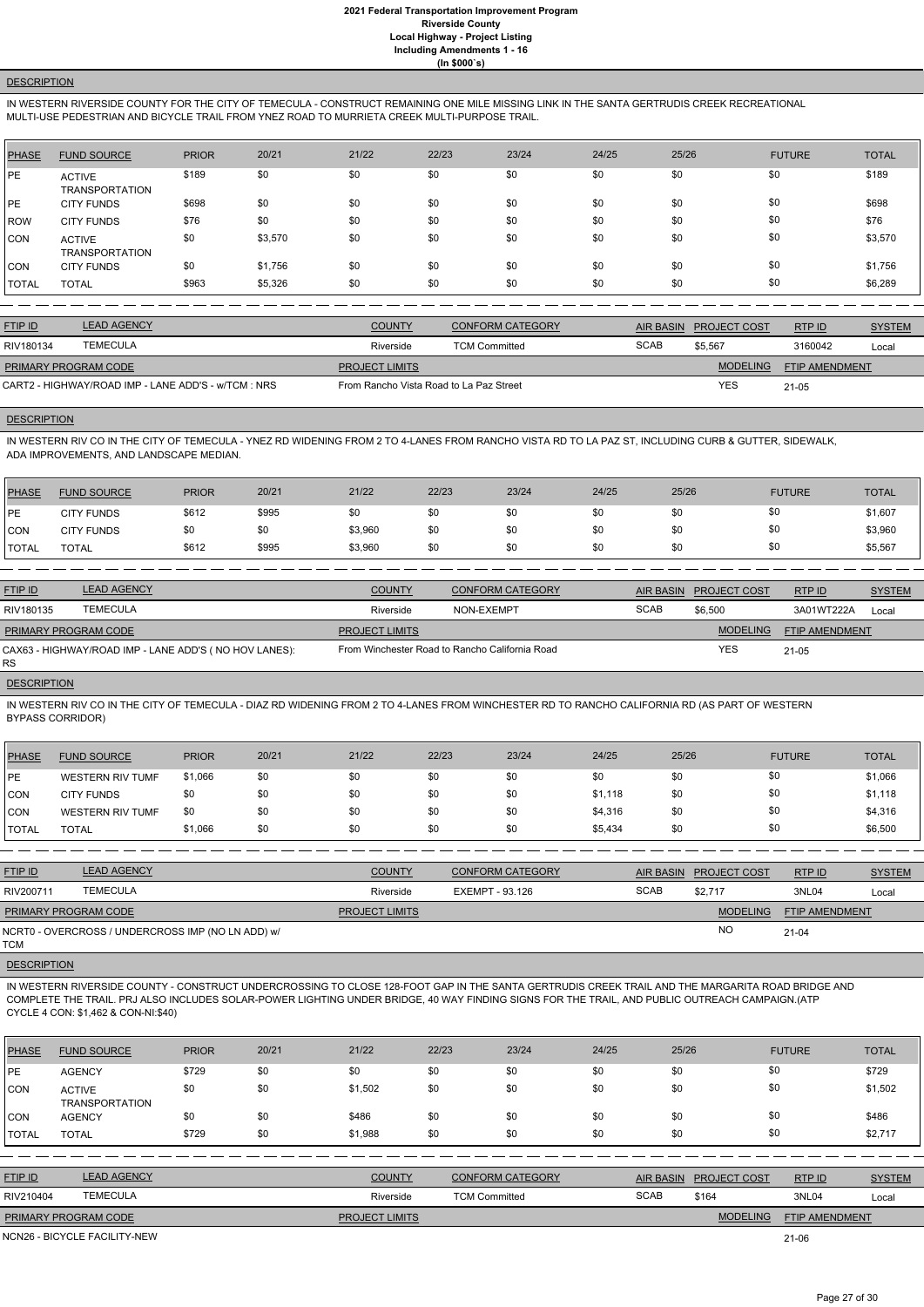# **DESCRIPTION**

IN WESTERN RIVERSIDE COUNTY FOR THE CITY OF TEMECULA - CONSTRUCT REMAINING ONE MILE MISSING LINK IN THE SANTA GERTRUDIS CREEK RECREATIONAL MULTI-USE PEDESTRIAN AND BICYCLE TRAIL FROM YNEZ ROAD TO MURRIETA CREEK MULTI-PURPOSE TRAIL.

| PHASE        | <b>FUND SOURCE</b>              | <b>PRIOR</b> | 20/21   | 21/22 | 22/23 | 23/24 | 24/25 | 25/26 | <b>FUTURE</b> | <b>TOTAL</b> |
|--------------|---------------------------------|--------------|---------|-------|-------|-------|-------|-------|---------------|--------------|
| <b>PE</b>    | <b>ACTIVE</b><br>TRANSPORTATION | \$189        | \$0     | \$0   | \$0   | \$0   | \$0   | \$0   | \$0           | \$189        |
| <b>IPE</b>   | <b>CITY FUNDS</b>               | \$698        | \$0     | \$0   | \$0   | \$0   | \$0   | \$0   | \$0           | \$698        |
| ROW          | <b>CITY FUNDS</b>               | \$76         | \$0     | \$0   | \$0   | \$0   | \$0   | \$0   | \$0           | \$76         |
| <b>CON</b>   | <b>ACTIVE</b><br>TRANSPORTATION | \$0          | \$3,570 | \$0   | \$0   | \$0   | \$0   | \$0   | \$0           | \$3,570      |
| CON          | <b>CITY FUNDS</b>               | \$0          | \$1,756 | \$0   | \$0   | \$0   | \$0   | \$0   | \$0           | \$1,756      |
| <b>TOTAL</b> | <b>TOTAL</b>                    | \$963        | \$5,326 | \$0   | \$0   | \$0   | \$0   | \$0   | \$0           | \$6,289      |

| <b>FTIP ID</b>              | <b>LEAD AGENCY</b>                                  | <b>COUNTY</b>                           | <b>CONFORM CATEGORY</b> | AIR BASIN   | <b>PROJECT COST</b> | RTP ID                | <b>SYSTEM</b> |
|-----------------------------|-----------------------------------------------------|-----------------------------------------|-------------------------|-------------|---------------------|-----------------------|---------------|
| RIV180134                   | TEMECULA                                            | Riverside                               | <b>TCM Committed</b>    | <b>SCAB</b> | \$5,567             | 3160042               | Local         |
| <b>PRIMARY PROGRAM CODE</b> |                                                     | <b>PROJECT LIMITS</b>                   |                         |             | <b>MODELING</b>     | <b>FTIP AMENDMENT</b> |               |
|                             | CART2 - HIGHWAY/ROAD IMP - LANE ADD'S - w/TCM : NRS | From Rancho Vista Road to La Paz Street |                         |             | <b>YES</b>          | $21 - 05$             |               |

# **DESCRIPTION**

IN WESTERN RIV CO IN THE CITY OF TEMECULA - YNEZ RD WIDENING FROM 2 TO 4-LANES FROM RANCHO VISTA RD TO LA PAZ ST, INCLUDING CURB & GUTTER, SIDEWALK, ADA IMPROVEMENTS, AND LANDSCAPE MEDIAN.

| PHASE          | <b>FUND SOURCE</b> | <b>PRIOR</b> | 20/21 | 21/22   | 22/23 | 23/24 | 24/25 | 25/26 | <b>FUTURE</b> | <b>TOTAL</b> |
|----------------|--------------------|--------------|-------|---------|-------|-------|-------|-------|---------------|--------------|
| PE             | <b>CITY FUNDS</b>  | \$612        | \$995 | \$0     | \$0   | \$0   | \$0   | \$0   | \$0           | \$1,607      |
| CON            | <b>CITY FUNDS</b>  | \$0          |       | \$3,960 | \$0   | \$0   | \$0   | \$0   | \$0           | \$3,960      |
| <b>I</b> TOTAL | <b>TOTAL</b>       | \$612        | \$995 | \$3,960 | \$0   | \$0   | \$0   | \$0   | \$0           | \$5,567      |

| <b>FTIP ID</b>              | <b>LEAD AGENCY</b>                                    | <b>COUNTY</b>         | <b>CONFORM CATEGORY</b>                        |             | AIR BASIN PROJECT COST | RTP ID                | <b>SYSTEM</b> |
|-----------------------------|-------------------------------------------------------|-----------------------|------------------------------------------------|-------------|------------------------|-----------------------|---------------|
| RIV180135                   | TEMECULA                                              | Riverside             | NON-EXEMPT                                     | <b>SCAB</b> | \$6.500                | 3A01WT222A            | Local         |
| <b>PRIMARY PROGRAM CODE</b> |                                                       | <b>PROJECT LIMITS</b> |                                                |             | <b>MODELING</b>        | <b>FTIP AMENDMENT</b> |               |
| RS.                         | CAX63 - HIGHWAY/ROAD IMP - LANE ADD'S (NO HOV LANES): |                       | From Winchester Road to Rancho California Road |             | <b>YES</b>             | $21 - 05$             |               |

# **DESCRIPTION**

IN WESTERN RIV CO IN THE CITY OF TEMECULA - DIAZ RD WIDENING FROM 2 TO 4-LANES FROM WINCHESTER RD TO RANCHO CALIFORNIA RD (AS PART OF WESTERN BYPASS CORRIDOR)

| <b>PHASE</b>  | <b>FUND SOURCE</b>      | <b>PRIOR</b> | 20/21 | 21/22 | 22/23 | 23/24 | 24/25   | 25/26 | <b>FUTURE</b> | <b>TOTAL</b> |
|---------------|-------------------------|--------------|-------|-------|-------|-------|---------|-------|---------------|--------------|
| <b>IPE</b>    | <b>WESTERN RIV TUMF</b> | \$1,066      | \$0   | \$0   | \$0   | \$0   | \$0     | \$0   | \$0           | \$1,066      |
| CON           | <b>CITY FUNDS</b>       | \$0          | \$0   | \$0   | \$0   | \$0   | \$1.118 | \$0   | \$0           | \$1,118      |
| CON           | WESTERN RIV TUMF        | \$0          | \$0   | \$0   | \$0   | \$0   | \$4,316 | \$0   | \$0           | \$4,316      |
| <b>ITOTAL</b> | <b>TOTAL</b>            | \$1,066      | \$0   | \$0   | \$0   | \$0   | \$5,434 | \$0   | \$0           | \$6,500      |

| <b>FTIP ID</b>              | <b>LEAD AGENCY</b>                                | <b>COUNTY</b>         | <b>CONFORM CATEGORY</b> | <b>AIR BASIN</b> | <b>PROJECT COST</b> | RTPID                 | <b>SYSTEM</b> |
|-----------------------------|---------------------------------------------------|-----------------------|-------------------------|------------------|---------------------|-----------------------|---------------|
| RIV200711                   | <b>TEMECULA</b>                                   | Riverside             | EXEMPT - 93.126         | <b>SCAB</b>      | \$2.717             | 3NL04                 | Local         |
| <b>PRIMARY PROGRAM CODE</b> |                                                   | <b>PROJECT LIMITS</b> |                         |                  | <b>MODELING</b>     | <b>FTIP AMENDMENT</b> |               |
| тсм                         | NCRT0 - OVERCROSS / UNDERCROSS IMP (NO LN ADD) w/ |                       |                         |                  | <b>NO</b>           | $21 - 04$             |               |

**DESCRIPTION** 

IN WESTERN RIVERSIDE COUNTY - CONSTRUCT UNDERCROSSING TO CLOSE 128-FOOT GAP IN THE SANTA GERTRUDIS CREEK TRAIL AND THE MARGARITA ROAD BRIDGE AND

COMPLETE THE TRAIL. PRJ ALSO INCLUDES SOLAR-POWER LIGHTING UNDER BRIDGE, 40 WAY FINDING SIGNS FOR THE TRAIL, AND PUBLIC OUTREACH CAMPAIGN.(ATP CYCLE 4 CON: \$1,462 & CON-NI:\$40)

| <b>PHASE</b>   | <b>FUND SOURCE</b>                     | <b>PRIOR</b> | 20/21 | 21/22                 | 22/23                | 23/24                   | 24/25 | 25/26            |                     | <b>FUTURE</b>         | <b>TOTAL</b>  |
|----------------|----------------------------------------|--------------|-------|-----------------------|----------------------|-------------------------|-------|------------------|---------------------|-----------------------|---------------|
| <b>IPE</b>     | <b>AGENCY</b>                          | \$729        | \$0   | \$0                   | \$0                  | \$0                     | \$0   | \$0              | \$0                 |                       | \$729         |
| <b>CON</b>     | <b>ACTIVE</b><br><b>TRANSPORTATION</b> | \$0          | \$0   | \$1,502               | \$0                  | \$0                     | \$0   | \$0              | \$0                 |                       | \$1,502       |
| ICON           | <b>AGENCY</b>                          | \$0          | \$0   | \$486                 | \$0                  | \$0                     | \$0   | \$0              | \$0                 |                       | \$486         |
| <b>TOTAL</b>   | <b>TOTAL</b>                           | \$729        | \$0   | \$1,988               | \$0                  | \$0                     | \$0   | \$0              | \$0                 |                       | \$2,717       |
|                |                                        |              |       |                       |                      |                         |       |                  |                     |                       |               |
| <b>FTIP ID</b> | <b>LEAD AGENCY</b>                     |              |       | <b>COUNTY</b>         |                      | <b>CONFORM CATEGORY</b> |       | <b>AIR BASIN</b> | <b>PROJECT COST</b> | RTP ID                | <b>SYSTEM</b> |
| RIV210404      | <b>TEMECULA</b>                        |              |       | Riverside             | <b>TCM Committed</b> |                         |       | <b>SCAB</b>      | \$164               | 3NL04                 | Local         |
|                | <b>PRIMARY PROGRAM CODE</b>            |              |       | <b>PROJECT LIMITS</b> |                      |                         |       |                  | <b>MODELING</b>     | <b>FTIP AMENDMENT</b> |               |

21-06

NCN26 - BICYCLE FACILITY-NEW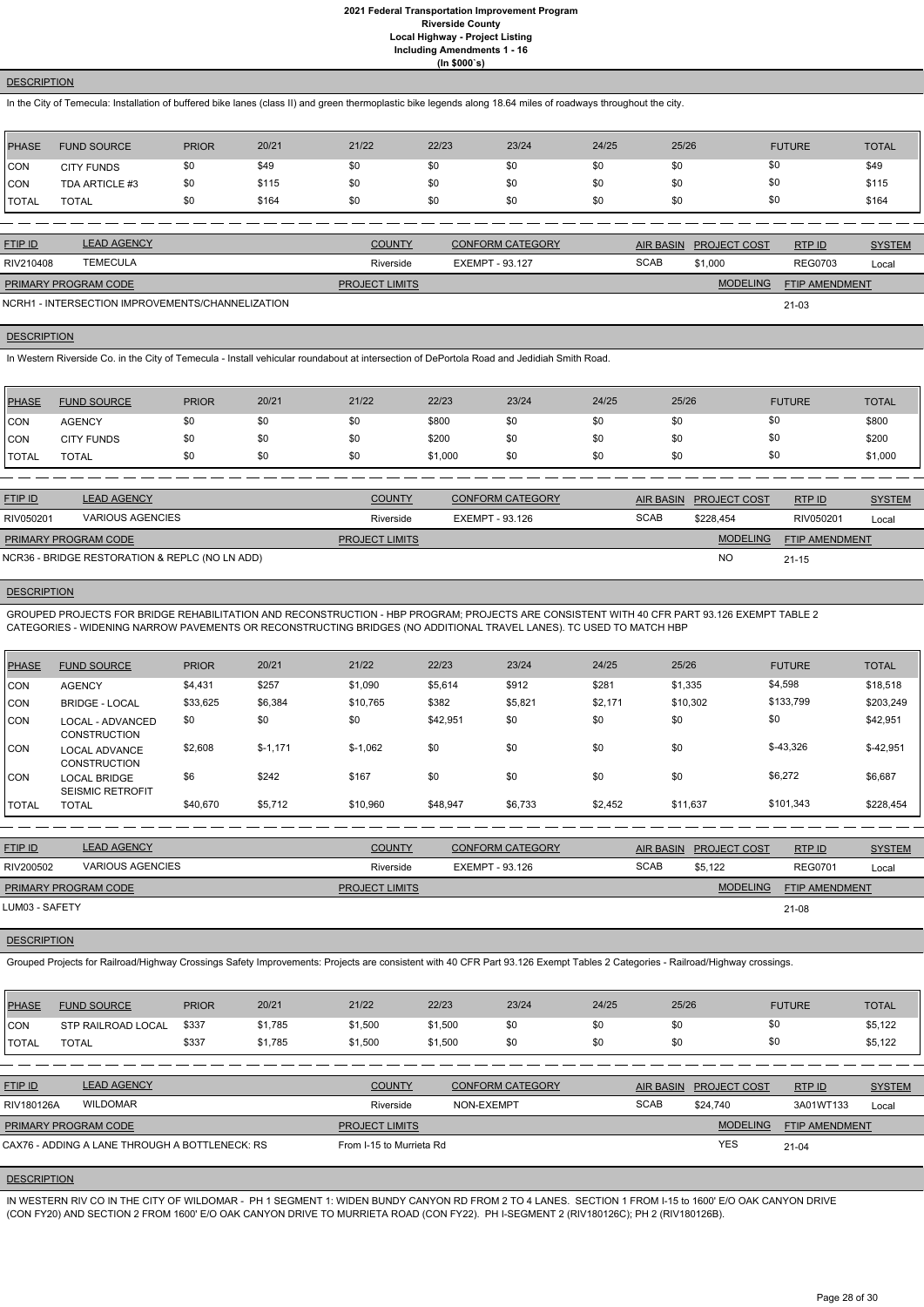# **DESCRIPTION**

In the City of Temecula: Installation of buffered bike lanes (class II) and green thermoplastic bike legends along 18.64 miles of roadways throughout the city.

| PHASE        | <b>FUND SOURCE</b> | <b>PRIOR</b> | 20/21 | 21/22 | 22/23 | 23/24 | 24/25 | 25/26 | <b>FUTURE</b> | <b>TOTAL</b> |
|--------------|--------------------|--------------|-------|-------|-------|-------|-------|-------|---------------|--------------|
| <b>CON</b>   | <b>CITY FUNDS</b>  |              | \$49  | \$0   | \$0   | \$0   | \$0   | \$0   | \$0           | \$49         |
| <b>CON</b>   | TDA ARTICLE #3     | \$0          | \$115 | \$0   | \$0   | \$0   | \$0   | \$0   | \$0           | \$115        |
| <b>TOTAL</b> | <b>TOTAL</b>       |              | \$164 | \$0   | \$0   | \$0   | \$0   | \$0   | \$0           | \$164        |

| <b>FTIP ID</b>       | <b>LEAD AGENCY</b>                               | <b>COUNTY</b>         | <b>CONFORM CATEGORY</b> |             | AIR BASIN PROJECT COST | RTP ID                | <b>SYSTEM</b> |
|----------------------|--------------------------------------------------|-----------------------|-------------------------|-------------|------------------------|-----------------------|---------------|
| RIV210408            | <b>TEMECULA</b>                                  | Riverside             | EXEMPT - 93.127         | <b>SCAB</b> | \$1,000                | <b>REG0703</b>        | Local         |
| PRIMARY PROGRAM CODE |                                                  | <b>PROJECT LIMITS</b> |                         |             | <b>MODELING</b>        | <b>FTIP AMENDMENT</b> |               |
|                      | NCRH1 - INTERSECTION IMPROVEMENTS/CHANNELIZATION |                       |                         |             |                        | 21-03                 |               |

# **DESCRIPTION**

In Western Riverside Co. in the City of Temecula - Install vehicular roundabout at intersection of DePortola Road and Jedidiah Smith Road.

| <b>PHASE</b>  | <b>FUND SOURCE</b> | <b>PRIOR</b> | 20/21 | 21/22 | 22/23   | 23/24 | 24/25 | 25/26 | <b>FUTURE</b> | <b>TOTAL</b> |
|---------------|--------------------|--------------|-------|-------|---------|-------|-------|-------|---------------|--------------|
| CON           | AGENCY             | \$0          | \$0   | \$0   | \$800   | \$0   | \$0   | \$0   | \$0           | \$800        |
| <b>CON</b>    | <b>CITY FUNDS</b>  | \$0          | \$0   | \$0   | \$200   | \$0   | \$0   | \$0   | \$0           | \$200        |
| <b>ITOTAL</b> | <b>TOTAL</b>       | \$0          | \$0   | \$0   | \$1,000 | \$0   | \$0   | \$0   | \$0           | \$1,000      |

| <b>FTIP ID</b>              | <b>LEAD AGENCY</b>                             | <b>COUNTY</b>         | <b>CONFORM CATEGORY</b> |             | AIR BASIN PROJECT COST | RTP ID                | <b>SYSTEM</b> |
|-----------------------------|------------------------------------------------|-----------------------|-------------------------|-------------|------------------------|-----------------------|---------------|
| RIV050201                   | VARIOUS AGENCIES                               | Riverside             | EXEMPT - 93.126         | <b>SCAB</b> | \$228.454              | RIV050201             | Local         |
| <b>PRIMARY PROGRAM CODE</b> |                                                | <b>PROJECT LIMITS</b> |                         |             | <b>MODELING</b>        | <b>FTIP AMENDMENT</b> |               |
|                             | NCR36 - BRIDGE RESTORATION & REPLC (NO LN ADD) |                       |                         |             | <b>NO</b>              | $21 - 15$             |               |

# **DESCRIPTION**

GROUPED PROJECTS FOR BRIDGE REHABILITATION AND RECONSTRUCTION - HBP PROGRAM; PROJECTS ARE CONSISTENT WITH 40 CFR PART 93.126 EXEMPT TABLE 2 CATEGORIES - WIDENING NARROW PAVEMENTS OR RECONSTRUCTING BRIDGES (NO ADDITIONAL TRAVEL LANES). TC USED TO MATCH HBP

| PHASE        | <b>FUND SOURCE</b>                             | <b>PRIOR</b> | 20/21     | 21/22     | 22/23    | 23/24   | 24/25   | 25/26    | <b>FUTURE</b> | <b>TOTAL</b> |
|--------------|------------------------------------------------|--------------|-----------|-----------|----------|---------|---------|----------|---------------|--------------|
| <b>CON</b>   | <b>AGENCY</b>                                  | \$4,431      | \$257     | \$1,090   | \$5,614  | \$912   | \$281   | \$1,335  | \$4,598       | \$18,518     |
| CON          | <b>BRIDGE - LOCAL</b>                          | \$33,625     | \$6,384   | \$10,765  | \$382    | \$5,821 | \$2,171 | \$10,302 | \$133,799     | \$203,249    |
| <b>CON</b>   | LOCAL - ADVANCED<br><b>CONSTRUCTION</b>        | \$0          | \$0       | \$0       | \$42,951 | \$0     | \$0     | \$0      | \$0           | \$42,951     |
| <b>CON</b>   | <b>LOCAL ADVANCE</b><br><b>CONSTRUCTION</b>    | \$2,608      | $$-1,171$ | $$-1,062$ | \$0      | \$0     | \$0     | \$0      | $$-43,326$    | $$-42,951$   |
| <b>CON</b>   | <b>LOCAL BRIDGE</b><br><b>SEISMIC RETROFIT</b> | \$6          | \$242     | \$167     | \$0      | \$0     | \$0     | \$0      | \$6,272       | \$6,687      |
| <b>TOTAL</b> | <b>TOTAL</b>                                   | \$40,670     | \$5,712   | \$10,960  | \$48,947 | \$6,733 | \$2,452 | \$11,637 | \$101,343     | \$228,454    |

| <b>FTIP ID</b>       | <b>LEAD AGENCY</b>      | <b>COUNTY</b>         | <b>CONFORM CATEGORY</b> |             | AIR BASIN PROJECT COST | RTPID                 | <b>SYSTEM</b> |
|----------------------|-------------------------|-----------------------|-------------------------|-------------|------------------------|-----------------------|---------------|
| RIV200502            | <b>VARIOUS AGENCIES</b> | Riverside             | EXEMPT - 93.126         | <b>SCAB</b> | \$5.122                | <b>REG0701</b>        | Local         |
| PRIMARY PROGRAM CODE |                         | <b>PROJECT LIMITS</b> |                         |             | <b>MODELING</b>        | <b>FTIP AMENDMENT</b> |               |
| LUM03 - SAFETY       |                         |                       |                         |             |                        | 21-08                 |               |

**DESCRIPTION** 

Grouped Projects for Railroad/Highway Crossings Safety Improvements: Projects are consistent with 40 CFR Part 93.126 Exempt Tables 2 Categories - Railroad/Highway crossings.

| <b>PHASE</b>   | <b>FUND SOURCE</b>                             | <b>PRIOR</b> | 20/21   | 21/22                    | 22/23      | 23/24                   | 24/25 | 25/26            |                     | <b>FUTURE</b>         | <b>TOTAL</b>  |
|----------------|------------------------------------------------|--------------|---------|--------------------------|------------|-------------------------|-------|------------------|---------------------|-----------------------|---------------|
| ICON           | STP RAILROAD LOCAL                             | \$337        | \$1,785 | \$1,500                  | \$1,500    | \$0                     | \$0   | \$0              |                     | \$0                   | \$5,122       |
| <b>I</b> TOTAL | <b>TOTAL</b>                                   | \$337        | \$1.785 | \$1,500                  | \$1,500    | \$0                     | \$0   | \$0              |                     | \$0                   | \$5,122       |
|                |                                                |              |         |                          |            |                         |       |                  |                     |                       |               |
| <b>FTIP ID</b> | <b>LEAD AGENCY</b>                             |              |         | <b>COUNTY</b>            |            | <b>CONFORM CATEGORY</b> |       | <b>AIR BASIN</b> | <b>PROJECT COST</b> | RTP ID                | <b>SYSTEM</b> |
| RIV180126A     | <b>WILDOMAR</b>                                |              |         | Riverside                | NON-EXEMPT |                         |       | <b>SCAB</b>      | \$24.740            | 3A01WT133             | Local         |
|                | PRIMARY PROGRAM CODE                           |              |         | <b>PROJECT LIMITS</b>    |            |                         |       |                  | <b>MODELING</b>     | <b>FTIP AMENDMENT</b> |               |
|                | CAX76 - ADDING A LANE THROUGH A BOTTLENECK: RS |              |         | From I-15 to Murrieta Rd |            |                         |       |                  | YES                 | 21-04                 |               |

### **DESCRIPTION**

IN WESTERN RIV CO IN THE CITY OF WILDOMAR - PH 1 SEGMENT 1: WIDEN BUNDY CANYON RD FROM 2 TO 4 LANES. SECTION 1 FROM I-15 to 1600' E/O OAK CANYON DRIVE (CON FY20) AND SECTION 2 FROM 1600' E/O OAK CANYON DRIVE TO MURRIETA ROAD (CON FY22). PH I-SEGMENT 2 (RIV180126C); PH 2 (RIV180126B).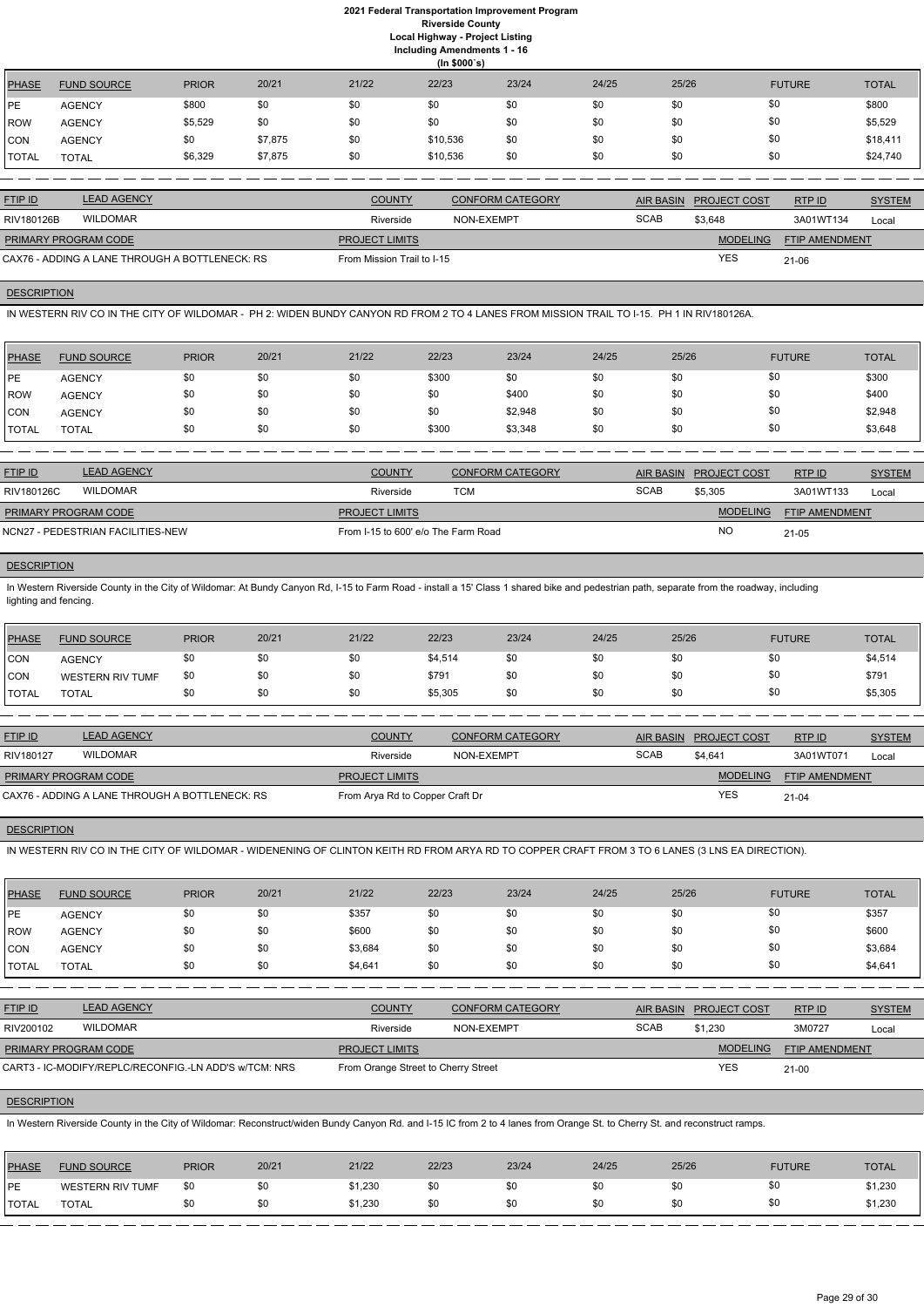|               | (ln \$000's)       |              |         |       |          |       |       |       |               |              |
|---------------|--------------------|--------------|---------|-------|----------|-------|-------|-------|---------------|--------------|
| PHASE         | <b>FUND SOURCE</b> | <b>PRIOR</b> | 20/21   | 21/22 | 22/23    | 23/24 | 24/25 | 25/26 | <b>FUTURE</b> | <b>TOTAL</b> |
| <b>IPE</b>    | <b>AGENCY</b>      | \$800        | \$0     | \$0   | \$0      | \$0   | \$0   | \$0   | \$0           | \$800        |
| <b>ROW</b>    | <b>AGENCY</b>      | \$5,529      | \$0     | \$0   | \$0      | \$0   | \$0   | \$0   | \$0           | \$5,529      |
| CON           | <b>AGENCY</b>      | \$0          | \$7,875 | \$0   | \$10,536 | \$0   | \$0   | \$0   | \$0           | \$18,411     |
| <b>ITOTAL</b> | <b>TOTAL</b>       | \$6,329      | \$7,875 | \$0   | \$10,536 | \$0   | \$0   | \$0   | \$0           | \$24,740     |

| <b>FTIP ID</b>              | <b>LEAD AGENCY</b>                             | <b>COUNTY</b>              | <b>CONFORM CATEGORY</b> | <b>AIR BASIN</b> | <b>PROJECT COST</b> | RTPID                 | <b>SYSTEM</b> |
|-----------------------------|------------------------------------------------|----------------------------|-------------------------|------------------|---------------------|-----------------------|---------------|
| RIV180126B                  | <b>WILDOMAR</b>                                | Riverside                  | NON-EXEMPT              | <b>SCAB</b>      | \$3,648             | 3A01WT134             | Local         |
| <b>PRIMARY PROGRAM CODE</b> |                                                | <b>PROJECT LIMITS</b>      |                         |                  | <b>MODELING</b>     | <b>FTIP AMENDMENT</b> |               |
|                             | CAX76 - ADDING A LANE THROUGH A BOTTLENECK: RS | From Mission Trail to I-15 |                         |                  | <b>YES</b>          | 21-06                 |               |

# **DESCRIPTION**

IN WESTERN RIV CO IN THE CITY OF WILDOMAR - PH 2: WIDEN BUNDY CANYON RD FROM 2 TO 4 LANES FROM MISSION TRAIL TO I-15. PH 1 IN RIV180126A.

In Western Riverside County in the City of Wildomar: At Bundy Canyon Rd, I-15 to Farm Road - install a 15' Class 1 shared bike and pedestrian path, separate from the roadway, including lighting and fencing.

| <b>PHASE</b> | <b>FUND SOURCE</b> | <b>PRIOR</b> | 20/21 | 21/22 | 22/23 | 23/24   | 24/25 | 25/26 | <b>FUTURE</b> | <b>TOTAL</b> |
|--------------|--------------------|--------------|-------|-------|-------|---------|-------|-------|---------------|--------------|
| <b>PE</b>    | <b>AGENCY</b>      | \$0          | \$0   | \$0   | \$300 | \$0     | \$0   | \$0   | \$0           | \$300        |
| ROW          | <b>AGENCY</b>      | \$0          | \$0   | \$0   | \$0   | \$400   | \$0   | \$0   | \$0           | \$400        |
| <b>CON</b>   | <b>AGENCY</b>      | \$0          | \$0   | \$0   | \$0   | \$2,948 | \$0   | \$0   | \$0           | \$2,948      |
| TOTAL        | <b>TOTAL</b>       | \$0          | \$0   | \$0   | \$300 | \$3,348 | \$0   | \$0   | \$0           | \$3,648      |

| <b>FTIP ID</b>              | <b>LEAD AGENCY</b>                | <b>COUNTY</b>                       | CONFORM CATEGORY | AIR BASIN   | <b>PROJECT COST</b> | RTPID                 | <b>SYSTEM</b> |
|-----------------------------|-----------------------------------|-------------------------------------|------------------|-------------|---------------------|-----------------------|---------------|
| RIV180126C                  | WILDOMAR                          | Riverside                           | тсм              | <b>SCAB</b> | \$5.305             | 3A01WT133             | Local         |
| <b>PRIMARY PROGRAM CODE</b> |                                   | <b>PROJECT LIMITS</b>               |                  |             | <b>MODELING</b>     | <b>FTIP AMENDMENT</b> |               |
|                             | NCN27 - PEDESTRIAN FACILITIES-NEW | From I-15 to 600' e/o The Farm Road |                  |             | <b>NO</b>           | $21 - 05$             |               |

### **DESCRIPTION**

| PHASE        | <b>FUND SOURCE</b>      | <b>PRIOR</b> | 20/21 | 21/22 | 22/23   | 23/24 | 24/25 | 25/26 | <b>FUTURE</b> | <b>TOTAL</b> |
|--------------|-------------------------|--------------|-------|-------|---------|-------|-------|-------|---------------|--------------|
| <b>CON</b>   | <b>AGENCY</b>           |              | \$0   | \$0   | \$4,514 | \$0   | \$0   | \$0   | 90            | \$4,514      |
| <b>CON</b>   | <b>WESTERN RIV TUMF</b> | \$0          | \$0   | \$0   | \$791   | \$0   | \$0   | \$0   | \$0           | \$791        |
| <b>TOTAL</b> | TOTAL                   |              | \$0   | \$0   | \$5,305 | \$0   | \$0   | \$0   | \$0           | \$5,305      |

| <b>FTIP ID</b>       | <b>LEAD AGENCY</b>                             | <b>COUNTY</b>                   | CONFORM CATEGORY |             | AIR BASIN PROJECT COST | RTPID                 | <b>SYSTEM</b> |
|----------------------|------------------------------------------------|---------------------------------|------------------|-------------|------------------------|-----------------------|---------------|
| RIV180127            | <b>WILDOMAR</b>                                | Riverside                       | NON-EXEMPT       | <b>SCAB</b> | \$4.641                | 3A01WT071             | Local         |
| PRIMARY PROGRAM CODE |                                                | <b>PROJECT LIMITS</b>           |                  |             | <b>MODELING</b>        | <b>FTIP AMENDMENT</b> |               |
|                      | CAX76 - ADDING A LANE THROUGH A BOTTLENECK: RS | From Arya Rd to Copper Craft Dr |                  |             | <b>YES</b>             | $21 - 04$             |               |

# **DESCRIPTION**

IN WESTERN RIV CO IN THE CITY OF WILDOMAR - WIDENENING OF CLINTON KEITH RD FROM ARYA RD TO COPPER CRAFT FROM 3 TO 6 LANES (3 LNS EA DIRECTION).

| PHASE        | <b>FUND SOURCE</b> | <b>PRIOR</b> | 20/21 | 21/22   | 22/23 | 23/24 | 24/25 | 25/26 | <b>FUTURE</b> | <b>TOTAL</b> |
|--------------|--------------------|--------------|-------|---------|-------|-------|-------|-------|---------------|--------------|
| <b>IPE</b>   | <b>AGENCY</b>      | \$0          | \$0   | \$357   | \$0   | \$0   | \$0   | \$0   | \$0           | \$357        |
| ROW          | <b>AGENCY</b>      | \$0          | \$0   | \$600   | \$0   | \$0   | \$0   | \$0   | \$0           | \$600        |
| CON          | <b>AGENCY</b>      | \$0          | \$0   | \$3,684 | \$0   | \$0   | \$0   | \$0   | \$0           | \$3,684      |
| <b>TOTAL</b> | <b>TOTAL</b>       | \$0          | \$0   | \$4,641 | \$0   | \$0   | \$0   | \$0   | \$0           | \$4,641      |

| <b>FTIP ID</b>              | <b>LEAD AGENCY</b>                                    | <b>COUNTY</b>                       | <b>CONFORM CATEGORY</b> | AIR BASIN   | <b>PROJECT COST</b> | RTP ID                | <b>SYSTEM</b> |
|-----------------------------|-------------------------------------------------------|-------------------------------------|-------------------------|-------------|---------------------|-----------------------|---------------|
| RIV200102                   | <b>WILDOMAR</b>                                       | Riverside                           | NON-EXEMPT              | <b>SCAB</b> | \$1.230             | 3M0727                | Local         |
| <b>PRIMARY PROGRAM CODE</b> |                                                       | <b>PROJECT LIMITS</b>               |                         |             | <b>MODELING</b>     | <b>FTIP AMENDMENT</b> |               |
|                             | CART3 - IC-MODIFY/REPLC/RECONFIG.-LN ADD'S W/TCM: NRS | From Orange Street to Cherry Street |                         |             | YES                 | $21 - 00$             |               |

# **DESCRIPTION**

In Western Riverside County in the City of Wildomar: Reconstruct/widen Bundy Canyon Rd. and I-15 IC from 2 to 4 lanes from Orange St. to Cherry St. and reconstruct ramps.

| PHASE        | <b>FUND SOURCE</b> | <b>PRIOR</b> | 20/21 | 21/22   | 22/23 | 23/24 | 24/25 | 25/26 | <b>FUTURE</b> | <b>TOTAL</b> |
|--------------|--------------------|--------------|-------|---------|-------|-------|-------|-------|---------------|--------------|
| <b>IPE</b>   | WESTERN RIV TUMF   | \$0          | \$0   | \$1,230 | \$Ο   | \$0   | \$0   | \$0   | \$0           | \$1,230      |
| <b>TOTAL</b> | TOTAL              |              | \$0   | \$1,230 |       | \$0   | \$0   | \$0   | \$0           | \$1,230      |
|              |                    |              |       |         |       |       |       |       |               |              |